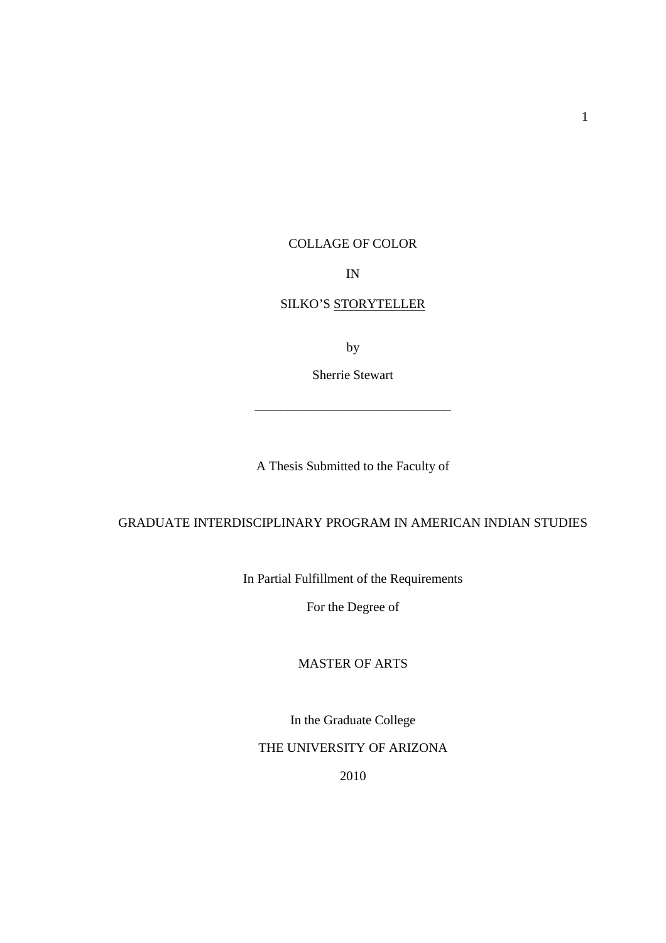# COLLAGE OF COLOR

### IN

## SILKO'S STORYTELLER

by

Sherrie Stewart

\_\_\_\_\_\_\_\_\_\_\_\_\_\_\_\_\_\_\_\_\_\_\_\_\_\_\_\_\_\_

A Thesis Submitted to the Faculty of

## GRADUATE INTERDISCIPLINARY PROGRAM IN AMERICAN INDIAN STUDIES

In Partial Fulfillment of the Requirements

For the Degree of

MASTER OF ARTS

In the Graduate College

THE UNIVERSITY OF ARIZONA

2010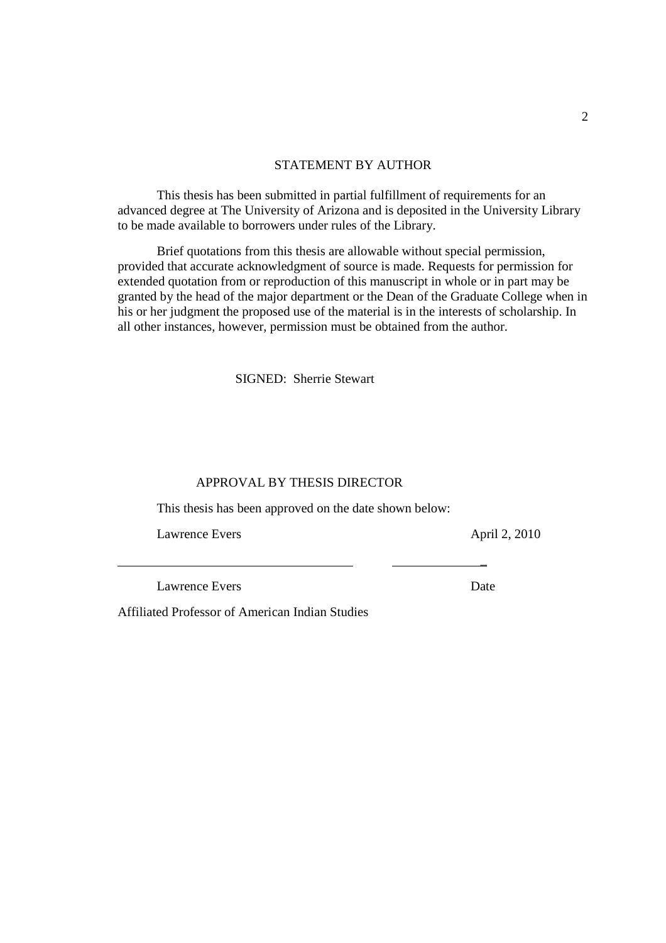#### STATEMENT BY AUTHOR

This thesis has been submitted in partial fulfillment of requirements for an advanced degree at The University of Arizona and is deposited in the University Library to be made available to borrowers under rules of the Library.

Brief quotations from this thesis are allowable without special permission, provided that accurate acknowledgment of source is made. Requests for permission for extended quotation from or reproduction of this manuscript in whole or in part may be granted by the head of the major department or the Dean of the Graduate College when in his or her judgment the proposed use of the material is in the interests of scholarship. In all other instances, however, permission must be obtained from the author.

SIGNED: Sherrie Stewart

#### APPROVAL BY THESIS DIRECTOR

This thesis has been approved on the date shown below:

\_

Lawrence Evers April 2, 2010

Lawrence Evers **Date** 

Affiliated Professor of American Indian Studies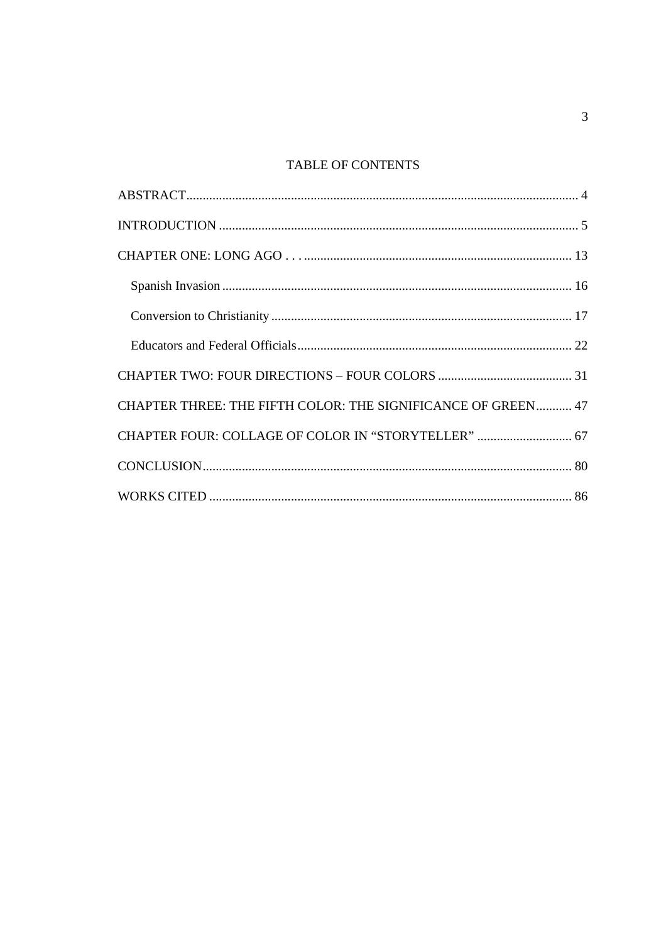## **TABLE OF CONTENTS**

| CHAPTER THREE: THE FIFTH COLOR: THE SIGNIFICANCE OF GREEN 47 |
|--------------------------------------------------------------|
|                                                              |
|                                                              |
|                                                              |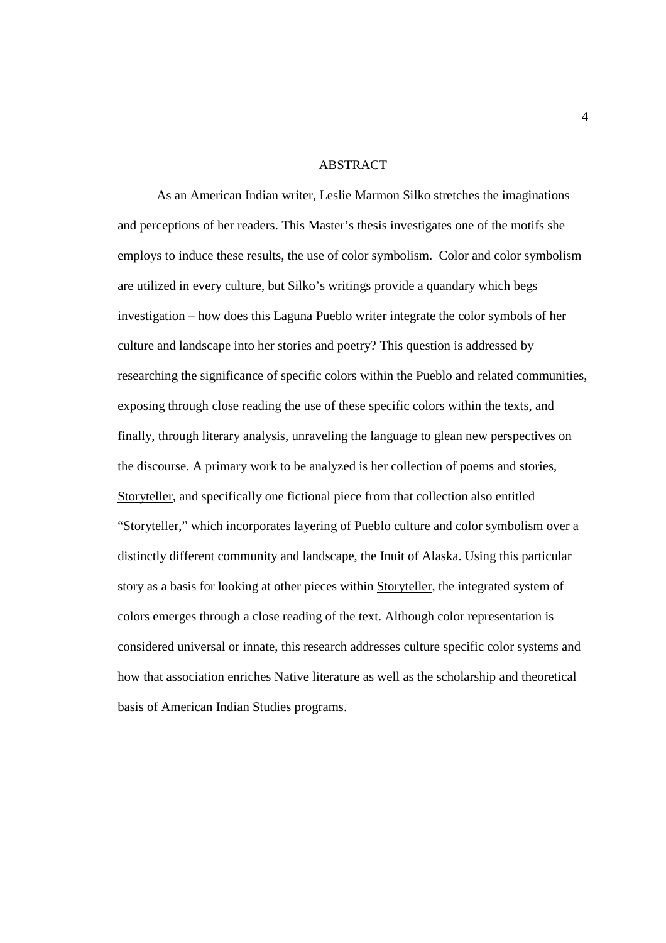#### ABSTRACT

 As an American Indian writer, Leslie Marmon Silko stretches the imaginations and perceptions of her readers. This Master's thesis investigates one of the motifs she employs to induce these results, the use of color symbolism. Color and color symbolism are utilized in every culture, but Silko's writings provide a quandary which begs investigation – how does this Laguna Pueblo writer integrate the color symbols of her culture and landscape into her stories and poetry? This question is addressed by researching the significance of specific colors within the Pueblo and related communities, exposing through close reading the use of these specific colors within the texts, and finally, through literary analysis, unraveling the language to glean new perspectives on the discourse. A primary work to be analyzed is her collection of poems and stories, Storyteller, and specifically one fictional piece from that collection also entitled "Storyteller," which incorporates layering of Pueblo culture and color symbolism over a distinctly different community and landscape, the Inuit of Alaska. Using this particular story as a basis for looking at other pieces within Storyteller, the integrated system of colors emerges through a close reading of the text. Although color representation is considered universal or innate, this research addresses culture specific color systems and how that association enriches Native literature as well as the scholarship and theoretical basis of American Indian Studies programs.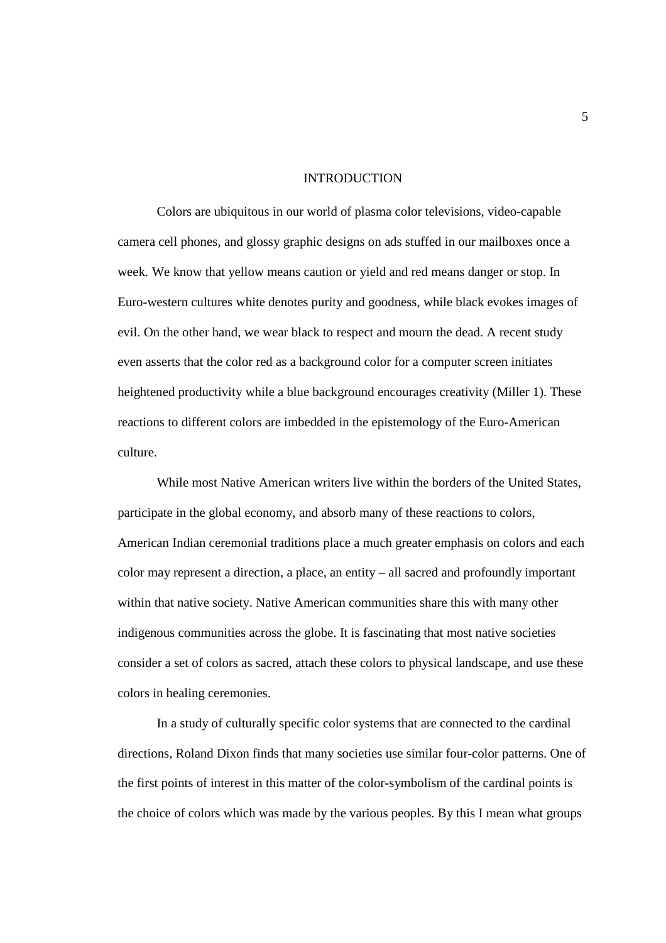#### INTRODUCTION

Colors are ubiquitous in our world of plasma color televisions, video-capable camera cell phones, and glossy graphic designs on ads stuffed in our mailboxes once a week. We know that yellow means caution or yield and red means danger or stop. In Euro-western cultures white denotes purity and goodness, while black evokes images of evil. On the other hand, we wear black to respect and mourn the dead. A recent study even asserts that the color red as a background color for a computer screen initiates heightened productivity while a blue background encourages creativity (Miller 1). These reactions to different colors are imbedded in the epistemology of the Euro-American culture.

While most Native American writers live within the borders of the United States, participate in the global economy, and absorb many of these reactions to colors, American Indian ceremonial traditions place a much greater emphasis on colors and each color may represent a direction, a place, an entity – all sacred and profoundly important within that native society. Native American communities share this with many other indigenous communities across the globe. It is fascinating that most native societies consider a set of colors as sacred, attach these colors to physical landscape, and use these colors in healing ceremonies.

In a study of culturally specific color systems that are connected to the cardinal directions, Roland Dixon finds that many societies use similar four-color patterns. One of the first points of interest in this matter of the color-symbolism of the cardinal points is the choice of colors which was made by the various peoples. By this I mean what groups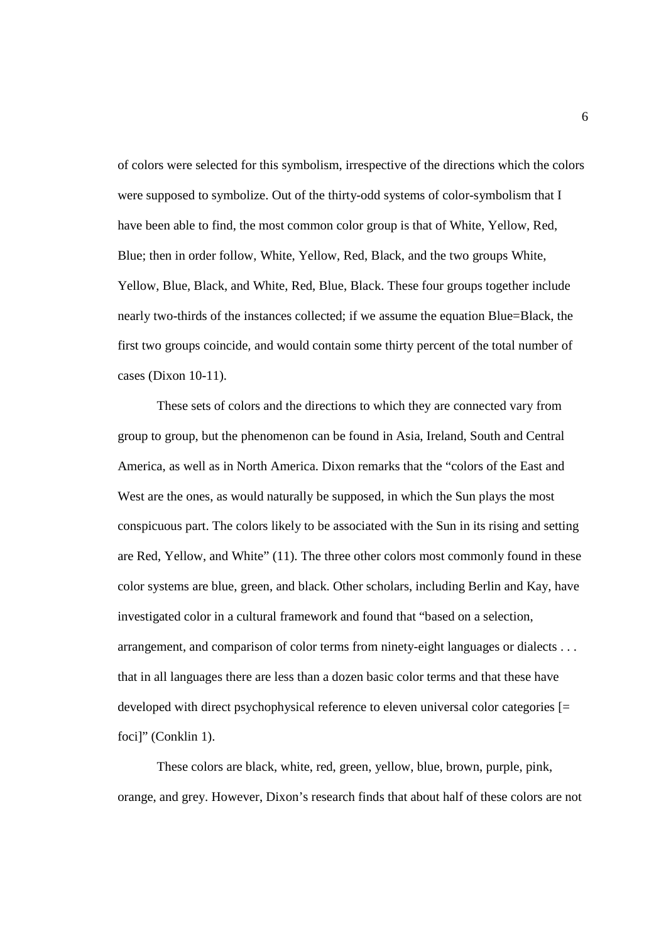of colors were selected for this symbolism, irrespective of the directions which the colors were supposed to symbolize. Out of the thirty-odd systems of color-symbolism that I have been able to find, the most common color group is that of White, Yellow, Red, Blue; then in order follow, White, Yellow, Red, Black, and the two groups White, Yellow, Blue, Black, and White, Red, Blue, Black. These four groups together include nearly two-thirds of the instances collected; if we assume the equation Blue=Black, the first two groups coincide, and would contain some thirty percent of the total number of cases (Dixon 10-11).

These sets of colors and the directions to which they are connected vary from group to group, but the phenomenon can be found in Asia, Ireland, South and Central America, as well as in North America. Dixon remarks that the "colors of the East and West are the ones, as would naturally be supposed, in which the Sun plays the most conspicuous part. The colors likely to be associated with the Sun in its rising and setting are Red, Yellow, and White" (11). The three other colors most commonly found in these color systems are blue, green, and black. Other scholars, including Berlin and Kay, have investigated color in a cultural framework and found that "based on a selection, arrangement, and comparison of color terms from ninety-eight languages or dialects . . . that in all languages there are less than a dozen basic color terms and that these have developed with direct psychophysical reference to eleven universal color categories [= foci]" (Conklin 1).

These colors are black, white, red, green, yellow, blue, brown, purple, pink, orange, and grey. However, Dixon's research finds that about half of these colors are not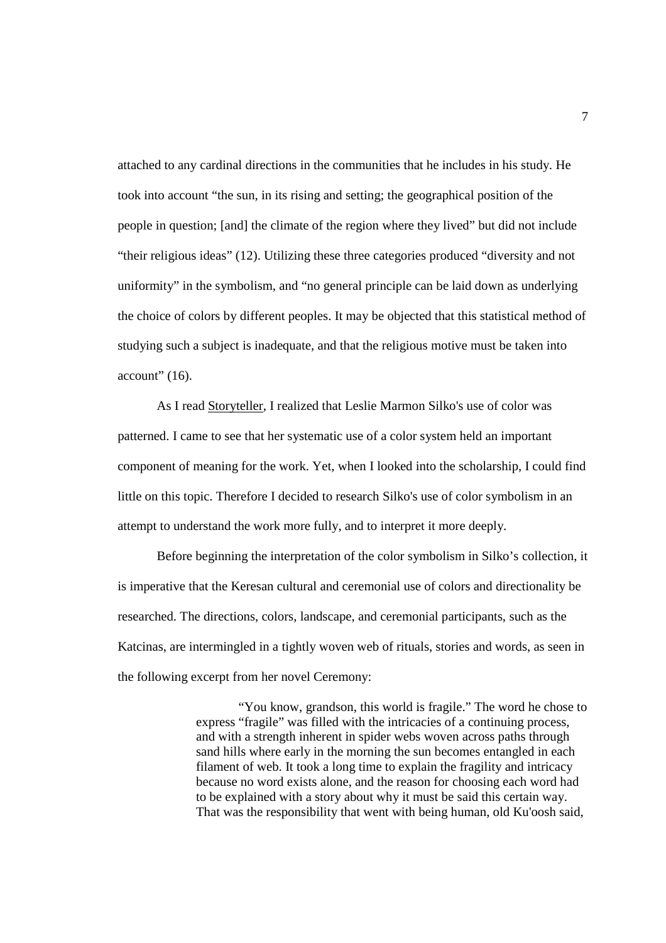attached to any cardinal directions in the communities that he includes in his study. He took into account "the sun, in its rising and setting; the geographical position of the people in question; [and] the climate of the region where they lived" but did not include "their religious ideas" (12). Utilizing these three categories produced "diversity and not uniformity" in the symbolism, and "no general principle can be laid down as underlying the choice of colors by different peoples. It may be objected that this statistical method of studying such a subject is inadequate, and that the religious motive must be taken into  $account''(16)$ .

As I read Storyteller, I realized that Leslie Marmon Silko's use of color was patterned. I came to see that her systematic use of a color system held an important component of meaning for the work. Yet, when I looked into the scholarship, I could find little on this topic. Therefore I decided to research Silko's use of color symbolism in an attempt to understand the work more fully, and to interpret it more deeply.

Before beginning the interpretation of the color symbolism in Silko's collection, it is imperative that the Keresan cultural and ceremonial use of colors and directionality be researched. The directions, colors, landscape, and ceremonial participants, such as the Katcinas, are intermingled in a tightly woven web of rituals, stories and words, as seen in the following excerpt from her novel Ceremony:

> "You know, grandson, this world is fragile." The word he chose to express "fragile" was filled with the intricacies of a continuing process, and with a strength inherent in spider webs woven across paths through sand hills where early in the morning the sun becomes entangled in each filament of web. It took a long time to explain the fragility and intricacy because no word exists alone, and the reason for choosing each word had to be explained with a story about why it must be said this certain way. That was the responsibility that went with being human, old Ku'oosh said,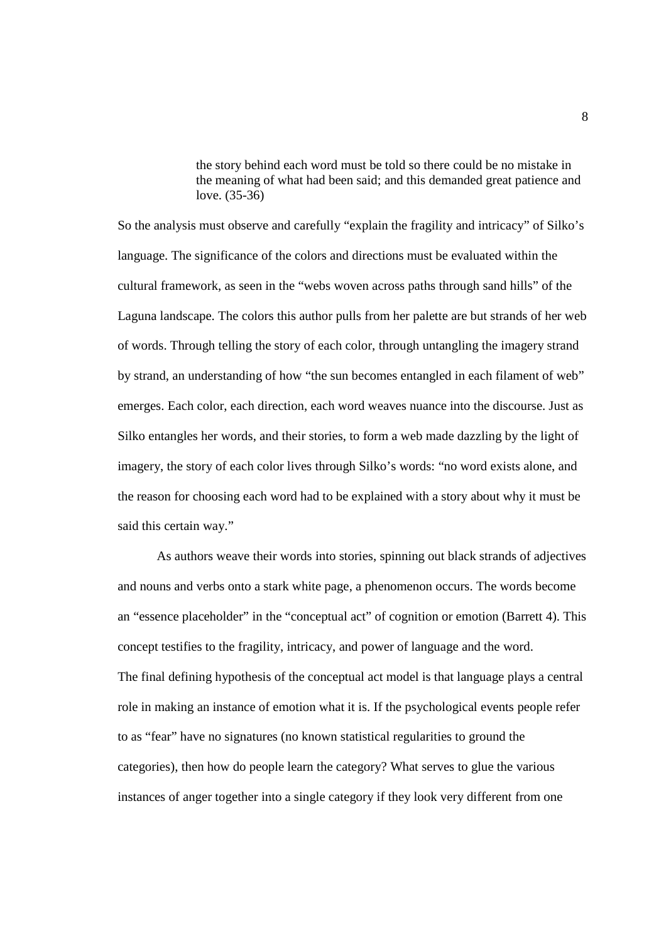the story behind each word must be told so there could be no mistake in the meaning of what had been said; and this demanded great patience and love. (35-36)

So the analysis must observe and carefully "explain the fragility and intricacy" of Silko's language. The significance of the colors and directions must be evaluated within the cultural framework, as seen in the "webs woven across paths through sand hills" of the Laguna landscape. The colors this author pulls from her palette are but strands of her web of words. Through telling the story of each color, through untangling the imagery strand by strand, an understanding of how "the sun becomes entangled in each filament of web" emerges. Each color, each direction, each word weaves nuance into the discourse. Just as Silko entangles her words, and their stories, to form a web made dazzling by the light of imagery, the story of each color lives through Silko's words: "no word exists alone, and the reason for choosing each word had to be explained with a story about why it must be said this certain way."

As authors weave their words into stories, spinning out black strands of adjectives and nouns and verbs onto a stark white page, a phenomenon occurs. The words become an "essence placeholder" in the "conceptual act" of cognition or emotion (Barrett 4). This concept testifies to the fragility, intricacy, and power of language and the word. The final defining hypothesis of the conceptual act model is that language plays a central role in making an instance of emotion what it is. If the psychological events people refer to as "fear" have no signatures (no known statistical regularities to ground the categories), then how do people learn the category? What serves to glue the various instances of anger together into a single category if they look very different from one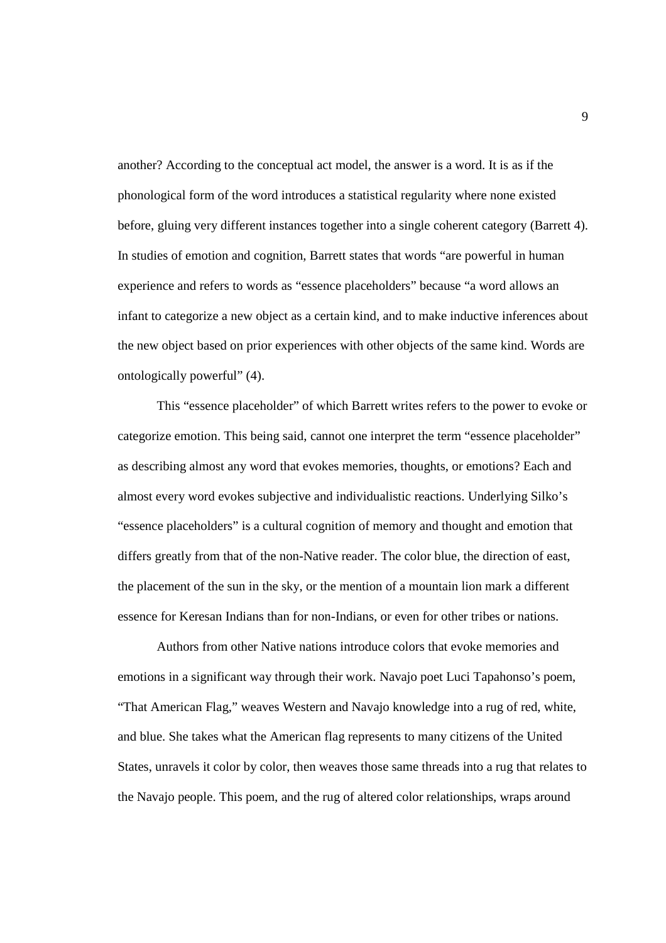another? According to the conceptual act model, the answer is a word. It is as if the phonological form of the word introduces a statistical regularity where none existed before, gluing very different instances together into a single coherent category (Barrett 4). In studies of emotion and cognition, Barrett states that words "are powerful in human experience and refers to words as "essence placeholders" because "a word allows an infant to categorize a new object as a certain kind, and to make inductive inferences about the new object based on prior experiences with other objects of the same kind. Words are ontologically powerful" (4).

This "essence placeholder" of which Barrett writes refers to the power to evoke or categorize emotion. This being said, cannot one interpret the term "essence placeholder" as describing almost any word that evokes memories, thoughts, or emotions? Each and almost every word evokes subjective and individualistic reactions. Underlying Silko's "essence placeholders" is a cultural cognition of memory and thought and emotion that differs greatly from that of the non-Native reader. The color blue, the direction of east, the placement of the sun in the sky, or the mention of a mountain lion mark a different essence for Keresan Indians than for non-Indians, or even for other tribes or nations.

Authors from other Native nations introduce colors that evoke memories and emotions in a significant way through their work. Navajo poet Luci Tapahonso's poem, "That American Flag," weaves Western and Navajo knowledge into a rug of red, white, and blue. She takes what the American flag represents to many citizens of the United States, unravels it color by color, then weaves those same threads into a rug that relates to the Navajo people. This poem, and the rug of altered color relationships, wraps around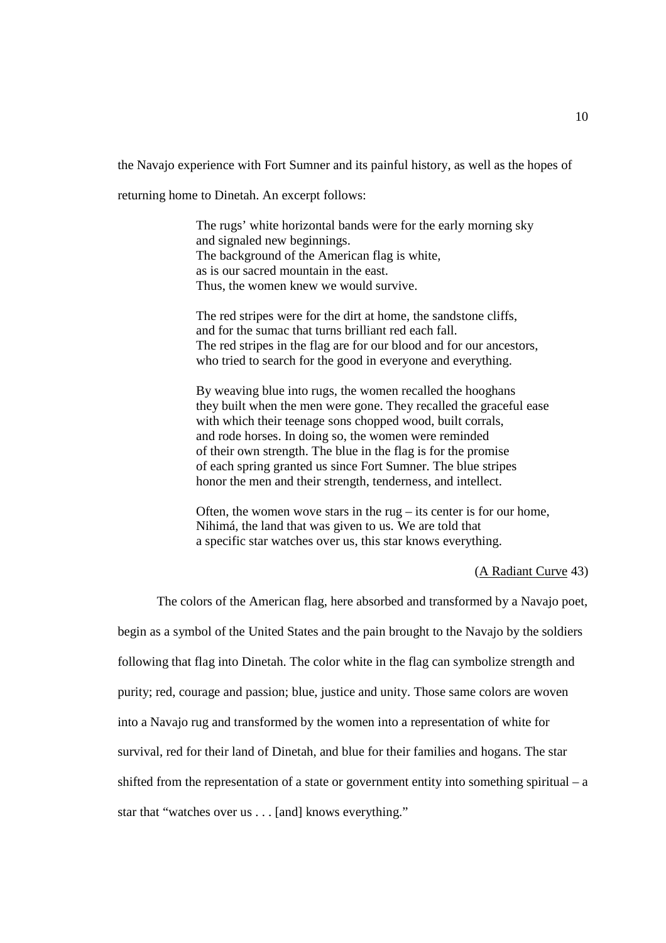the Navajo experience with Fort Sumner and its painful history, as well as the hopes of

returning home to Dinetah. An excerpt follows:

The rugs' white horizontal bands were for the early morning sky and signaled new beginnings. The background of the American flag is white, as is our sacred mountain in the east. Thus, the women knew we would survive.

The red stripes were for the dirt at home, the sandstone cliffs, and for the sumac that turns brilliant red each fall. The red stripes in the flag are for our blood and for our ancestors, who tried to search for the good in everyone and everything.

By weaving blue into rugs, the women recalled the hooghans they built when the men were gone. They recalled the graceful ease with which their teenage sons chopped wood, built corrals, and rode horses. In doing so, the women were reminded of their own strength. The blue in the flag is for the promise of each spring granted us since Fort Sumner. The blue stripes honor the men and their strength, tenderness, and intellect.

Often, the women wove stars in the rug – its center is for our home, Nihimá, the land that was given to us. We are told that a specific star watches over us, this star knows everything.

#### (A Radiant Curve 43)

The colors of the American flag, here absorbed and transformed by a Navajo poet, begin as a symbol of the United States and the pain brought to the Navajo by the soldiers following that flag into Dinetah. The color white in the flag can symbolize strength and purity; red, courage and passion; blue, justice and unity. Those same colors are woven into a Navajo rug and transformed by the women into a representation of white for survival, red for their land of Dinetah, and blue for their families and hogans. The star shifted from the representation of a state or government entity into something spiritual – a star that "watches over us . . . [and] knows everything."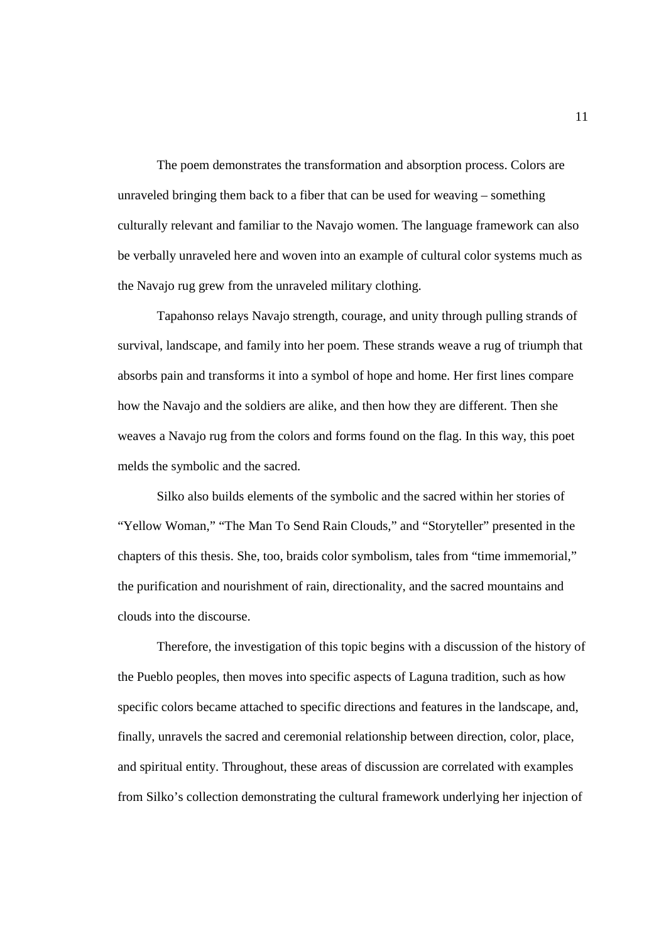The poem demonstrates the transformation and absorption process. Colors are unraveled bringing them back to a fiber that can be used for weaving – something culturally relevant and familiar to the Navajo women. The language framework can also be verbally unraveled here and woven into an example of cultural color systems much as the Navajo rug grew from the unraveled military clothing.

Tapahonso relays Navajo strength, courage, and unity through pulling strands of survival, landscape, and family into her poem. These strands weave a rug of triumph that absorbs pain and transforms it into a symbol of hope and home. Her first lines compare how the Navajo and the soldiers are alike, and then how they are different. Then she weaves a Navajo rug from the colors and forms found on the flag. In this way, this poet melds the symbolic and the sacred.

Silko also builds elements of the symbolic and the sacred within her stories of "Yellow Woman," "The Man To Send Rain Clouds," and "Storyteller" presented in the chapters of this thesis. She, too, braids color symbolism, tales from "time immemorial," the purification and nourishment of rain, directionality, and the sacred mountains and clouds into the discourse.

Therefore, the investigation of this topic begins with a discussion of the history of the Pueblo peoples, then moves into specific aspects of Laguna tradition, such as how specific colors became attached to specific directions and features in the landscape, and, finally, unravels the sacred and ceremonial relationship between direction, color, place, and spiritual entity. Throughout, these areas of discussion are correlated with examples from Silko's collection demonstrating the cultural framework underlying her injection of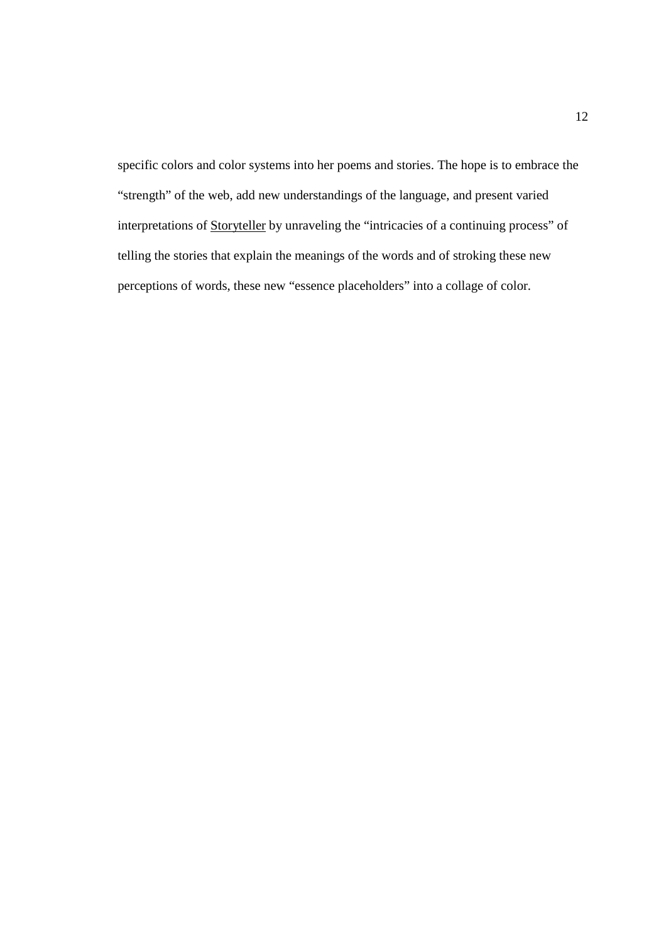specific colors and color systems into her poems and stories. The hope is to embrace the "strength" of the web, add new understandings of the language, and present varied interpretations of Storyteller by unraveling the "intricacies of a continuing process" of telling the stories that explain the meanings of the words and of stroking these new perceptions of words, these new "essence placeholders" into a collage of color.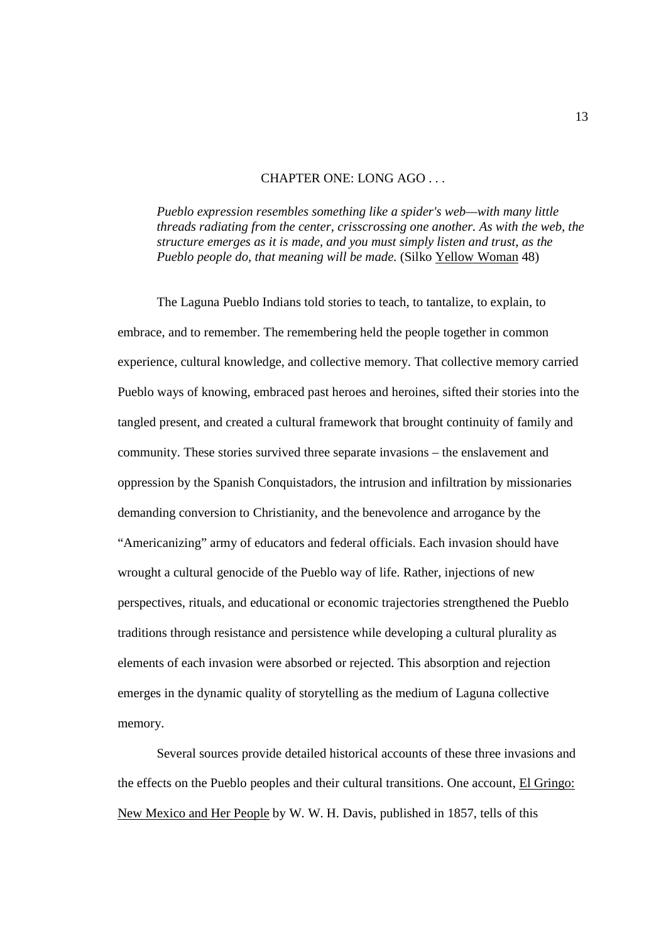#### CHAPTER ONE: LONG AGO . . .

*Pueblo expression resembles something like a spider's web—with many little threads radiating from the center, crisscrossing one another. As with the web, the structure emerges as it is made, and you must simply listen and trust, as the Pueblo people do, that meaning will be made.* (Silko Yellow Woman 48)

The Laguna Pueblo Indians told stories to teach, to tantalize, to explain, to embrace, and to remember. The remembering held the people together in common experience, cultural knowledge, and collective memory. That collective memory carried Pueblo ways of knowing, embraced past heroes and heroines, sifted their stories into the tangled present, and created a cultural framework that brought continuity of family and community. These stories survived three separate invasions – the enslavement and oppression by the Spanish Conquistadors, the intrusion and infiltration by missionaries demanding conversion to Christianity, and the benevolence and arrogance by the "Americanizing" army of educators and federal officials. Each invasion should have wrought a cultural genocide of the Pueblo way of life. Rather, injections of new perspectives, rituals, and educational or economic trajectories strengthened the Pueblo traditions through resistance and persistence while developing a cultural plurality as elements of each invasion were absorbed or rejected. This absorption and rejection emerges in the dynamic quality of storytelling as the medium of Laguna collective memory.

 Several sources provide detailed historical accounts of these three invasions and the effects on the Pueblo peoples and their cultural transitions. One account, El Gringo: New Mexico and Her People by W. W. H. Davis, published in 1857, tells of this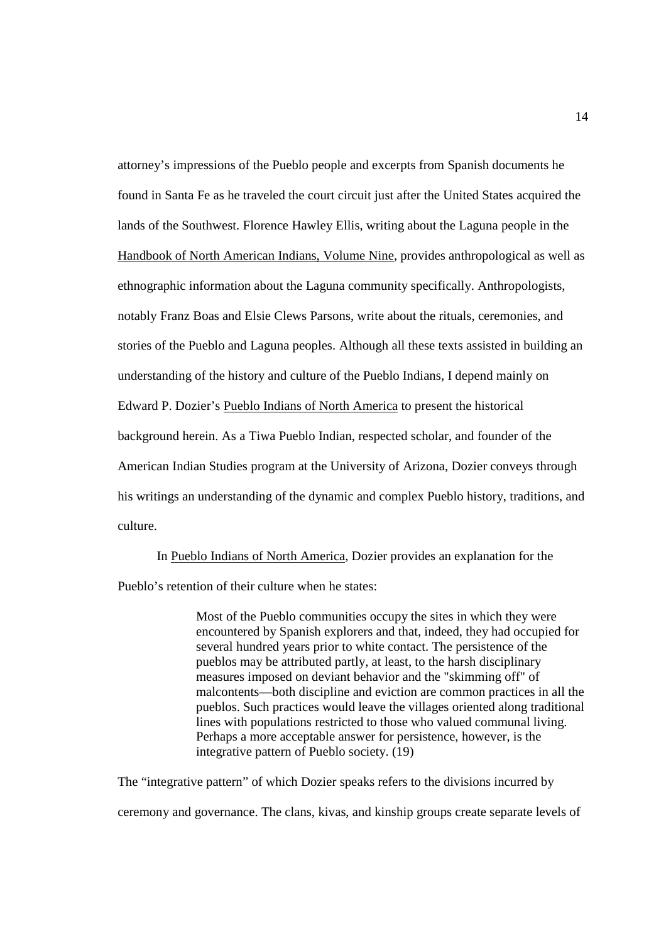attorney's impressions of the Pueblo people and excerpts from Spanish documents he found in Santa Fe as he traveled the court circuit just after the United States acquired the lands of the Southwest. Florence Hawley Ellis, writing about the Laguna people in the Handbook of North American Indians, Volume Nine, provides anthropological as well as ethnographic information about the Laguna community specifically. Anthropologists, notably Franz Boas and Elsie Clews Parsons, write about the rituals, ceremonies, and stories of the Pueblo and Laguna peoples. Although all these texts assisted in building an understanding of the history and culture of the Pueblo Indians, I depend mainly on Edward P. Dozier's Pueblo Indians of North America to present the historical background herein. As a Tiwa Pueblo Indian, respected scholar, and founder of the American Indian Studies program at the University of Arizona, Dozier conveys through his writings an understanding of the dynamic and complex Pueblo history, traditions, and culture.

 In Pueblo Indians of North America, Dozier provides an explanation for the Pueblo's retention of their culture when he states:

> Most of the Pueblo communities occupy the sites in which they were encountered by Spanish explorers and that, indeed, they had occupied for several hundred years prior to white contact. The persistence of the pueblos may be attributed partly, at least, to the harsh disciplinary measures imposed on deviant behavior and the "skimming off" of malcontents—both discipline and eviction are common practices in all the pueblos. Such practices would leave the villages oriented along traditional lines with populations restricted to those who valued communal living. Perhaps a more acceptable answer for persistence, however, is the integrative pattern of Pueblo society. (19)

The "integrative pattern" of which Dozier speaks refers to the divisions incurred by ceremony and governance. The clans, kivas, and kinship groups create separate levels of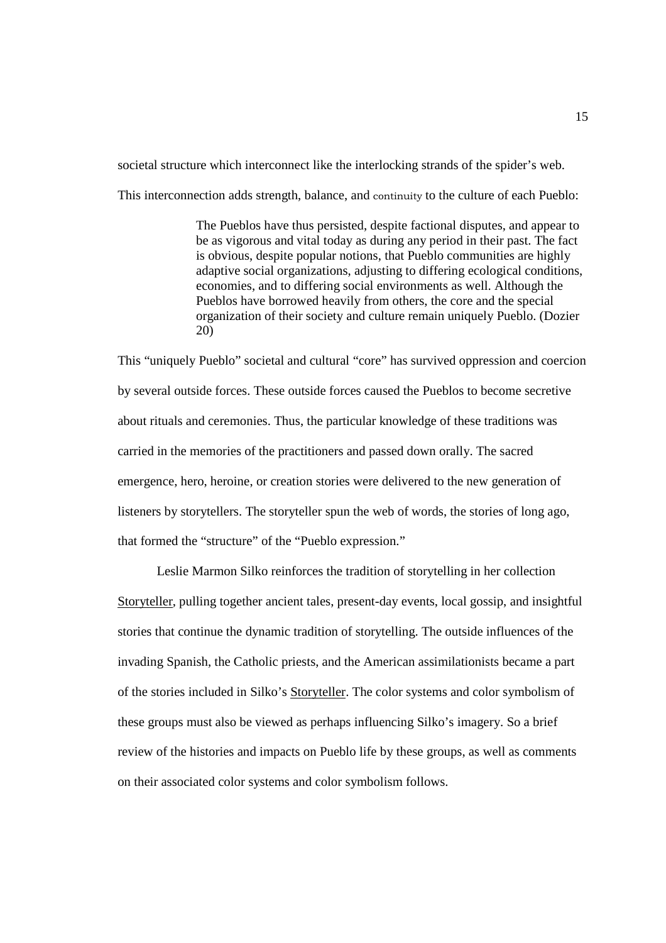societal structure which interconnect like the interlocking strands of the spider's web. This interconnection adds strength, balance, and continuity to the culture of each Pueblo:

> The Pueblos have thus persisted, despite factional disputes, and appear to be as vigorous and vital today as during any period in their past. The fact is obvious, despite popular notions, that Pueblo communities are highly adaptive social organizations, adjusting to differing ecological conditions, economies, and to differing social environments as well. Although the Pueblos have borrowed heavily from others, the core and the special organization of their society and culture remain uniquely Pueblo. (Dozier 20)

This "uniquely Pueblo" societal and cultural "core" has survived oppression and coercion by several outside forces. These outside forces caused the Pueblos to become secretive about rituals and ceremonies. Thus, the particular knowledge of these traditions was carried in the memories of the practitioners and passed down orally. The sacred emergence, hero, heroine, or creation stories were delivered to the new generation of listeners by storytellers. The storyteller spun the web of words, the stories of long ago, that formed the "structure" of the "Pueblo expression."

 Leslie Marmon Silko reinforces the tradition of storytelling in her collection Storyteller, pulling together ancient tales, present-day events, local gossip, and insightful stories that continue the dynamic tradition of storytelling. The outside influences of the invading Spanish, the Catholic priests, and the American assimilationists became a part of the stories included in Silko's Storyteller. The color systems and color symbolism of these groups must also be viewed as perhaps influencing Silko's imagery. So a brief review of the histories and impacts on Pueblo life by these groups, as well as comments on their associated color systems and color symbolism follows.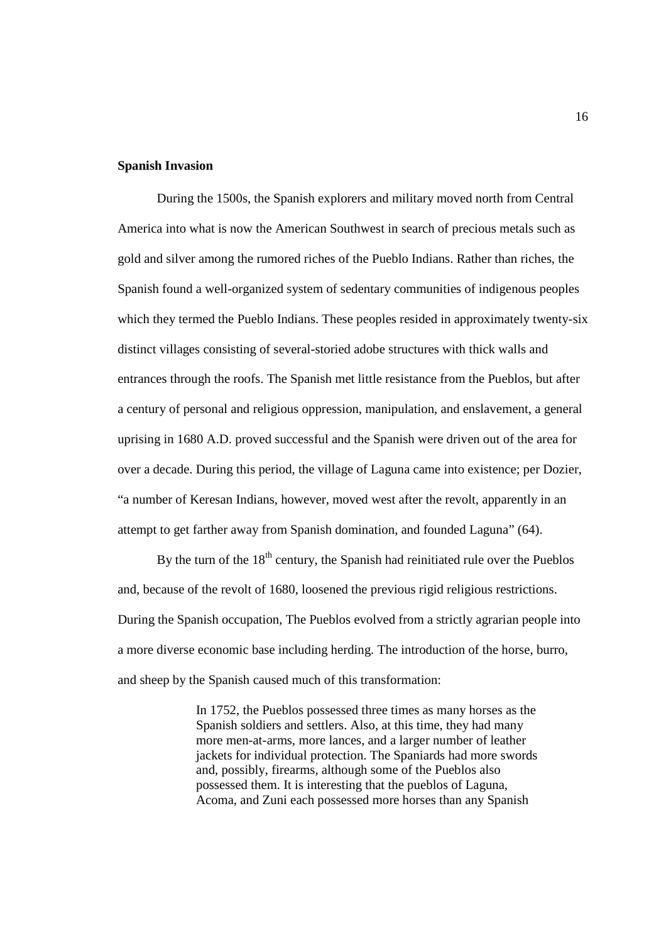#### **Spanish Invasion**

During the 1500s, the Spanish explorers and military moved north from Central America into what is now the American Southwest in search of precious metals such as gold and silver among the rumored riches of the Pueblo Indians. Rather than riches, the Spanish found a well-organized system of sedentary communities of indigenous peoples which they termed the Pueblo Indians. These peoples resided in approximately twenty-six distinct villages consisting of several-storied adobe structures with thick walls and entrances through the roofs. The Spanish met little resistance from the Pueblos, but after a century of personal and religious oppression, manipulation, and enslavement, a general uprising in 1680 A.D. proved successful and the Spanish were driven out of the area for over a decade. During this period, the village of Laguna came into existence; per Dozier, "a number of Keresan Indians, however, moved west after the revolt, apparently in an attempt to get farther away from Spanish domination, and founded Laguna" (64).

By the turn of the  $18<sup>th</sup>$  century, the Spanish had reinitiated rule over the Pueblos and, because of the revolt of 1680, loosened the previous rigid religious restrictions. During the Spanish occupation, The Pueblos evolved from a strictly agrarian people into a more diverse economic base including herding. The introduction of the horse, burro, and sheep by the Spanish caused much of this transformation:

> In 1752, the Pueblos possessed three times as many horses as the Spanish soldiers and settlers. Also, at this time, they had many more men-at-arms, more lances, and a larger number of leather jackets for individual protection. The Spaniards had more swords and, possibly, firearms, although some of the Pueblos also possessed them. It is interesting that the pueblos of Laguna, Acoma, and Zuni each possessed more horses than any Spanish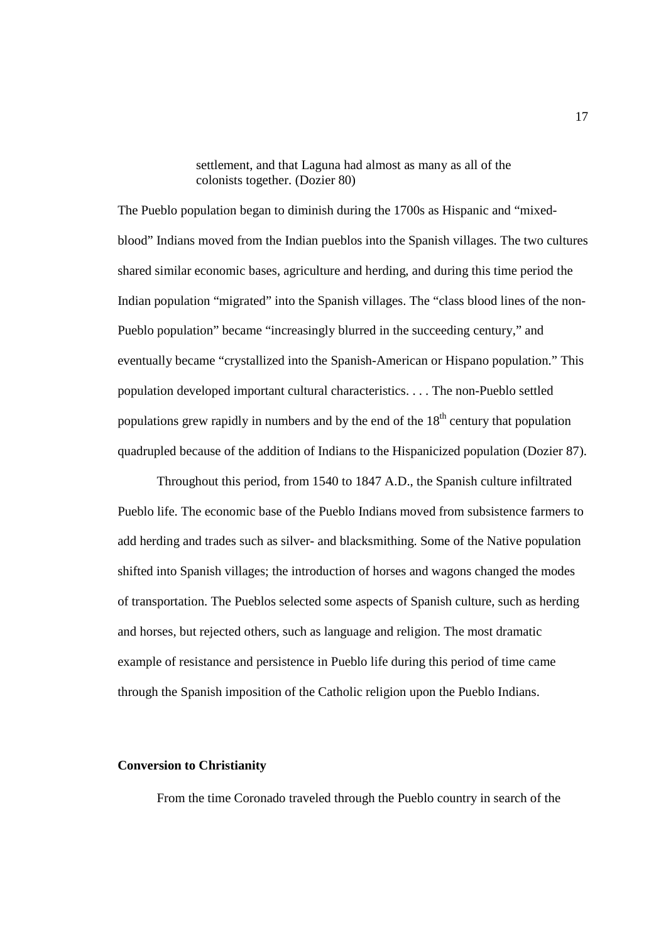settlement, and that Laguna had almost as many as all of the colonists together. (Dozier 80)

The Pueblo population began to diminish during the 1700s as Hispanic and "mixedblood" Indians moved from the Indian pueblos into the Spanish villages. The two cultures shared similar economic bases, agriculture and herding, and during this time period the Indian population "migrated" into the Spanish villages. The "class blood lines of the non-Pueblo population" became "increasingly blurred in the succeeding century," and eventually became "crystallized into the Spanish-American or Hispano population." This population developed important cultural characteristics. . . . The non-Pueblo settled populations grew rapidly in numbers and by the end of the  $18<sup>th</sup>$  century that population quadrupled because of the addition of Indians to the Hispanicized population (Dozier 87).

 Throughout this period, from 1540 to 1847 A.D., the Spanish culture infiltrated Pueblo life. The economic base of the Pueblo Indians moved from subsistence farmers to add herding and trades such as silver- and blacksmithing. Some of the Native population shifted into Spanish villages; the introduction of horses and wagons changed the modes of transportation. The Pueblos selected some aspects of Spanish culture, such as herding and horses, but rejected others, such as language and religion. The most dramatic example of resistance and persistence in Pueblo life during this period of time came through the Spanish imposition of the Catholic religion upon the Pueblo Indians.

#### **Conversion to Christianity**

From the time Coronado traveled through the Pueblo country in search of the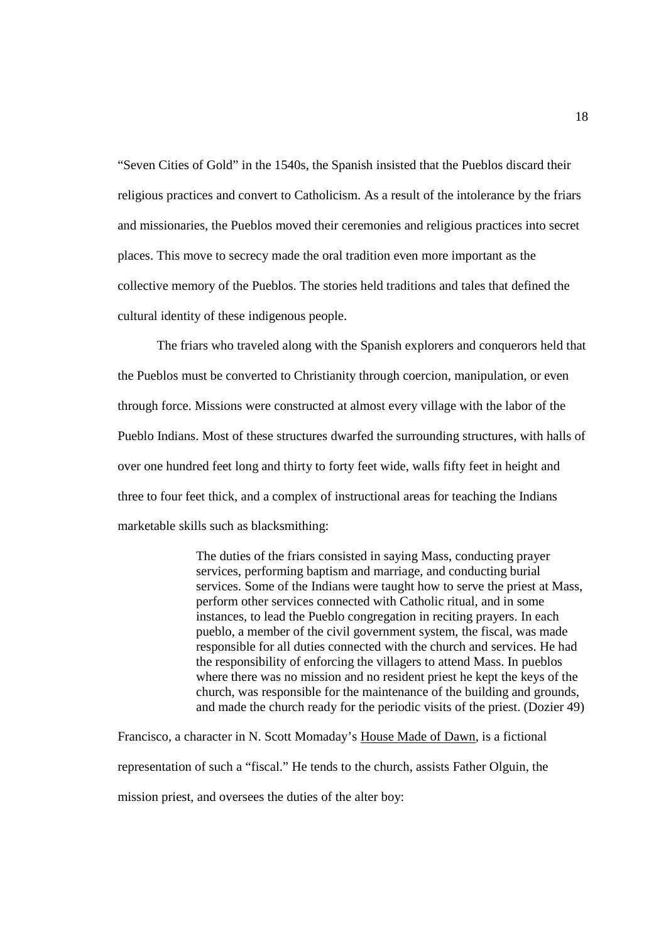"Seven Cities of Gold" in the 1540s, the Spanish insisted that the Pueblos discard their religious practices and convert to Catholicism. As a result of the intolerance by the friars and missionaries, the Pueblos moved their ceremonies and religious practices into secret places. This move to secrecy made the oral tradition even more important as the collective memory of the Pueblos. The stories held traditions and tales that defined the cultural identity of these indigenous people.

 The friars who traveled along with the Spanish explorers and conquerors held that the Pueblos must be converted to Christianity through coercion, manipulation, or even through force. Missions were constructed at almost every village with the labor of the Pueblo Indians. Most of these structures dwarfed the surrounding structures, with halls of over one hundred feet long and thirty to forty feet wide, walls fifty feet in height and three to four feet thick, and a complex of instructional areas for teaching the Indians marketable skills such as blacksmithing:

> The duties of the friars consisted in saying Mass, conducting prayer services, performing baptism and marriage, and conducting burial services. Some of the Indians were taught how to serve the priest at Mass, perform other services connected with Catholic ritual, and in some instances, to lead the Pueblo congregation in reciting prayers. In each pueblo, a member of the civil government system, the fiscal, was made responsible for all duties connected with the church and services. He had the responsibility of enforcing the villagers to attend Mass. In pueblos where there was no mission and no resident priest he kept the keys of the church, was responsible for the maintenance of the building and grounds, and made the church ready for the periodic visits of the priest. (Dozier 49)

Francisco, a character in N. Scott Momaday's House Made of Dawn, is a fictional representation of such a "fiscal." He tends to the church, assists Father Olguin, the mission priest, and oversees the duties of the alter boy: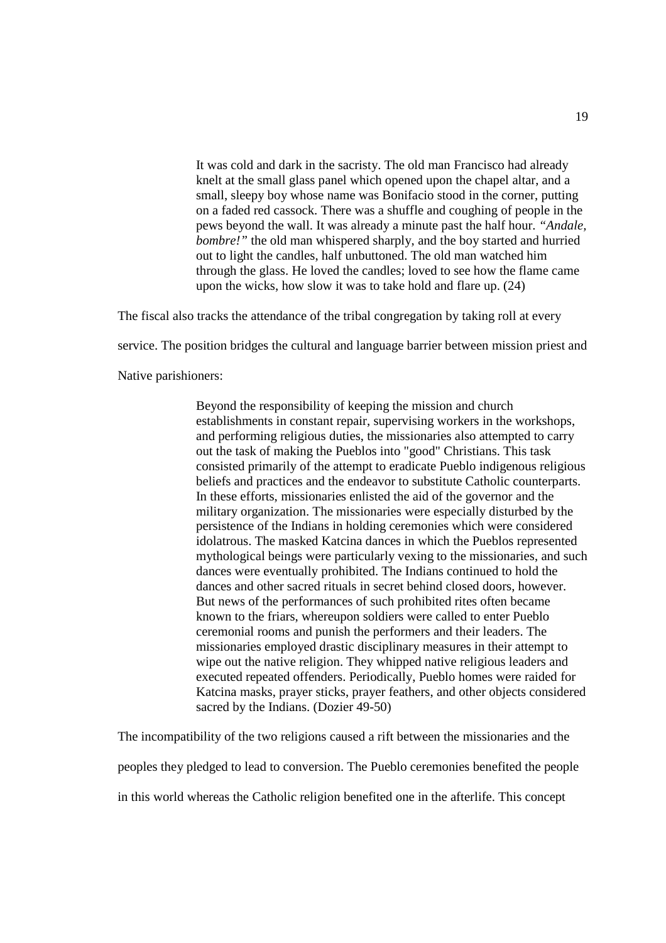It was cold and dark in the sacristy. The old man Francisco had already knelt at the small glass panel which opened upon the chapel altar, and a small, sleepy boy whose name was Bonifacio stood in the corner, putting on a faded red cassock. There was a shuffle and coughing of people in the pews beyond the wall. It was already a minute past the half hour. *"Andale, bombre!*" the old man whispered sharply, and the boy started and hurried out to light the candles, half unbuttoned. The old man watched him through the glass. He loved the candles; loved to see how the flame came upon the wicks, how slow it was to take hold and flare up. (24)

The fiscal also tracks the attendance of the tribal congregation by taking roll at every

service. The position bridges the cultural and language barrier between mission priest and

Native parishioners:

Beyond the responsibility of keeping the mission and church establishments in constant repair, supervising workers in the workshops, and performing religious duties, the missionaries also attempted to carry out the task of making the Pueblos into "good" Christians. This task consisted primarily of the attempt to eradicate Pueblo indigenous religious beliefs and practices and the endeavor to substitute Catholic counterparts. In these efforts, missionaries enlisted the aid of the governor and the military organization. The missionaries were especially disturbed by the persistence of the Indians in holding ceremonies which were considered idolatrous. The masked Katcina dances in which the Pueblos represented mythological beings were particularly vexing to the missionaries, and such dances were eventually prohibited. The Indians continued to hold the dances and other sacred rituals in secret behind closed doors, however. But news of the performances of such prohibited rites often became known to the friars, whereupon soldiers were called to enter Pueblo ceremonial rooms and punish the performers and their leaders. The missionaries employed drastic disciplinary measures in their attempt to wipe out the native religion. They whipped native religious leaders and executed repeated offenders. Periodically, Pueblo homes were raided for Katcina masks, prayer sticks, prayer feathers, and other objects considered sacred by the Indians. (Dozier 49-50)

The incompatibility of the two religions caused a rift between the missionaries and the peoples they pledged to lead to conversion. The Pueblo ceremonies benefited the people in this world whereas the Catholic religion benefited one in the afterlife. This concept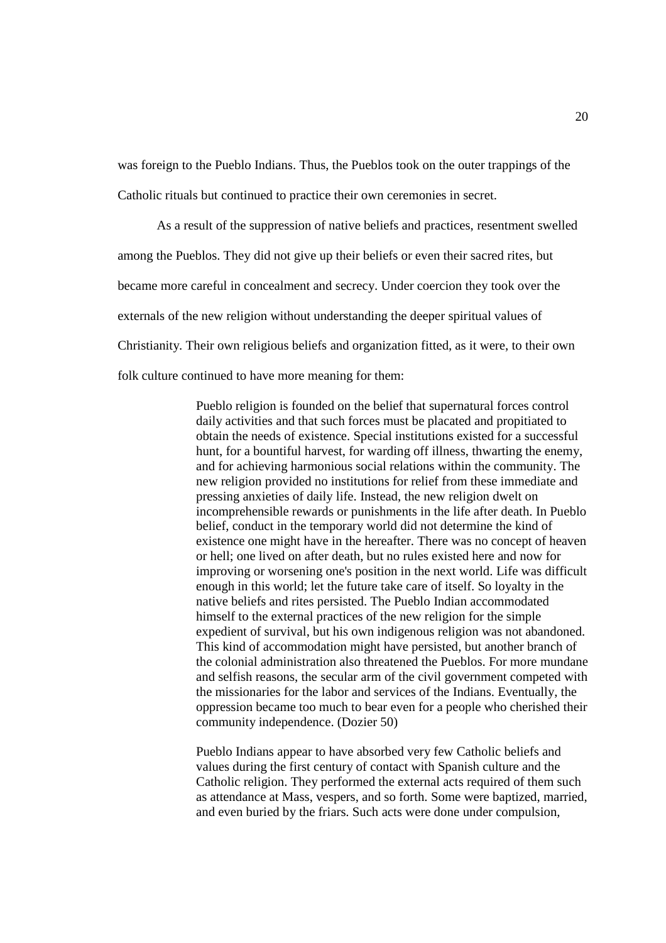was foreign to the Pueblo Indians. Thus, the Pueblos took on the outer trappings of the Catholic rituals but continued to practice their own ceremonies in secret.

As a result of the suppression of native beliefs and practices, resentment swelled among the Pueblos. They did not give up their beliefs or even their sacred rites, but became more careful in concealment and secrecy. Under coercion they took over the externals of the new religion without understanding the deeper spiritual values of Christianity. Their own religious beliefs and organization fitted, as it were, to their own folk culture continued to have more meaning for them:

> Pueblo religion is founded on the belief that supernatural forces control daily activities and that such forces must be placated and propitiated to obtain the needs of existence. Special institutions existed for a successful hunt, for a bountiful harvest, for warding off illness, thwarting the enemy, and for achieving harmonious social relations within the community. The new religion provided no institutions for relief from these immediate and pressing anxieties of daily life. Instead, the new religion dwelt on incomprehensible rewards or punishments in the life after death. In Pueblo belief, conduct in the temporary world did not determine the kind of existence one might have in the hereafter. There was no concept of heaven or hell; one lived on after death, but no rules existed here and now for improving or worsening one's position in the next world. Life was difficult enough in this world; let the future take care of itself. So loyalty in the native beliefs and rites persisted. The Pueblo Indian accommodated himself to the external practices of the new religion for the simple expedient of survival, but his own indigenous religion was not abandoned. This kind of accommodation might have persisted, but another branch of the colonial administration also threatened the Pueblos. For more mundane and selfish reasons, the secular arm of the civil government competed with the missionaries for the labor and services of the Indians. Eventually, the oppression became too much to bear even for a people who cherished their community independence. (Dozier 50)

> Pueblo Indians appear to have absorbed very few Catholic beliefs and values during the first century of contact with Spanish culture and the Catholic religion. They performed the external acts required of them such as attendance at Mass, vespers, and so forth. Some were baptized, married, and even buried by the friars. Such acts were done under compulsion,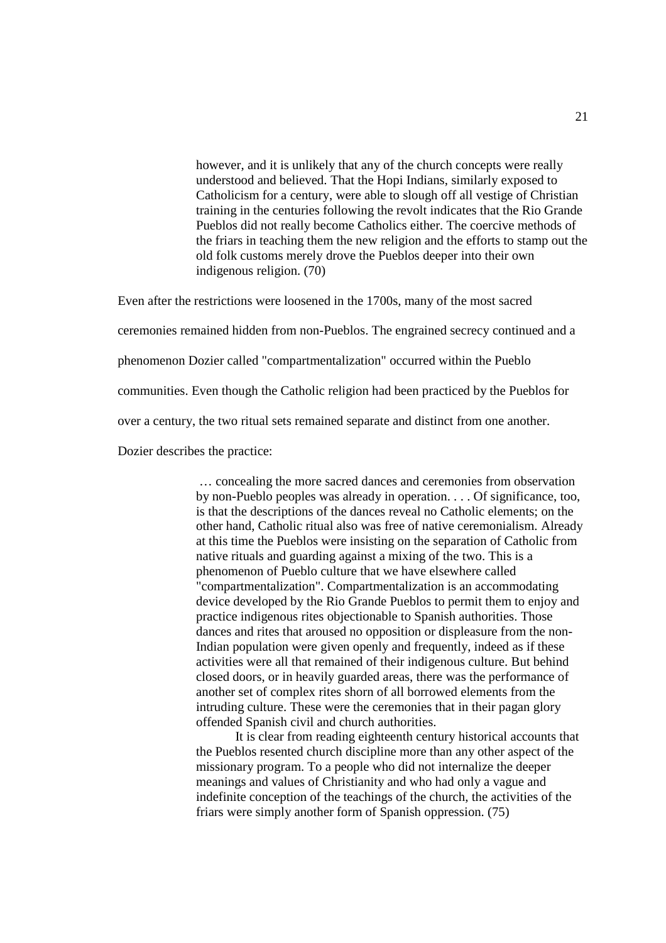however, and it is unlikely that any of the church concepts were really understood and believed. That the Hopi Indians, similarly exposed to Catholicism for a century, were able to slough off all vestige of Christian training in the centuries following the revolt indicates that the Rio Grande Pueblos did not really become Catholics either. The coercive methods of the friars in teaching them the new religion and the efforts to stamp out the old folk customs merely drove the Pueblos deeper into their own indigenous religion. (70)

Even after the restrictions were loosened in the 1700s, many of the most sacred

ceremonies remained hidden from non-Pueblos. The engrained secrecy continued and a

phenomenon Dozier called "compartmentalization" occurred within the Pueblo

communities. Even though the Catholic religion had been practiced by the Pueblos for

over a century, the two ritual sets remained separate and distinct from one another.

Dozier describes the practice:

 … concealing the more sacred dances and ceremonies from observation by non-Pueblo peoples was already in operation. . . . Of significance, too, is that the descriptions of the dances reveal no Catholic elements; on the other hand, Catholic ritual also was free of native ceremonialism. Already at this time the Pueblos were insisting on the separation of Catholic from native rituals and guarding against a mixing of the two. This is a phenomenon of Pueblo culture that we have elsewhere called "compartmentalization". Compartmentalization is an accommodating device developed by the Rio Grande Pueblos to permit them to enjoy and practice indigenous rites objectionable to Spanish authorities. Those dances and rites that aroused no opposition or displeasure from the non-Indian population were given openly and frequently, indeed as if these activities were all that remained of their indigenous culture. But behind closed doors, or in heavily guarded areas, there was the performance of another set of complex rites shorn of all borrowed elements from the intruding culture. These were the ceremonies that in their pagan glory offended Spanish civil and church authorities.

It is clear from reading eighteenth century historical accounts that the Pueblos resented church discipline more than any other aspect of the missionary program. To a people who did not internalize the deeper meanings and values of Christianity and who had only a vague and indefinite conception of the teachings of the church, the activities of the friars were simply another form of Spanish oppression. (75)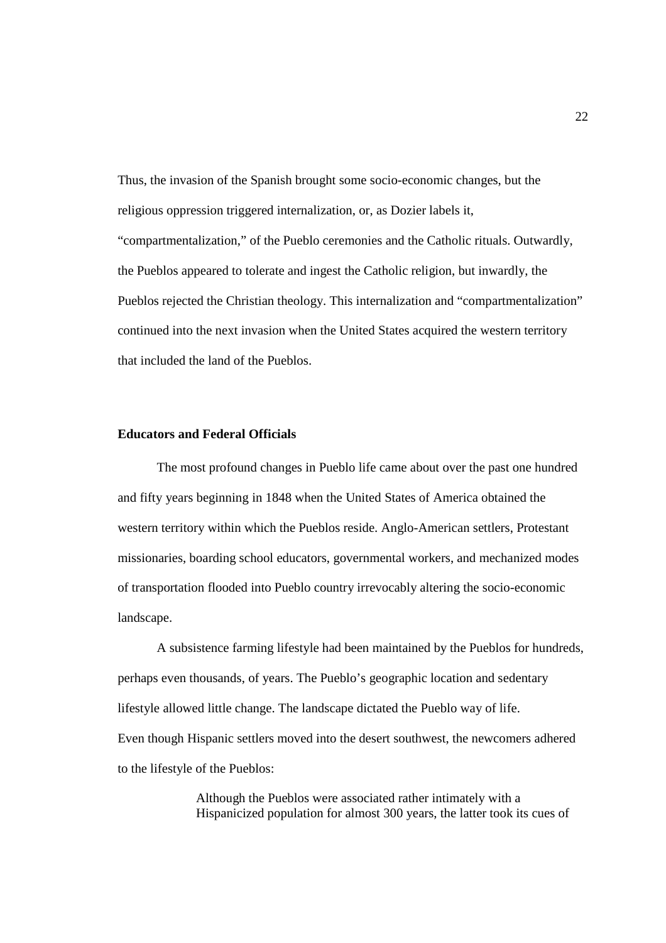Thus, the invasion of the Spanish brought some socio-economic changes, but the religious oppression triggered internalization, or, as Dozier labels it, "compartmentalization," of the Pueblo ceremonies and the Catholic rituals. Outwardly, the Pueblos appeared to tolerate and ingest the Catholic religion, but inwardly, the Pueblos rejected the Christian theology. This internalization and "compartmentalization" continued into the next invasion when the United States acquired the western territory that included the land of the Pueblos.

#### **Educators and Federal Officials**

The most profound changes in Pueblo life came about over the past one hundred and fifty years beginning in 1848 when the United States of America obtained the western territory within which the Pueblos reside. Anglo-American settlers, Protestant missionaries, boarding school educators, governmental workers, and mechanized modes of transportation flooded into Pueblo country irrevocably altering the socio-economic landscape.

A subsistence farming lifestyle had been maintained by the Pueblos for hundreds, perhaps even thousands, of years. The Pueblo's geographic location and sedentary lifestyle allowed little change. The landscape dictated the Pueblo way of life. Even though Hispanic settlers moved into the desert southwest, the newcomers adhered to the lifestyle of the Pueblos:

> Although the Pueblos were associated rather intimately with a Hispanicized population for almost 300 years, the latter took its cues of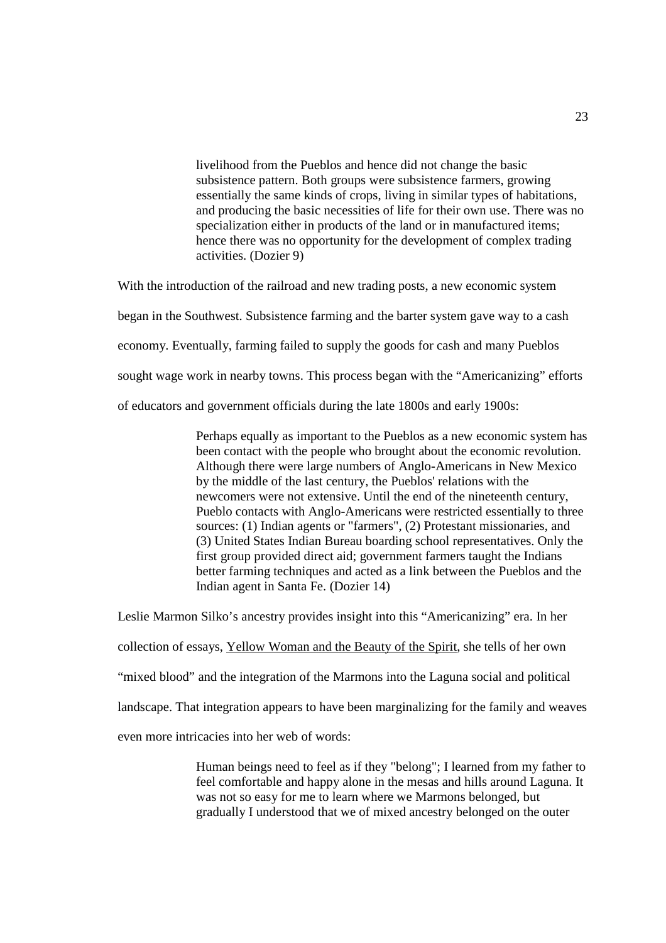livelihood from the Pueblos and hence did not change the basic subsistence pattern. Both groups were subsistence farmers, growing essentially the same kinds of crops, living in similar types of habitations, and producing the basic necessities of life for their own use. There was no specialization either in products of the land or in manufactured items; hence there was no opportunity for the development of complex trading activities. (Dozier 9)

With the introduction of the railroad and new trading posts, a new economic system

began in the Southwest. Subsistence farming and the barter system gave way to a cash

economy. Eventually, farming failed to supply the goods for cash and many Pueblos

sought wage work in nearby towns. This process began with the "Americanizing" efforts

of educators and government officials during the late 1800s and early 1900s:

Perhaps equally as important to the Pueblos as a new economic system has been contact with the people who brought about the economic revolution. Although there were large numbers of Anglo-Americans in New Mexico by the middle of the last century, the Pueblos' relations with the newcomers were not extensive. Until the end of the nineteenth century, Pueblo contacts with Anglo-Americans were restricted essentially to three sources: (1) Indian agents or "farmers", (2) Protestant missionaries, and (3) United States Indian Bureau boarding school representatives. Only the first group provided direct aid; government farmers taught the Indians better farming techniques and acted as a link between the Pueblos and the Indian agent in Santa Fe. (Dozier 14)

Leslie Marmon Silko's ancestry provides insight into this "Americanizing" era. In her

collection of essays, Yellow Woman and the Beauty of the Spirit, she tells of her own

"mixed blood" and the integration of the Marmons into the Laguna social and political

landscape. That integration appears to have been marginalizing for the family and weaves

even more intricacies into her web of words:

Human beings need to feel as if they "belong"; I learned from my father to feel comfortable and happy alone in the mesas and hills around Laguna. It was not so easy for me to learn where we Marmons belonged, but gradually I understood that we of mixed ancestry belonged on the outer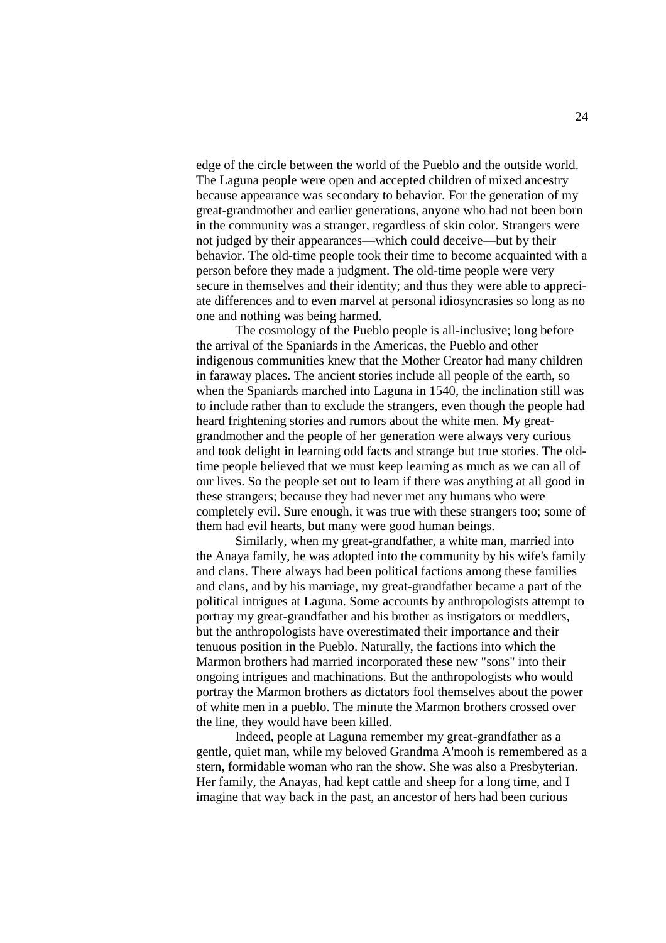edge of the circle between the world of the Pueblo and the outside world. The Laguna people were open and accepted children of mixed ancestry because appearance was secondary to behavior. For the generation of my great-grandmother and earlier generations, anyone who had not been born in the community was a stranger, regardless of skin color. Strangers were not judged by their appearances—which could deceive—but by their behavior. The old-time people took their time to become acquainted with a person before they made a judgment. The old-time people were very secure in themselves and their identity; and thus they were able to appreciate differences and to even marvel at personal idiosyncrasies so long as no one and nothing was being harmed.

The cosmology of the Pueblo people is all-inclusive; long before the arrival of the Spaniards in the Americas, the Pueblo and other indigenous communities knew that the Mother Creator had many children in faraway places. The ancient stories include all people of the earth, so when the Spaniards marched into Laguna in 1540, the inclination still was to include rather than to exclude the strangers, even though the people had heard frightening stories and rumors about the white men. My greatgrandmother and the people of her generation were always very curious and took delight in learning odd facts and strange but true stories. The oldtime people believed that we must keep learning as much as we can all of our lives. So the people set out to learn if there was anything at all good in these strangers; because they had never met any humans who were completely evil. Sure enough, it was true with these strangers too; some of them had evil hearts, but many were good human beings.

Similarly, when my great-grandfather, a white man, married into the Anaya family, he was adopted into the community by his wife's family and clans. There always had been political factions among these families and clans, and by his marriage, my great-grandfather became a part of the political intrigues at Laguna. Some accounts by anthropologists attempt to portray my great-grandfather and his brother as instigators or meddlers, but the anthropologists have overestimated their importance and their tenuous position in the Pueblo. Naturally, the factions into which the Marmon brothers had married incorporated these new "sons" into their ongoing intrigues and machinations. But the anthropologists who would portray the Marmon brothers as dictators fool themselves about the power of white men in a pueblo. The minute the Marmon brothers crossed over the line, they would have been killed.

Indeed, people at Laguna remember my great-grandfather as a gentle, quiet man, while my beloved Grandma A'mooh is remembered as a stern, formidable woman who ran the show. She was also a Presbyterian. Her family, the Anayas, had kept cattle and sheep for a long time, and I imagine that way back in the past, an ancestor of hers had been curious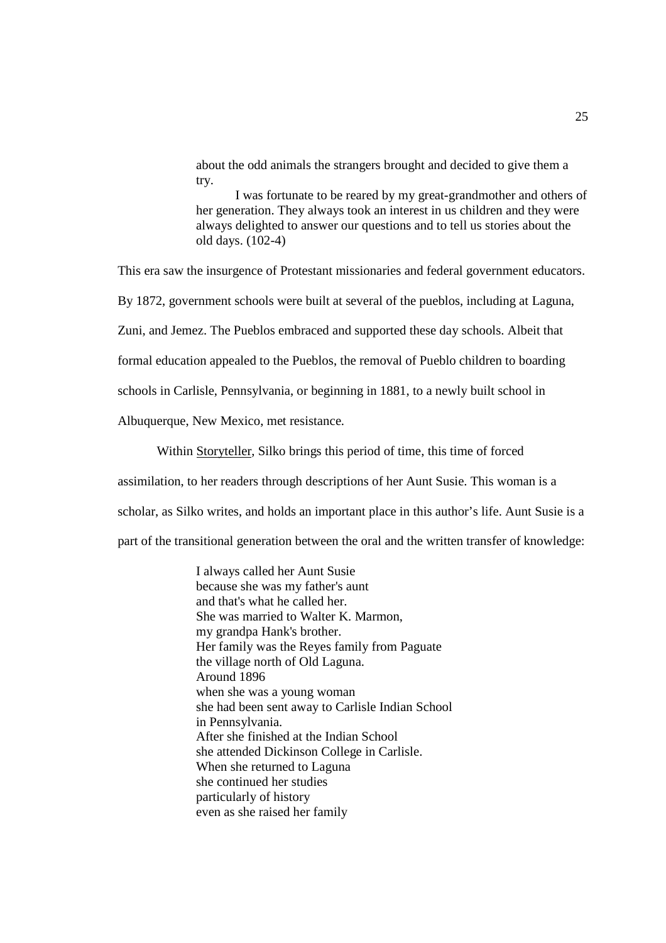about the odd animals the strangers brought and decided to give them a try.

I was fortunate to be reared by my great-grandmother and others of her generation. They always took an interest in us children and they were always delighted to answer our questions and to tell us stories about the old days. (102-4)

This era saw the insurgence of Protestant missionaries and federal government educators.

By 1872, government schools were built at several of the pueblos, including at Laguna,

Zuni, and Jemez. The Pueblos embraced and supported these day schools. Albeit that

formal education appealed to the Pueblos, the removal of Pueblo children to boarding

schools in Carlisle, Pennsylvania, or beginning in 1881, to a newly built school in

Albuquerque, New Mexico, met resistance.

Within Storyteller, Silko brings this period of time, this time of forced

assimilation, to her readers through descriptions of her Aunt Susie. This woman is a

scholar, as Silko writes, and holds an important place in this author's life. Aunt Susie is a

part of the transitional generation between the oral and the written transfer of knowledge:

I always called her Aunt Susie because she was my father's aunt and that's what he called her. She was married to Walter K. Marmon, my grandpa Hank's brother. Her family was the Reyes family from Paguate the village north of Old Laguna. Around 1896 when she was a young woman she had been sent away to Carlisle Indian School in Pennsylvania. After she finished at the Indian School she attended Dickinson College in Carlisle. When she returned to Laguna she continued her studies particularly of history even as she raised her family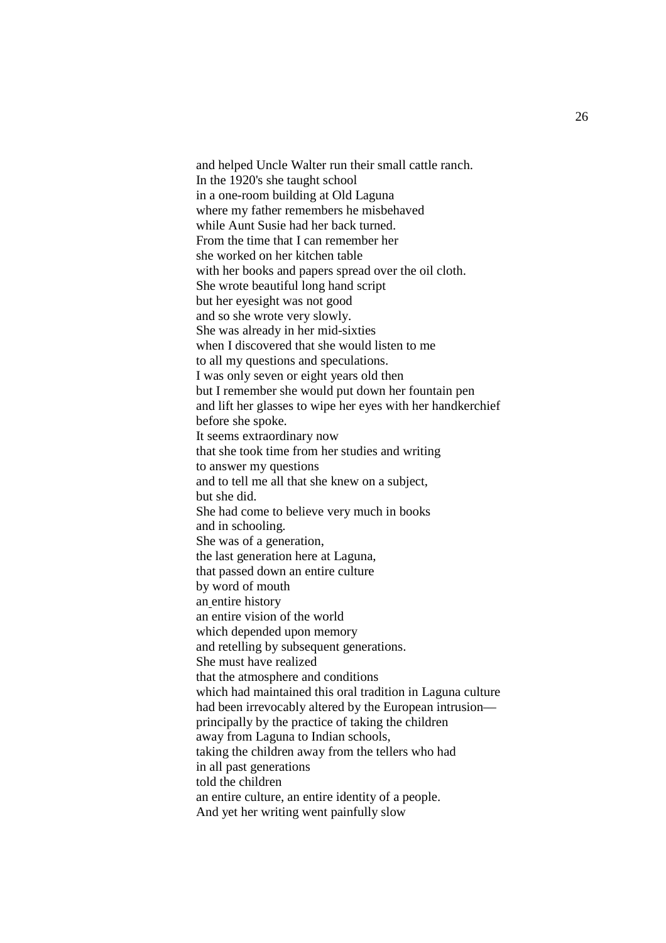and helped Uncle Walter run their small cattle ranch. In the 1920's she taught school in a one-room building at Old Laguna where my father remembers he misbehaved while Aunt Susie had her back turned. From the time that I can remember her she worked on her kitchen table with her books and papers spread over the oil cloth. She wrote beautiful long hand script but her eyesight was not good and so she wrote very slowly. She was already in her mid-sixties when I discovered that she would listen to me to all my questions and speculations. I was only seven or eight years old then but I remember she would put down her fountain pen and lift her glasses to wipe her eyes with her handkerchief before she spoke. It seems extraordinary now that she took time from her studies and writing to answer my questions and to tell me all that she knew on a subject, but she did. She had come to believe very much in books and in schooling. She was of a generation, the last generation here at Laguna, that passed down an entire culture by word of mouth an entire history an entire vision of the world which depended upon memory and retelling by subsequent generations. She must have realized that the atmosphere and conditions which had maintained this oral tradition in Laguna culture had been irrevocably altered by the European intrusion principally by the practice of taking the children away from Laguna to Indian schools, taking the children away from the tellers who had in all past generations told the children an entire culture, an entire identity of a people. And yet her writing went painfully slow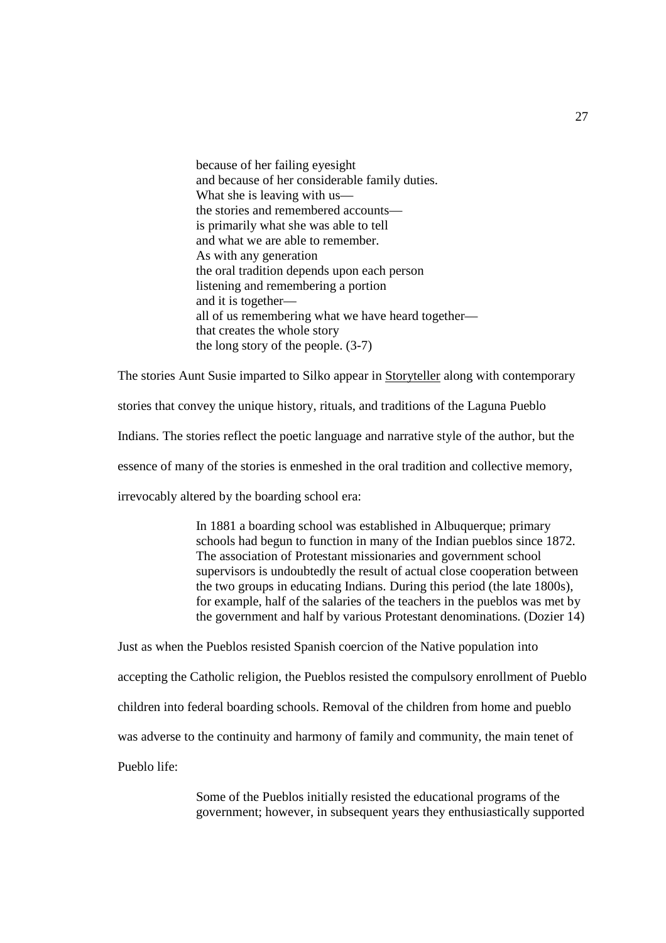because of her failing eyesight and because of her considerable family duties. What she is leaving with us the stories and remembered accounts is primarily what she was able to tell and what we are able to remember. As with any generation the oral tradition depends upon each person listening and remembering a portion and it is together all of us remembering what we have heard together that creates the whole story the long story of the people. (3-7)

The stories Aunt Susie imparted to Silko appear in Storyteller along with contemporary

stories that convey the unique history, rituals, and traditions of the Laguna Pueblo

Indians. The stories reflect the poetic language and narrative style of the author, but the

essence of many of the stories is enmeshed in the oral tradition and collective memory,

irrevocably altered by the boarding school era:

In 1881 a boarding school was established in Albuquerque; primary schools had begun to function in many of the Indian pueblos since 1872. The association of Protestant missionaries and government school supervisors is undoubtedly the result of actual close cooperation between the two groups in educating Indians. During this period (the late 1800s), for example, half of the salaries of the teachers in the pueblos was met by the government and half by various Protestant denominations. (Dozier 14)

Just as when the Pueblos resisted Spanish coercion of the Native population into accepting the Catholic religion, the Pueblos resisted the compulsory enrollment of Pueblo children into federal boarding schools. Removal of the children from home and pueblo was adverse to the continuity and harmony of family and community, the main tenet of Pueblo life:

> Some of the Pueblos initially resisted the educational programs of the government; however, in subsequent years they enthusiastically supported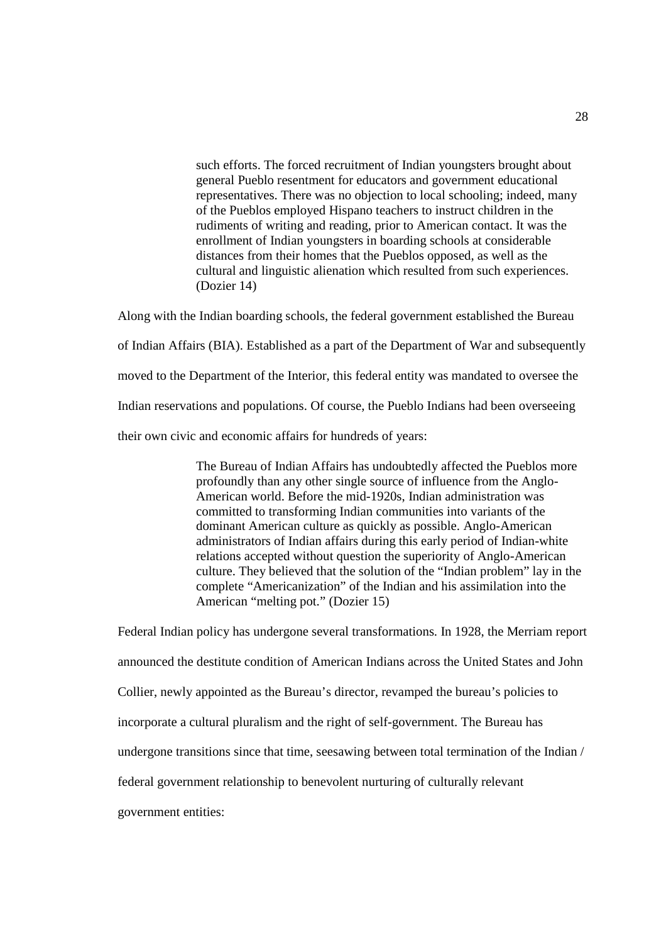such efforts. The forced recruitment of Indian youngsters brought about general Pueblo resentment for educators and government educational representatives. There was no objection to local schooling; indeed, many of the Pueblos employed Hispano teachers to instruct children in the rudiments of writing and reading, prior to American contact. It was the enrollment of Indian youngsters in boarding schools at considerable distances from their homes that the Pueblos opposed, as well as the cultural and linguistic alienation which resulted from such experiences. (Dozier 14)

Along with the Indian boarding schools, the federal government established the Bureau of Indian Affairs (BIA). Established as a part of the Department of War and subsequently moved to the Department of the Interior, this federal entity was mandated to oversee the Indian reservations and populations. Of course, the Pueblo Indians had been overseeing their own civic and economic affairs for hundreds of years:

> The Bureau of Indian Affairs has undoubtedly affected the Pueblos more profoundly than any other single source of influence from the Anglo-American world. Before the mid-1920s, Indian administration was committed to transforming Indian communities into variants of the dominant American culture as quickly as possible. Anglo-American administrators of Indian affairs during this early period of Indian-white relations accepted without question the superiority of Anglo-American culture. They believed that the solution of the "Indian problem" lay in the complete "Americanization" of the Indian and his assimilation into the American "melting pot." (Dozier 15)

Federal Indian policy has undergone several transformations. In 1928, the Merriam report announced the destitute condition of American Indians across the United States and John Collier, newly appointed as the Bureau's director, revamped the bureau's policies to incorporate a cultural pluralism and the right of self-government. The Bureau has undergone transitions since that time, seesawing between total termination of the Indian / federal government relationship to benevolent nurturing of culturally relevant government entities: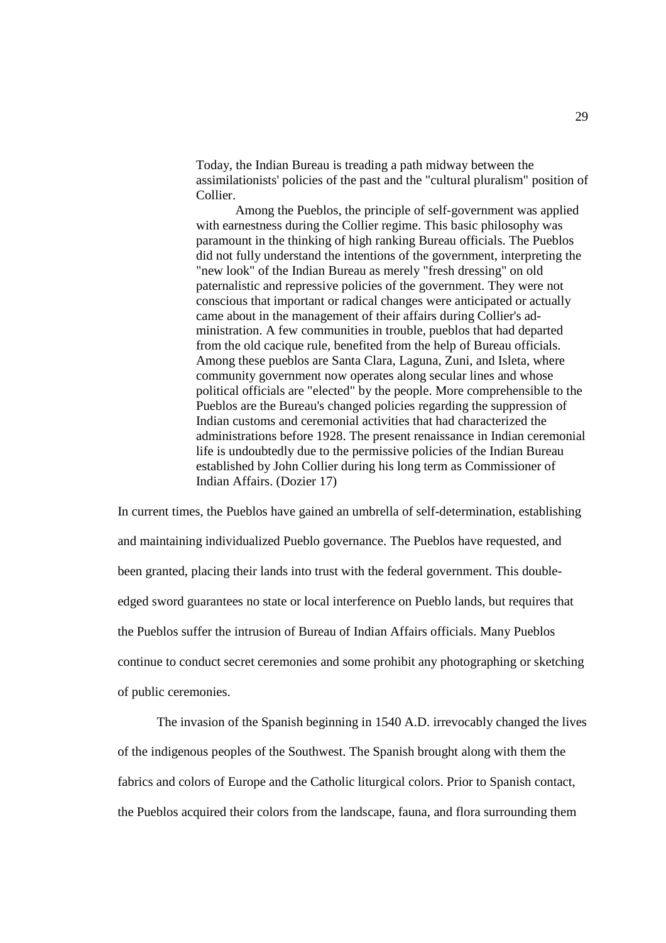Today, the Indian Bureau is treading a path midway between the assimilationists' policies of the past and the "cultural pluralism" position of Collier.

Among the Pueblos, the principle of self-government was applied with earnestness during the Collier regime. This basic philosophy was paramount in the thinking of high ranking Bureau officials. The Pueblos did not fully understand the intentions of the government, interpreting the "new look" of the Indian Bureau as merely "fresh dressing" on old paternalistic and repressive policies of the government. They were not conscious that important or radical changes were anticipated or actually came about in the management of their affairs during Collier's administration. A few communities in trouble, pueblos that had departed from the old cacique rule, benefited from the help of Bureau officials. Among these pueblos are Santa Clara, Laguna, Zuni, and Isleta, where community government now operates along secular lines and whose political officials are "elected" by the people. More comprehensible to the Pueblos are the Bureau's changed policies regarding the suppression of Indian customs and ceremonial activities that had characterized the administrations before 1928. The present renaissance in Indian ceremonial life is undoubtedly due to the permissive policies of the Indian Bureau established by John Collier during his long term as Commissioner of Indian Affairs. (Dozier 17)

In current times, the Pueblos have gained an umbrella of self-determination, establishing and maintaining individualized Pueblo governance. The Pueblos have requested, and been granted, placing their lands into trust with the federal government. This doubleedged sword guarantees no state or local interference on Pueblo lands, but requires that the Pueblos suffer the intrusion of Bureau of Indian Affairs officials. Many Pueblos continue to conduct secret ceremonies and some prohibit any photographing or sketching of public ceremonies.

The invasion of the Spanish beginning in 1540 A.D. irrevocably changed the lives of the indigenous peoples of the Southwest. The Spanish brought along with them the fabrics and colors of Europe and the Catholic liturgical colors. Prior to Spanish contact, the Pueblos acquired their colors from the landscape, fauna, and flora surrounding them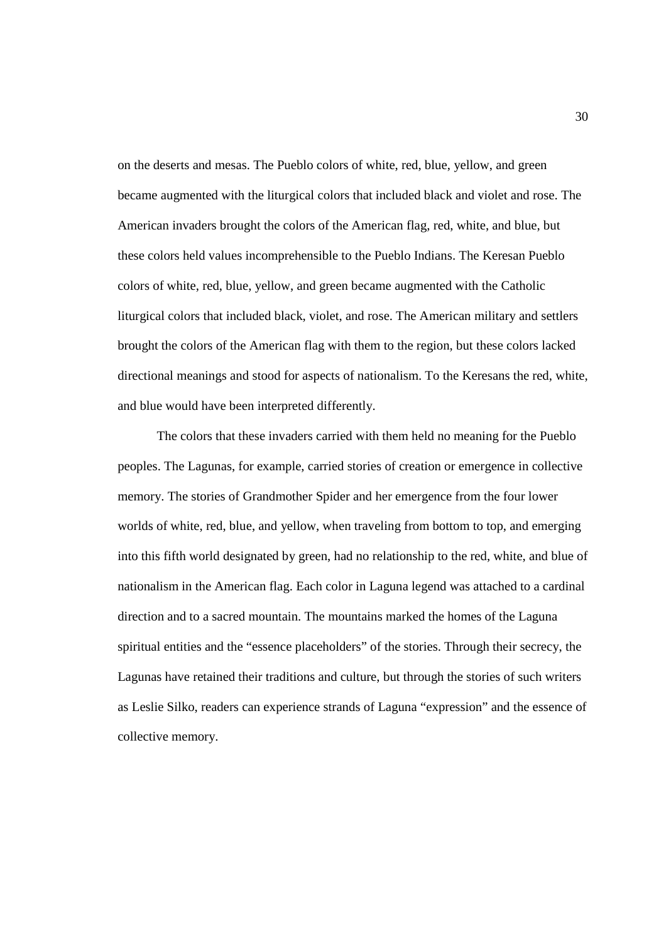on the deserts and mesas. The Pueblo colors of white, red, blue, yellow, and green became augmented with the liturgical colors that included black and violet and rose. The American invaders brought the colors of the American flag, red, white, and blue, but these colors held values incomprehensible to the Pueblo Indians. The Keresan Pueblo colors of white, red, blue, yellow, and green became augmented with the Catholic liturgical colors that included black, violet, and rose. The American military and settlers brought the colors of the American flag with them to the region, but these colors lacked directional meanings and stood for aspects of nationalism. To the Keresans the red, white, and blue would have been interpreted differently.

The colors that these invaders carried with them held no meaning for the Pueblo peoples. The Lagunas, for example, carried stories of creation or emergence in collective memory. The stories of Grandmother Spider and her emergence from the four lower worlds of white, red, blue, and yellow, when traveling from bottom to top, and emerging into this fifth world designated by green, had no relationship to the red, white, and blue of nationalism in the American flag. Each color in Laguna legend was attached to a cardinal direction and to a sacred mountain. The mountains marked the homes of the Laguna spiritual entities and the "essence placeholders" of the stories. Through their secrecy, the Lagunas have retained their traditions and culture, but through the stories of such writers as Leslie Silko, readers can experience strands of Laguna "expression" and the essence of collective memory.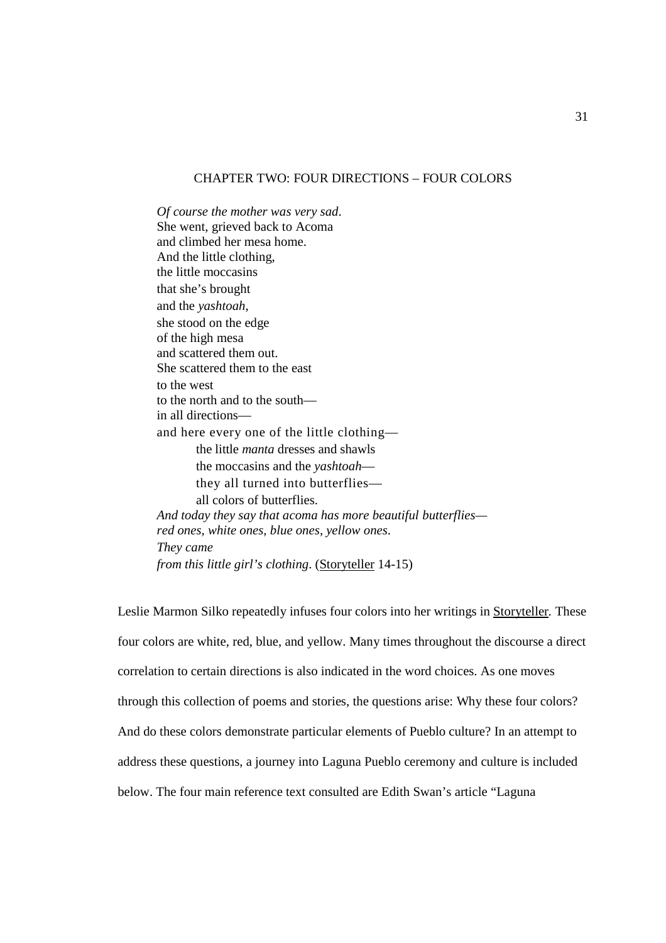#### CHAPTER TWO: FOUR DIRECTIONS – FOUR COLORS

*Of course the mother was very sad*. She went, grieved back to Acoma and climbed her mesa home. And the little clothing, the little moccasins that she's brought and the *yashtoah*, she stood on the edge of the high mesa and scattered them out. She scattered them to the east to the west to the north and to the south in all directions and here every one of the little clothing the little *manta* dresses and shawls the moccasins and the *yashtoah* they all turned into butterflies all colors of butterflies. *And today they say that acoma has more beautiful butterflies red ones, white ones, blue ones, yellow ones*. *They came from this little girl's clothing*. (Storyteller 14-15)

Leslie Marmon Silko repeatedly infuses four colors into her writings in Storyteller*.* These four colors are white, red, blue, and yellow. Many times throughout the discourse a direct correlation to certain directions is also indicated in the word choices. As one moves through this collection of poems and stories, the questions arise: Why these four colors? And do these colors demonstrate particular elements of Pueblo culture? In an attempt to address these questions, a journey into Laguna Pueblo ceremony and culture is included below. The four main reference text consulted are Edith Swan's article "Laguna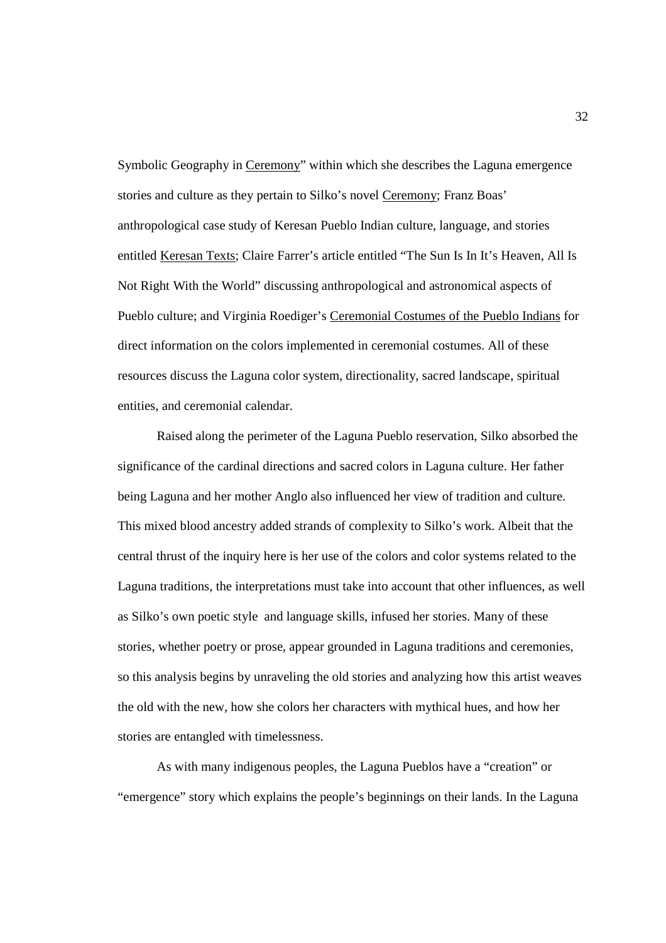Symbolic Geography in Ceremony" within which she describes the Laguna emergence stories and culture as they pertain to Silko's novel Ceremony; Franz Boas' anthropological case study of Keresan Pueblo Indian culture, language, and stories entitled Keresan Texts; Claire Farrer's article entitled "The Sun Is In It's Heaven, All Is Not Right With the World" discussing anthropological and astronomical aspects of Pueblo culture; and Virginia Roediger's Ceremonial Costumes of the Pueblo Indians for direct information on the colors implemented in ceremonial costumes. All of these resources discuss the Laguna color system, directionality, sacred landscape, spiritual entities, and ceremonial calendar.

 Raised along the perimeter of the Laguna Pueblo reservation, Silko absorbed the significance of the cardinal directions and sacred colors in Laguna culture. Her father being Laguna and her mother Anglo also influenced her view of tradition and culture. This mixed blood ancestry added strands of complexity to Silko's work. Albeit that the central thrust of the inquiry here is her use of the colors and color systems related to the Laguna traditions, the interpretations must take into account that other influences, as well as Silko's own poetic style and language skills, infused her stories. Many of these stories, whether poetry or prose, appear grounded in Laguna traditions and ceremonies, so this analysis begins by unraveling the old stories and analyzing how this artist weaves the old with the new, how she colors her characters with mythical hues, and how her stories are entangled with timelessness.

 As with many indigenous peoples, the Laguna Pueblos have a "creation" or "emergence" story which explains the people's beginnings on their lands. In the Laguna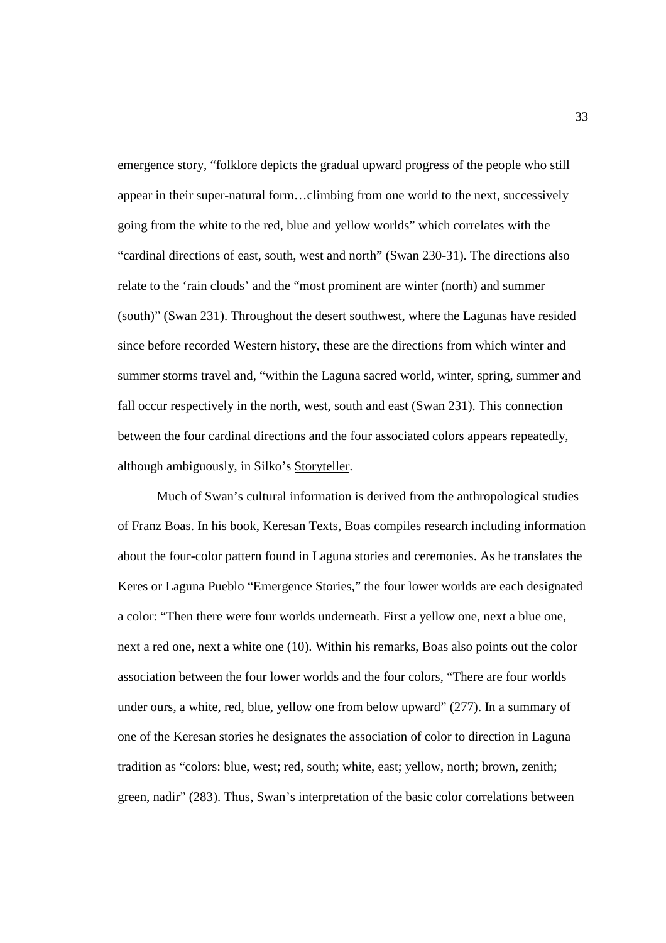emergence story, "folklore depicts the gradual upward progress of the people who still appear in their super-natural form…climbing from one world to the next, successively going from the white to the red, blue and yellow worlds" which correlates with the "cardinal directions of east, south, west and north" (Swan 230-31). The directions also relate to the 'rain clouds' and the "most prominent are winter (north) and summer (south)" (Swan 231). Throughout the desert southwest, where the Lagunas have resided since before recorded Western history, these are the directions from which winter and summer storms travel and, "within the Laguna sacred world, winter, spring, summer and fall occur respectively in the north, west, south and east (Swan 231). This connection between the four cardinal directions and the four associated colors appears repeatedly, although ambiguously, in Silko's Storyteller.

Much of Swan's cultural information is derived from the anthropological studies of Franz Boas. In his book, Keresan Texts, Boas compiles research including information about the four-color pattern found in Laguna stories and ceremonies. As he translates the Keres or Laguna Pueblo "Emergence Stories," the four lower worlds are each designated a color: "Then there were four worlds underneath. First a yellow one, next a blue one, next a red one, next a white one (10). Within his remarks, Boas also points out the color association between the four lower worlds and the four colors, "There are four worlds under ours, a white, red, blue, yellow one from below upward" (277). In a summary of one of the Keresan stories he designates the association of color to direction in Laguna tradition as "colors: blue, west; red, south; white, east; yellow, north; brown, zenith; green, nadir" (283). Thus, Swan's interpretation of the basic color correlations between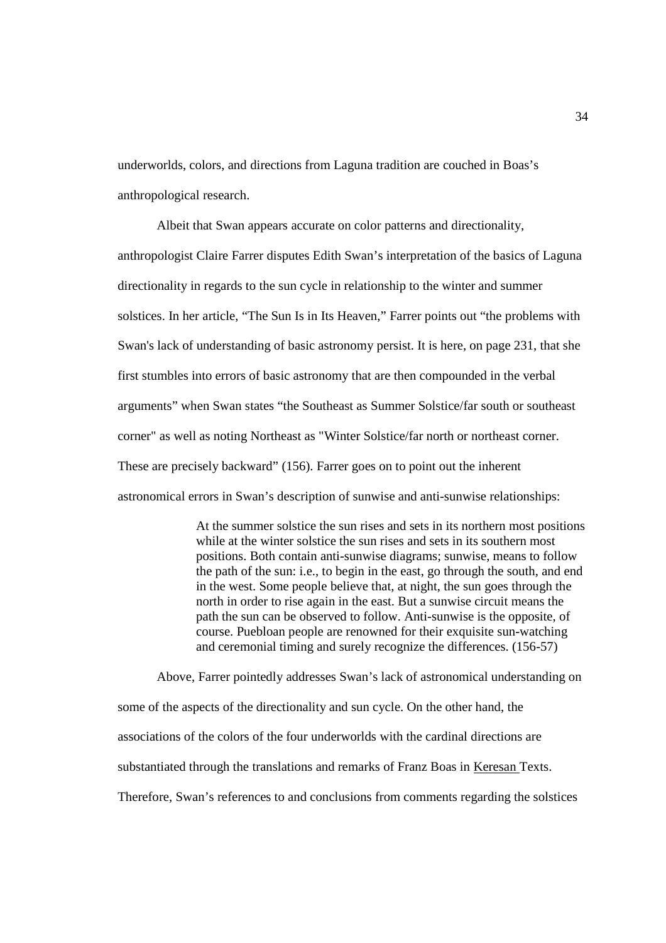underworlds, colors, and directions from Laguna tradition are couched in Boas's anthropological research.

 Albeit that Swan appears accurate on color patterns and directionality, anthropologist Claire Farrer disputes Edith Swan's interpretation of the basics of Laguna directionality in regards to the sun cycle in relationship to the winter and summer solstices. In her article, "The Sun Is in Its Heaven," Farrer points out "the problems with Swan's lack of understanding of basic astronomy persist. It is here, on page 231, that she first stumbles into errors of basic astronomy that are then compounded in the verbal arguments" when Swan states "the Southeast as Summer Solstice/far south or southeast corner" as well as noting Northeast as "Winter Solstice/far north or northeast corner. These are precisely backward" (156). Farrer goes on to point out the inherent astronomical errors in Swan's description of sunwise and anti-sunwise relationships:

> At the summer solstice the sun rises and sets in its northern most positions while at the winter solstice the sun rises and sets in its southern most positions. Both contain anti-sunwise diagrams; sunwise, means to follow the path of the sun: i.e., to begin in the east, go through the south, and end in the west. Some people believe that, at night, the sun goes through the north in order to rise again in the east. But a sunwise circuit means the path the sun can be observed to follow. Anti-sunwise is the opposite, of course. Puebloan people are renowned for their exquisite sun-watching and ceremonial timing and surely recognize the differences. (156-57)

 Above, Farrer pointedly addresses Swan's lack of astronomical understanding on some of the aspects of the directionality and sun cycle. On the other hand, the associations of the colors of the four underworlds with the cardinal directions are substantiated through the translations and remarks of Franz Boas in Keresan Texts. Therefore, Swan's references to and conclusions from comments regarding the solstices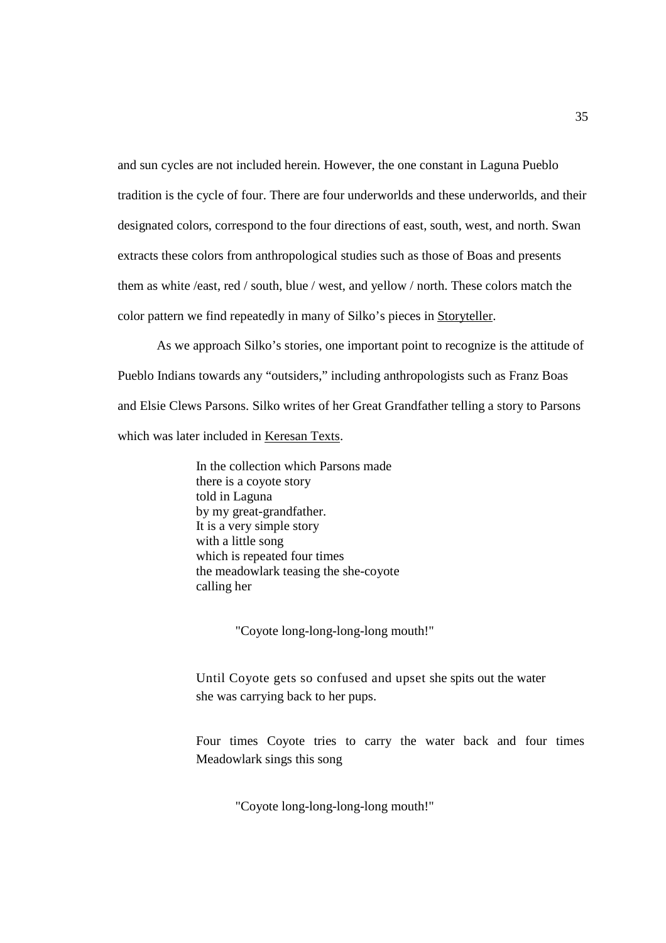and sun cycles are not included herein. However, the one constant in Laguna Pueblo tradition is the cycle of four. There are four underworlds and these underworlds, and their designated colors, correspond to the four directions of east, south, west, and north. Swan extracts these colors from anthropological studies such as those of Boas and presents them as white /east, red / south, blue / west, and yellow / north. These colors match the color pattern we find repeatedly in many of Silko's pieces in Storyteller.

 As we approach Silko's stories, one important point to recognize is the attitude of Pueblo Indians towards any "outsiders," including anthropologists such as Franz Boas and Elsie Clews Parsons. Silko writes of her Great Grandfather telling a story to Parsons which was later included in Keresan Texts.

> In the collection which Parsons made there is a coyote story told in Laguna by my great-grandfather. It is a very simple story with a little song which is repeated four times the meadowlark teasing the she-coyote calling her

> > "Coyote long-long-long-long mouth!"

Until Coyote gets so confused and upset she spits out the water she was carrying back to her pups.

Four times Coyote tries to carry the water back and four times Meadowlark sings this song

"Coyote long-long-long-long mouth!"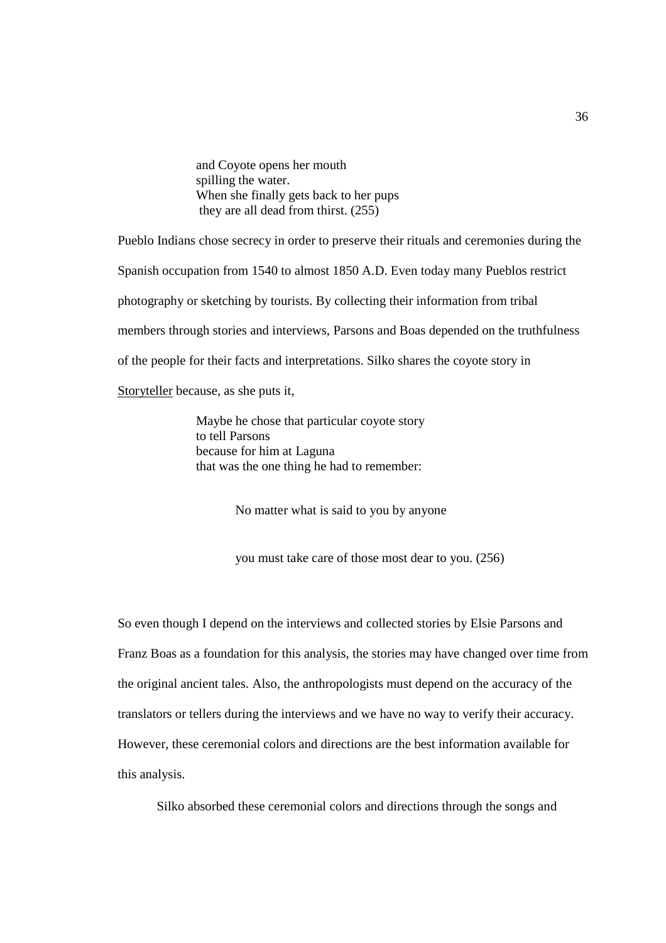and Coyote opens her mouth spilling the water. When she finally gets back to her pups they are all dead from thirst. (255)

Pueblo Indians chose secrecy in order to preserve their rituals and ceremonies during the Spanish occupation from 1540 to almost 1850 A.D. Even today many Pueblos restrict photography or sketching by tourists. By collecting their information from tribal members through stories and interviews, Parsons and Boas depended on the truthfulness of the people for their facts and interpretations. Silko shares the coyote story in Storyteller because, as she puts it,

> Maybe he chose that particular coyote story to tell Parsons because for him at Laguna that was the one thing he had to remember:

> > No matter what is said to you by anyone

you must take care of those most dear to you. (256)

So even though I depend on the interviews and collected stories by Elsie Parsons and Franz Boas as a foundation for this analysis, the stories may have changed over time from the original ancient tales. Also, the anthropologists must depend on the accuracy of the translators or tellers during the interviews and we have no way to verify their accuracy. However, these ceremonial colors and directions are the best information available for this analysis.

Silko absorbed these ceremonial colors and directions through the songs and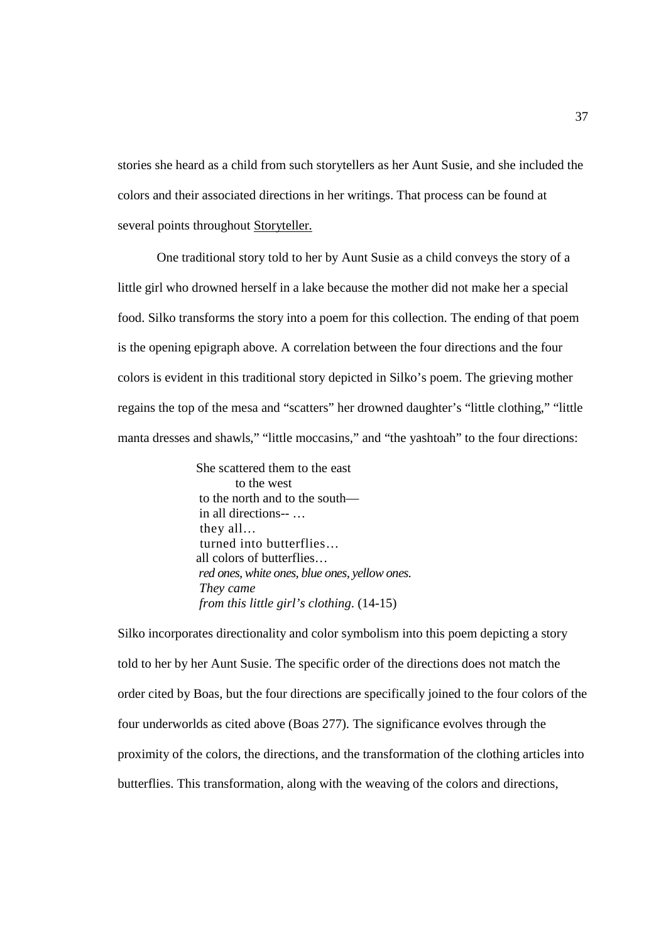stories she heard as a child from such storytellers as her Aunt Susie, and she included the colors and their associated directions in her writings. That process can be found at several points throughout Storyteller.

 One traditional story told to her by Aunt Susie as a child conveys the story of a little girl who drowned herself in a lake because the mother did not make her a special food. Silko transforms the story into a poem for this collection. The ending of that poem is the opening epigraph above. A correlation between the four directions and the four colors is evident in this traditional story depicted in Silko's poem. The grieving mother regains the top of the mesa and "scatters" her drowned daughter's "little clothing," "little manta dresses and shawls," "little moccasins," and "the yashtoah" to the four directions:

> She scattered them to the east to the west to the north and to the south in all directions-- … they all… turned into butterflies… all colors of butterflies… *red ones, white ones, blue ones, yellow ones*. *They came from this little girl's clothing*. (14-15)

Silko incorporates directionality and color symbolism into this poem depicting a story told to her by her Aunt Susie. The specific order of the directions does not match the order cited by Boas, but the four directions are specifically joined to the four colors of the four underworlds as cited above (Boas 277). The significance evolves through the proximity of the colors, the directions, and the transformation of the clothing articles into butterflies. This transformation, along with the weaving of the colors and directions,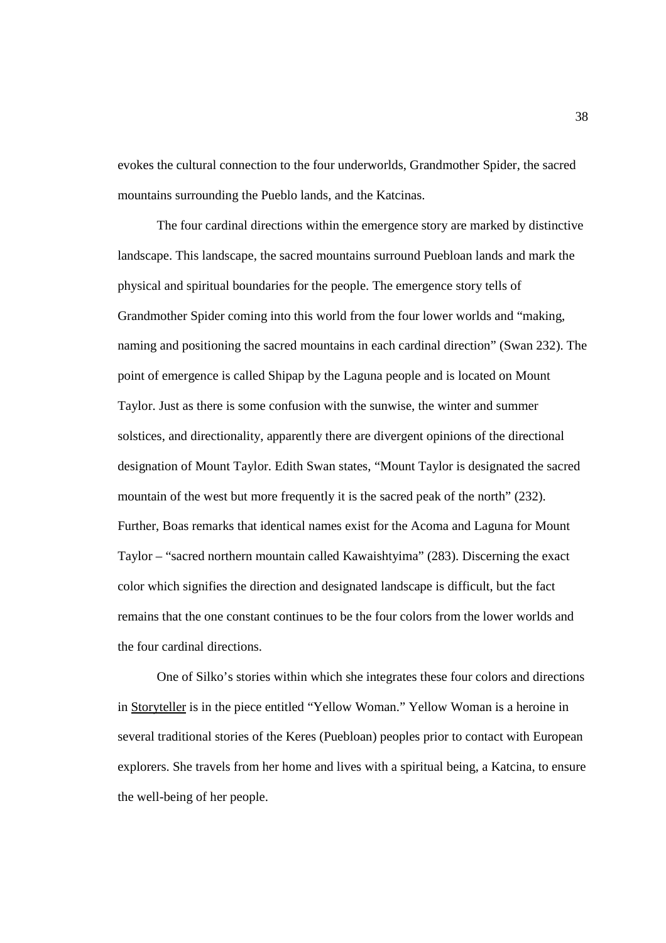evokes the cultural connection to the four underworlds, Grandmother Spider, the sacred mountains surrounding the Pueblo lands, and the Katcinas.

 The four cardinal directions within the emergence story are marked by distinctive landscape. This landscape, the sacred mountains surround Puebloan lands and mark the physical and spiritual boundaries for the people. The emergence story tells of Grandmother Spider coming into this world from the four lower worlds and "making, naming and positioning the sacred mountains in each cardinal direction" (Swan 232). The point of emergence is called Shipap by the Laguna people and is located on Mount Taylor. Just as there is some confusion with the sunwise, the winter and summer solstices, and directionality, apparently there are divergent opinions of the directional designation of Mount Taylor. Edith Swan states, "Mount Taylor is designated the sacred mountain of the west but more frequently it is the sacred peak of the north" (232). Further, Boas remarks that identical names exist for the Acoma and Laguna for Mount Taylor – "sacred northern mountain called Kawaishtyima" (283). Discerning the exact color which signifies the direction and designated landscape is difficult, but the fact remains that the one constant continues to be the four colors from the lower worlds and the four cardinal directions.

 One of Silko's stories within which she integrates these four colors and directions in Storyteller is in the piece entitled "Yellow Woman." Yellow Woman is a heroine in several traditional stories of the Keres (Puebloan) peoples prior to contact with European explorers. She travels from her home and lives with a spiritual being, a Katcina, to ensure the well-being of her people.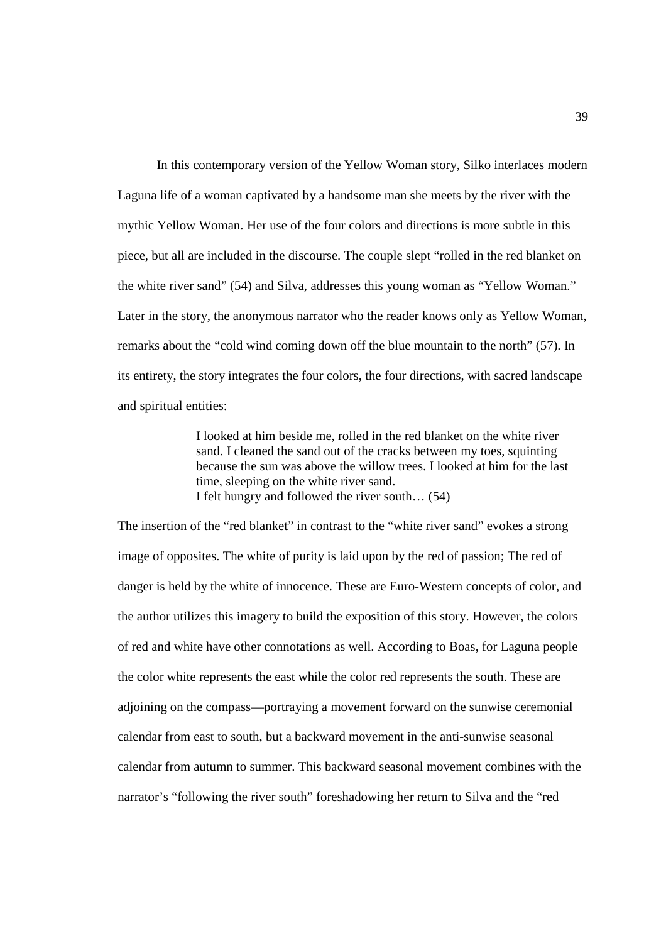In this contemporary version of the Yellow Woman story, Silko interlaces modern Laguna life of a woman captivated by a handsome man she meets by the river with the mythic Yellow Woman. Her use of the four colors and directions is more subtle in this piece, but all are included in the discourse. The couple slept "rolled in the red blanket on the white river sand" (54) and Silva, addresses this young woman as "Yellow Woman." Later in the story, the anonymous narrator who the reader knows only as Yellow Woman, remarks about the "cold wind coming down off the blue mountain to the north" (57). In its entirety, the story integrates the four colors, the four directions, with sacred landscape and spiritual entities:

> I looked at him beside me, rolled in the red blanket on the white river sand. I cleaned the sand out of the cracks between my toes, squinting because the sun was above the willow trees. I looked at him for the last time, sleeping on the white river sand. I felt hungry and followed the river south… (54)

The insertion of the "red blanket" in contrast to the "white river sand" evokes a strong image of opposites. The white of purity is laid upon by the red of passion; The red of danger is held by the white of innocence. These are Euro-Western concepts of color, and the author utilizes this imagery to build the exposition of this story. However, the colors of red and white have other connotations as well. According to Boas, for Laguna people the color white represents the east while the color red represents the south. These are adjoining on the compass—portraying a movement forward on the sunwise ceremonial calendar from east to south, but a backward movement in the anti-sunwise seasonal calendar from autumn to summer. This backward seasonal movement combines with the narrator's "following the river south" foreshadowing her return to Silva and the "red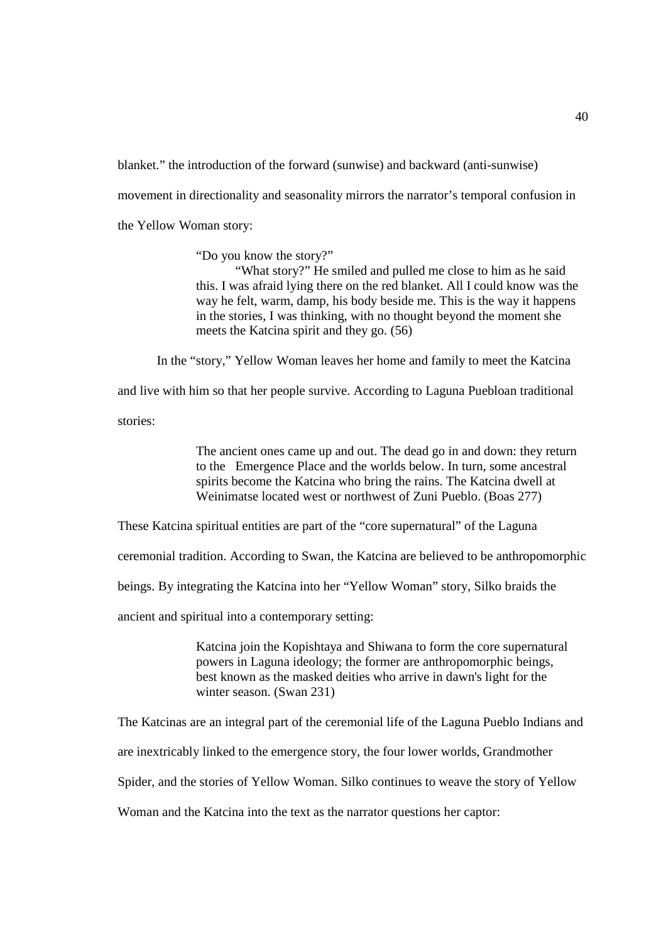blanket." the introduction of the forward (sunwise) and backward (anti-sunwise) movement in directionality and seasonality mirrors the narrator's temporal confusion in the Yellow Woman story:

"Do you know the story?"

"What story?" He smiled and pulled me close to him as he said this. I was afraid lying there on the red blanket. All I could know was the way he felt, warm, damp, his body beside me. This is the way it happens in the stories, I was thinking, with no thought beyond the moment she meets the Katcina spirit and they go. (56)

In the "story," Yellow Woman leaves her home and family to meet the Katcina

and live with him so that her people survive. According to Laguna Puebloan traditional

stories:

The ancient ones came up and out. The dead go in and down: they return to the Emergence Place and the worlds below. In turn, some ancestral spirits become the Katcina who bring the rains. The Katcina dwell at Weinimatse located west or northwest of Zuni Pueblo. (Boas 277)

These Katcina spiritual entities are part of the "core supernatural" of the Laguna

ceremonial tradition. According to Swan, the Katcina are believed to be anthropomorphic

beings. By integrating the Katcina into her "Yellow Woman" story, Silko braids the

ancient and spiritual into a contemporary setting:

Katcina join the Kopishtaya and Shiwana to form the core supernatural powers in Laguna ideology; the former are anthropomorphic beings, best known as the masked deities who arrive in dawn's light for the winter season. (Swan 231)

The Katcinas are an integral part of the ceremonial life of the Laguna Pueblo Indians and

are inextricably linked to the emergence story, the four lower worlds, Grandmother

Spider, and the stories of Yellow Woman. Silko continues to weave the story of Yellow

Woman and the Katcina into the text as the narrator questions her captor: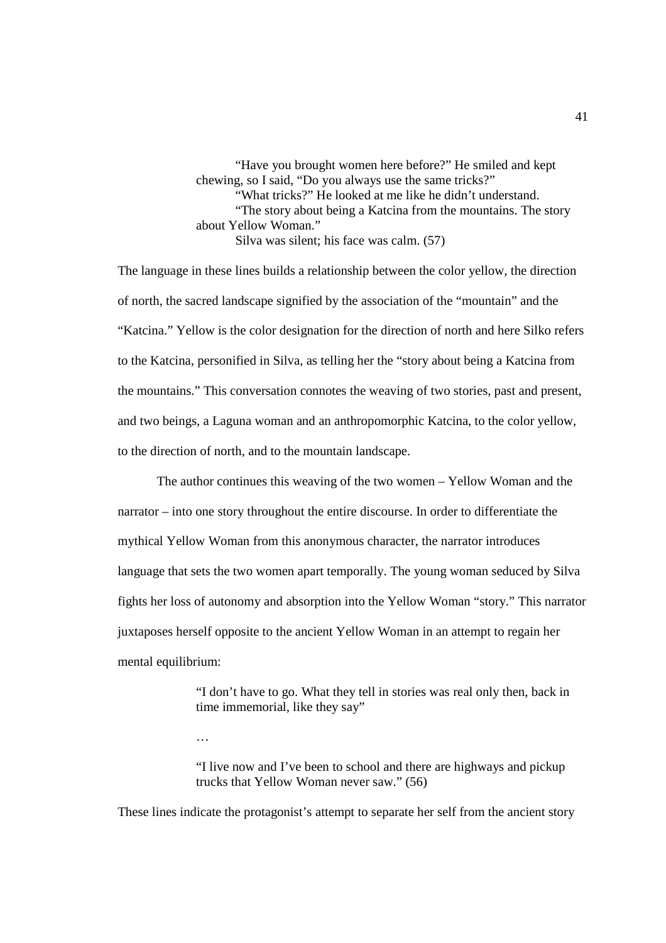"Have you brought women here before?" He smiled and kept chewing, so I said, "Do you always use the same tricks?" "What tricks?" He looked at me like he didn't understand. "The story about being a Katcina from the mountains. The story about Yellow Woman." Silva was silent; his face was calm. (57)

The language in these lines builds a relationship between the color yellow, the direction of north, the sacred landscape signified by the association of the "mountain" and the "Katcina." Yellow is the color designation for the direction of north and here Silko refers to the Katcina, personified in Silva, as telling her the "story about being a Katcina from the mountains." This conversation connotes the weaving of two stories, past and present, and two beings, a Laguna woman and an anthropomorphic Katcina, to the color yellow, to the direction of north, and to the mountain landscape.

 The author continues this weaving of the two women – Yellow Woman and the narrator – into one story throughout the entire discourse. In order to differentiate the mythical Yellow Woman from this anonymous character, the narrator introduces language that sets the two women apart temporally. The young woman seduced by Silva fights her loss of autonomy and absorption into the Yellow Woman "story." This narrator juxtaposes herself opposite to the ancient Yellow Woman in an attempt to regain her mental equilibrium:

> "I don't have to go. What they tell in stories was real only then, back in time immemorial, like they say"

"I live now and I've been to school and there are highways and pickup trucks that Yellow Woman never saw." (56)

These lines indicate the protagonist's attempt to separate her self from the ancient story

…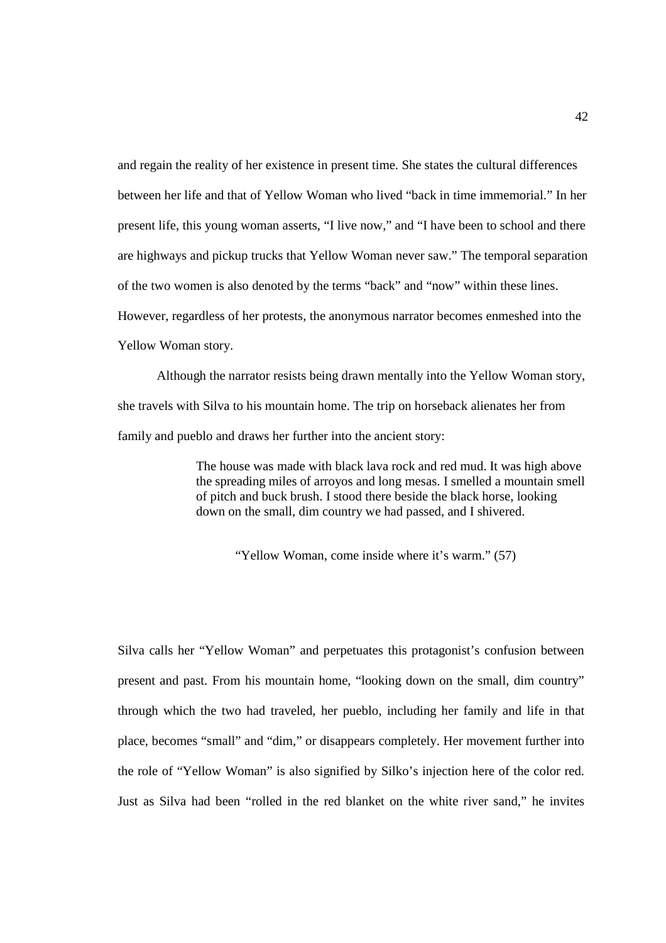and regain the reality of her existence in present time. She states the cultural differences between her life and that of Yellow Woman who lived "back in time immemorial." In her present life, this young woman asserts, "I live now," and "I have been to school and there are highways and pickup trucks that Yellow Woman never saw." The temporal separation of the two women is also denoted by the terms "back" and "now" within these lines. However, regardless of her protests, the anonymous narrator becomes enmeshed into the Yellow Woman story.

Although the narrator resists being drawn mentally into the Yellow Woman story, she travels with Silva to his mountain home. The trip on horseback alienates her from family and pueblo and draws her further into the ancient story:

> The house was made with black lava rock and red mud. It was high above the spreading miles of arroyos and long mesas. I smelled a mountain smell of pitch and buck brush. I stood there beside the black horse, looking down on the small, dim country we had passed, and I shivered.

"Yellow Woman, come inside where it's warm." (57)

Silva calls her "Yellow Woman" and perpetuates this protagonist's confusion between present and past. From his mountain home, "looking down on the small, dim country" through which the two had traveled, her pueblo, including her family and life in that place, becomes "small" and "dim," or disappears completely. Her movement further into the role of "Yellow Woman" is also signified by Silko's injection here of the color red. Just as Silva had been "rolled in the red blanket on the white river sand," he invites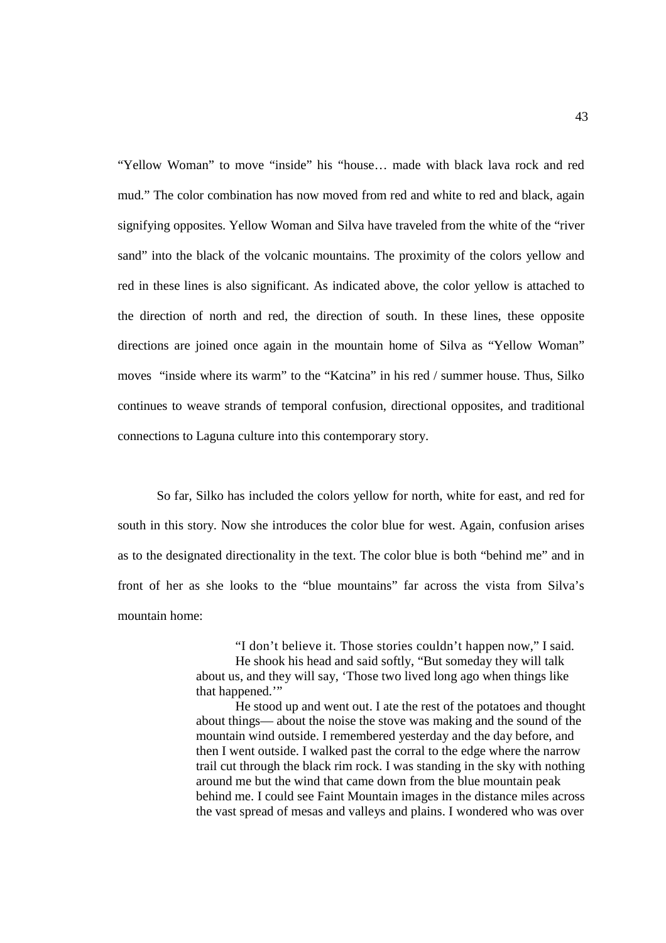"Yellow Woman" to move "inside" his "house… made with black lava rock and red mud." The color combination has now moved from red and white to red and black, again signifying opposites. Yellow Woman and Silva have traveled from the white of the "river sand" into the black of the volcanic mountains. The proximity of the colors yellow and red in these lines is also significant. As indicated above, the color yellow is attached to the direction of north and red, the direction of south. In these lines, these opposite directions are joined once again in the mountain home of Silva as "Yellow Woman" moves "inside where its warm" to the "Katcina" in his red / summer house. Thus, Silko continues to weave strands of temporal confusion, directional opposites, and traditional connections to Laguna culture into this contemporary story.

 So far, Silko has included the colors yellow for north, white for east, and red for south in this story. Now she introduces the color blue for west. Again, confusion arises as to the designated directionality in the text. The color blue is both "behind me" and in front of her as she looks to the "blue mountains" far across the vista from Silva's mountain home:

> "I don't believe it. Those stories couldn't happen now," I said. He shook his head and said softly, "But someday they will talk about us, and they will say, 'Those two lived long ago when things like that happened."

He stood up and went out. I ate the rest of the potatoes and thought about things— about the noise the stove was making and the sound of the mountain wind outside. I remembered yesterday and the day before, and then I went outside. I walked past the corral to the edge where the narrow trail cut through the black rim rock. I was standing in the sky with nothing around me but the wind that came down from the blue mountain peak behind me. I could see Faint Mountain images in the distance miles across the vast spread of mesas and valleys and plains. I wondered who was over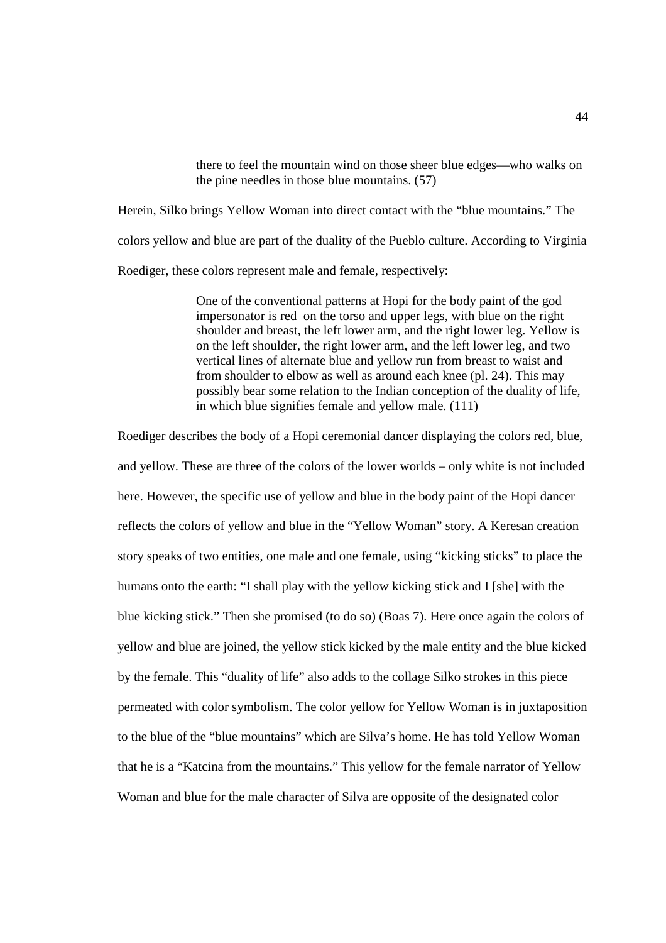there to feel the mountain wind on those sheer blue edges—who walks on the pine needles in those blue mountains. (57)

Herein, Silko brings Yellow Woman into direct contact with the "blue mountains." The colors yellow and blue are part of the duality of the Pueblo culture. According to Virginia Roediger, these colors represent male and female, respectively:

> One of the conventional patterns at Hopi for the body paint of the god impersonator is red on the torso and upper legs, with blue on the right shoulder and breast, the left lower arm, and the right lower leg. Yellow is on the left shoulder, the right lower arm, and the left lower leg, and two vertical lines of alternate blue and yellow run from breast to waist and from shoulder to elbow as well as around each knee (pl. 24). This may possibly bear some relation to the Indian conception of the duality of life, in which blue signifies female and yellow male. (111)

Roediger describes the body of a Hopi ceremonial dancer displaying the colors red, blue, and yellow. These are three of the colors of the lower worlds – only white is not included here. However, the specific use of yellow and blue in the body paint of the Hopi dancer reflects the colors of yellow and blue in the "Yellow Woman" story. A Keresan creation story speaks of two entities, one male and one female, using "kicking sticks" to place the humans onto the earth: "I shall play with the yellow kicking stick and I [she] with the blue kicking stick." Then she promised (to do so) (Boas 7). Here once again the colors of yellow and blue are joined, the yellow stick kicked by the male entity and the blue kicked by the female. This "duality of life" also adds to the collage Silko strokes in this piece permeated with color symbolism. The color yellow for Yellow Woman is in juxtaposition to the blue of the "blue mountains" which are Silva's home. He has told Yellow Woman that he is a "Katcina from the mountains." This yellow for the female narrator of Yellow Woman and blue for the male character of Silva are opposite of the designated color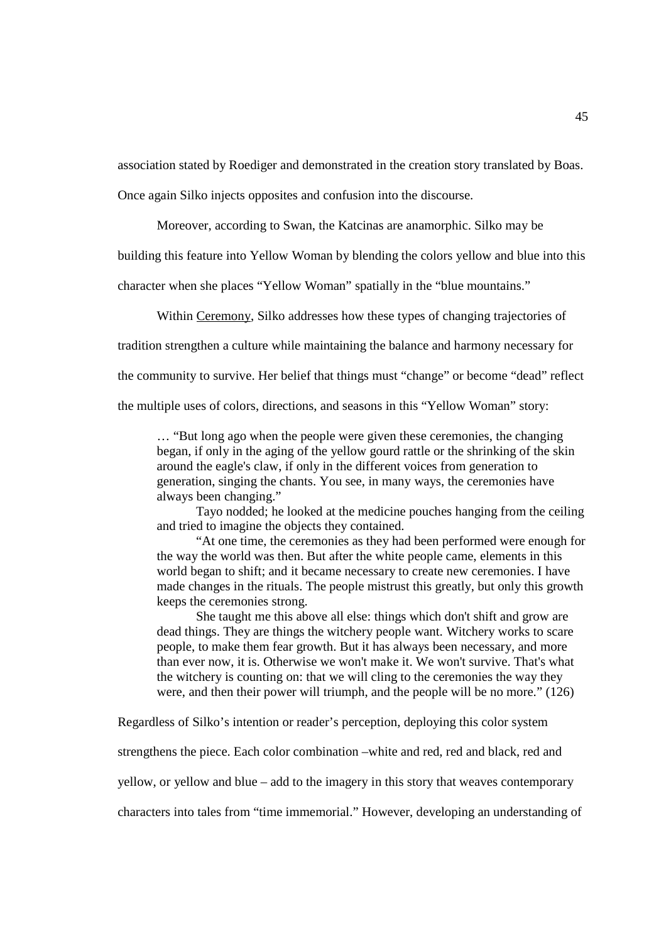association stated by Roediger and demonstrated in the creation story translated by Boas.

Once again Silko injects opposites and confusion into the discourse.

Moreover, according to Swan, the Katcinas are anamorphic. Silko may be

building this feature into Yellow Woman by blending the colors yellow and blue into this

character when she places "Yellow Woman" spatially in the "blue mountains."

Within Ceremony, Silko addresses how these types of changing trajectories of

tradition strengthen a culture while maintaining the balance and harmony necessary for

the community to survive. Her belief that things must "change" or become "dead" reflect

the multiple uses of colors, directions, and seasons in this "Yellow Woman" story:

… "But long ago when the people were given these ceremonies, the changing began, if only in the aging of the yellow gourd rattle or the shrinking of the skin around the eagle's claw, if only in the different voices from generation to generation, singing the chants. You see, in many ways, the ceremonies have always been changing."

Tayo nodded; he looked at the medicine pouches hanging from the ceiling and tried to imagine the objects they contained.

"At one time, the ceremonies as they had been performed were enough for the way the world was then. But after the white people came, elements in this world began to shift; and it became necessary to create new ceremonies. I have made changes in the rituals. The people mistrust this greatly, but only this growth keeps the ceremonies strong.

She taught me this above all else: things which don't shift and grow are dead things. They are things the witchery people want. Witchery works to scare people, to make them fear growth. But it has always been necessary, and more than ever now, it is. Otherwise we won't make it. We won't survive. That's what the witchery is counting on: that we will cling to the ceremonies the way they were, and then their power will triumph, and the people will be no more." (126)

Regardless of Silko's intention or reader's perception, deploying this color system

strengthens the piece. Each color combination –white and red, red and black, red and

yellow, or yellow and blue – add to the imagery in this story that weaves contemporary

characters into tales from "time immemorial." However, developing an understanding of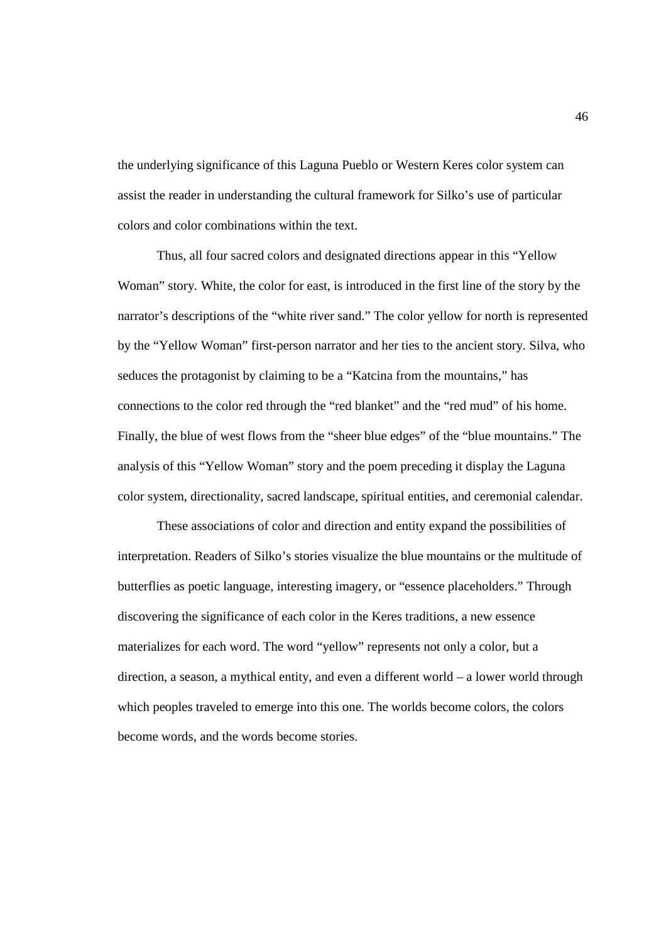the underlying significance of this Laguna Pueblo or Western Keres color system can assist the reader in understanding the cultural framework for Silko's use of particular colors and color combinations within the text.

 Thus, all four sacred colors and designated directions appear in this "Yellow Woman" story. White, the color for east, is introduced in the first line of the story by the narrator's descriptions of the "white river sand." The color yellow for north is represented by the "Yellow Woman" first-person narrator and her ties to the ancient story. Silva, who seduces the protagonist by claiming to be a "Katcina from the mountains," has connections to the color red through the "red blanket" and the "red mud" of his home. Finally, the blue of west flows from the "sheer blue edges" of the "blue mountains." The analysis of this "Yellow Woman" story and the poem preceding it display the Laguna color system, directionality, sacred landscape, spiritual entities, and ceremonial calendar.

 These associations of color and direction and entity expand the possibilities of interpretation. Readers of Silko's stories visualize the blue mountains or the multitude of butterflies as poetic language, interesting imagery, or "essence placeholders." Through discovering the significance of each color in the Keres traditions, a new essence materializes for each word. The word "yellow" represents not only a color, but a direction, a season, a mythical entity, and even a different world – a lower world through which peoples traveled to emerge into this one. The worlds become colors, the colors become words, and the words become stories.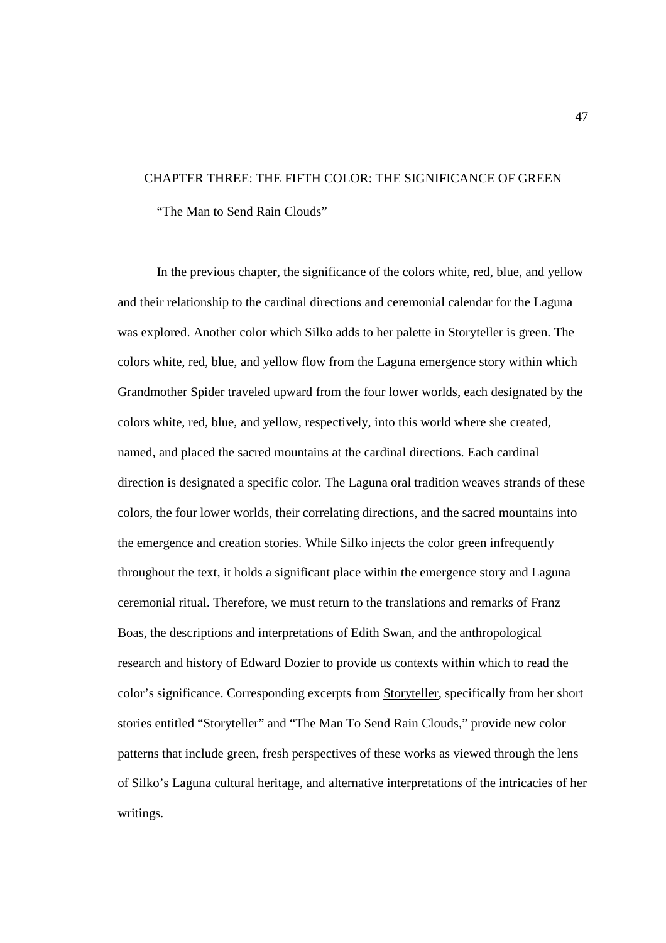## CHAPTER THREE: THE FIFTH COLOR: THE SIGNIFICANCE OF GREEN

"The Man to Send Rain Clouds"

In the previous chapter, the significance of the colors white, red, blue, and yellow and their relationship to the cardinal directions and ceremonial calendar for the Laguna was explored. Another color which Silko adds to her palette in Storyteller is green. The colors white, red, blue, and yellow flow from the Laguna emergence story within which Grandmother Spider traveled upward from the four lower worlds, each designated by the colors white, red, blue, and yellow, respectively, into this world where she created, named, and placed the sacred mountains at the cardinal directions. Each cardinal direction is designated a specific color. The Laguna oral tradition weaves strands of these colors, the four lower worlds, their correlating directions, and the sacred mountains into the emergence and creation stories. While Silko injects the color green infrequently throughout the text, it holds a significant place within the emergence story and Laguna ceremonial ritual. Therefore, we must return to the translations and remarks of Franz Boas, the descriptions and interpretations of Edith Swan, and the anthropological research and history of Edward Dozier to provide us contexts within which to read the color's significance. Corresponding excerpts from Storyteller, specifically from her short stories entitled "Storyteller" and "The Man To Send Rain Clouds," provide new color patterns that include green, fresh perspectives of these works as viewed through the lens of Silko's Laguna cultural heritage, and alternative interpretations of the intricacies of her writings.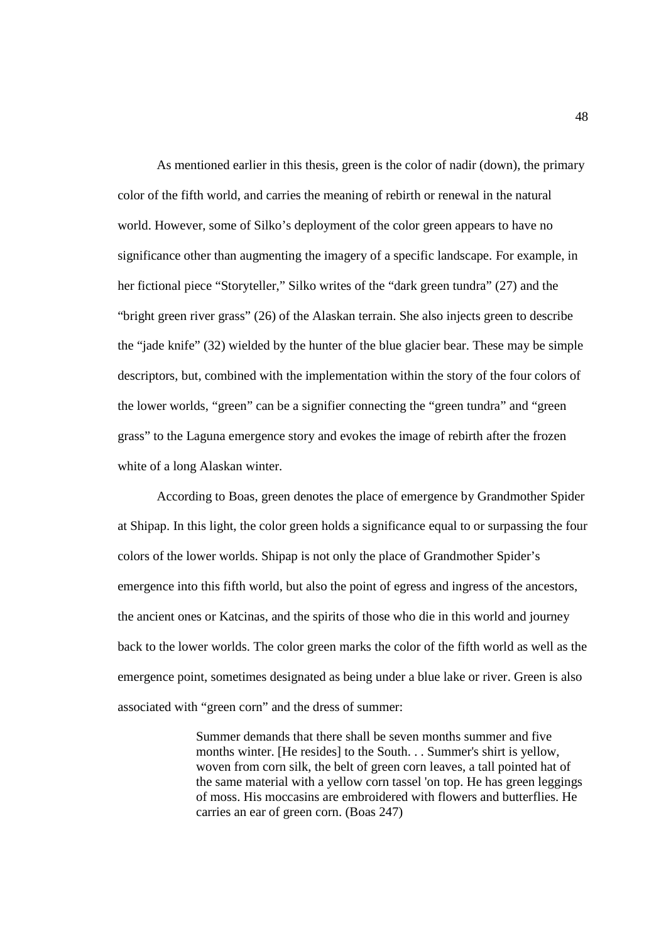As mentioned earlier in this thesis, green is the color of nadir (down), the primary color of the fifth world, and carries the meaning of rebirth or renewal in the natural world. However, some of Silko's deployment of the color green appears to have no significance other than augmenting the imagery of a specific landscape. For example, in her fictional piece "Storyteller," Silko writes of the "dark green tundra" (27) and the "bright green river grass" (26) of the Alaskan terrain. She also injects green to describe the "jade knife" (32) wielded by the hunter of the blue glacier bear. These may be simple descriptors, but, combined with the implementation within the story of the four colors of the lower worlds, "green" can be a signifier connecting the "green tundra" and "green grass" to the Laguna emergence story and evokes the image of rebirth after the frozen white of a long Alaskan winter.

 According to Boas, green denotes the place of emergence by Grandmother Spider at Shipap. In this light, the color green holds a significance equal to or surpassing the four colors of the lower worlds. Shipap is not only the place of Grandmother Spider's emergence into this fifth world, but also the point of egress and ingress of the ancestors, the ancient ones or Katcinas, and the spirits of those who die in this world and journey back to the lower worlds. The color green marks the color of the fifth world as well as the emergence point, sometimes designated as being under a blue lake or river. Green is also associated with "green corn" and the dress of summer:

> Summer demands that there shall be seven months summer and five months winter. [He resides] to the South. . . Summer's shirt is yellow, woven from corn silk, the belt of green corn leaves, a tall pointed hat of the same material with a yellow corn tassel 'on top. He has green leggings of moss. His moccasins are embroidered with flowers and butterflies. He carries an ear of green corn. (Boas 247)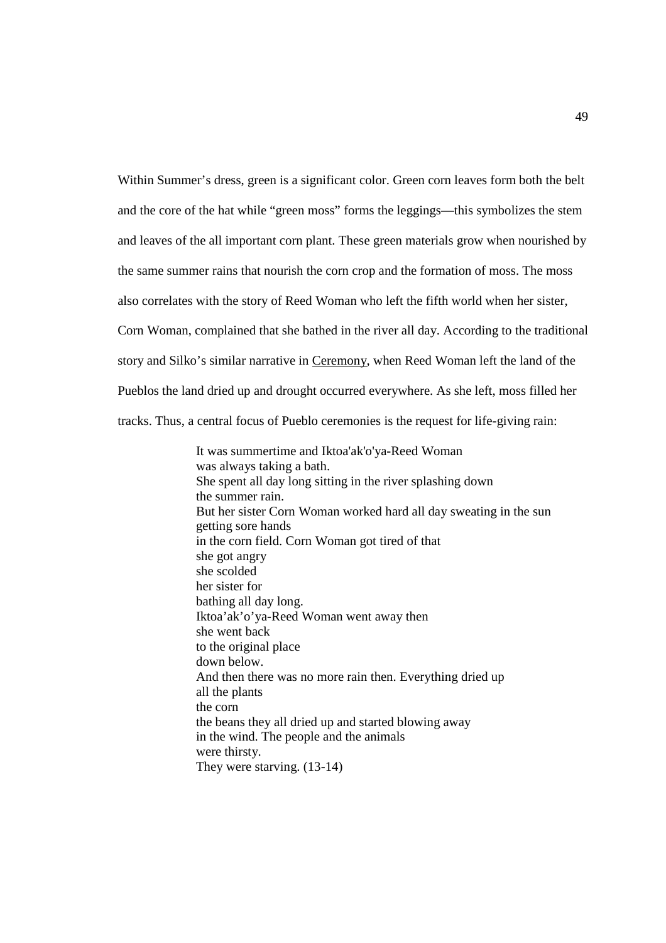Within Summer's dress, green is a significant color. Green corn leaves form both the belt and the core of the hat while "green moss" forms the leggings—this symbolizes the stem and leaves of the all important corn plant. These green materials grow when nourished by the same summer rains that nourish the corn crop and the formation of moss. The moss also correlates with the story of Reed Woman who left the fifth world when her sister, Corn Woman, complained that she bathed in the river all day. According to the traditional story and Silko's similar narrative in Ceremony, when Reed Woman left the land of the Pueblos the land dried up and drought occurred everywhere. As she left, moss filled her tracks. Thus, a central focus of Pueblo ceremonies is the request for life-giving rain:

> It was summertime and Iktoa'ak'o'ya-Reed Woman was always taking a bath. She spent all day long sitting in the river splashing down the summer rain. But her sister Corn Woman worked hard all day sweating in the sun getting sore hands in the corn field. Corn Woman got tired of that she got angry she scolded her sister for bathing all day long. Iktoa'ak'o'ya-Reed Woman went away then she went back to the original place down below. And then there was no more rain then. Everything dried up all the plants the corn the beans they all dried up and started blowing away in the wind. The people and the animals were thirsty. They were starving. (13-14)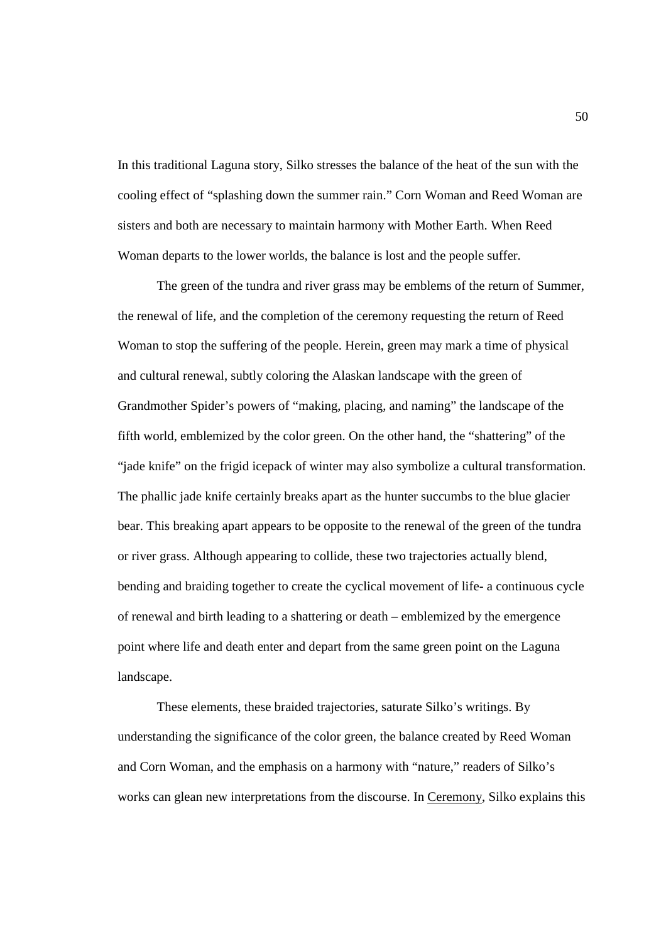In this traditional Laguna story, Silko stresses the balance of the heat of the sun with the cooling effect of "splashing down the summer rain." Corn Woman and Reed Woman are sisters and both are necessary to maintain harmony with Mother Earth. When Reed Woman departs to the lower worlds, the balance is lost and the people suffer.

The green of the tundra and river grass may be emblems of the return of Summer, the renewal of life, and the completion of the ceremony requesting the return of Reed Woman to stop the suffering of the people. Herein, green may mark a time of physical and cultural renewal, subtly coloring the Alaskan landscape with the green of Grandmother Spider's powers of "making, placing, and naming" the landscape of the fifth world, emblemized by the color green. On the other hand, the "shattering" of the "jade knife" on the frigid icepack of winter may also symbolize a cultural transformation. The phallic jade knife certainly breaks apart as the hunter succumbs to the blue glacier bear. This breaking apart appears to be opposite to the renewal of the green of the tundra or river grass. Although appearing to collide, these two trajectories actually blend, bending and braiding together to create the cyclical movement of life- a continuous cycle of renewal and birth leading to a shattering or death – emblemized by the emergence point where life and death enter and depart from the same green point on the Laguna landscape.

 These elements, these braided trajectories, saturate Silko's writings. By understanding the significance of the color green, the balance created by Reed Woman and Corn Woman, and the emphasis on a harmony with "nature," readers of Silko's works can glean new interpretations from the discourse. In Ceremony, Silko explains this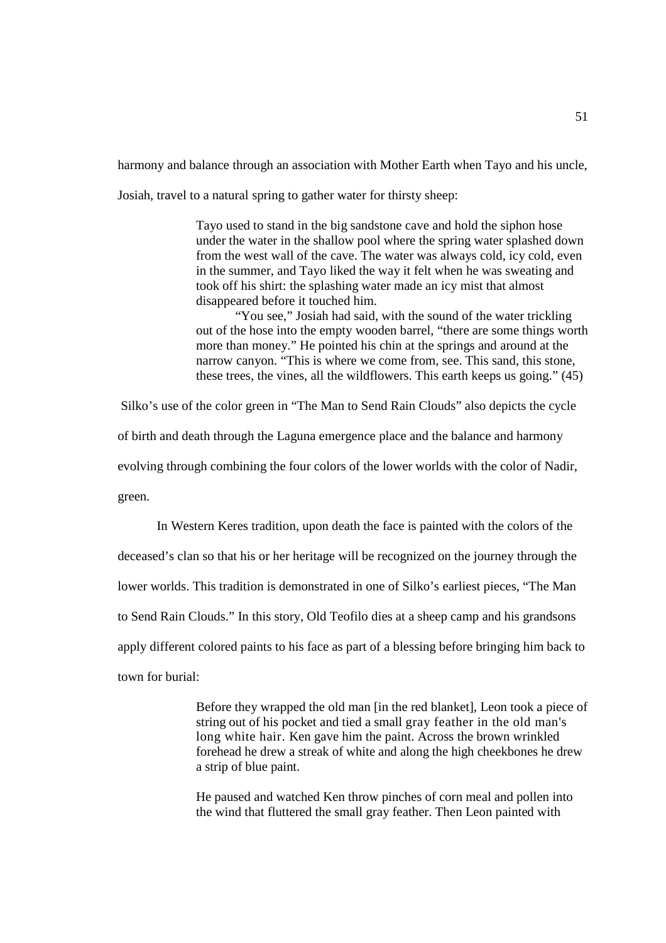harmony and balance through an association with Mother Earth when Tayo and his uncle, Josiah, travel to a natural spring to gather water for thirsty sheep:

> Tayo used to stand in the big sandstone cave and hold the siphon hose under the water in the shallow pool where the spring water splashed down from the west wall of the cave. The water was always cold, icy cold, even in the summer, and Tayo liked the way it felt when he was sweating and took off his shirt: the splashing water made an icy mist that almost disappeared before it touched him.

"You see," Josiah had said, with the sound of the water trickling out of the hose into the empty wooden barrel, "there are some things worth more than money." He pointed his chin at the springs and around at the narrow canyon. "This is where we come from, see. This sand, this stone, these trees, the vines, all the wildflowers. This earth keeps us going." (45)

 Silko's use of the color green in "The Man to Send Rain Clouds" also depicts the cycle of birth and death through the Laguna emergence place and the balance and harmony evolving through combining the four colors of the lower worlds with the color of Nadir, green.

 In Western Keres tradition, upon death the face is painted with the colors of the deceased's clan so that his or her heritage will be recognized on the journey through the lower worlds. This tradition is demonstrated in one of Silko's earliest pieces, "The Man to Send Rain Clouds." In this story, Old Teofilo dies at a sheep camp and his grandsons apply different colored paints to his face as part of a blessing before bringing him back to town for burial:

> Before they wrapped the old man [in the red blanket], Leon took a piece of string out of his pocket and tied a small gray feather in the old man's long white hair. Ken gave him the paint. Across the brown wrinkled forehead he drew a streak of white and along the high cheekbones he drew a strip of blue paint.

He paused and watched Ken throw pinches of corn meal and pollen into the wind that fluttered the small gray feather. Then Leon painted with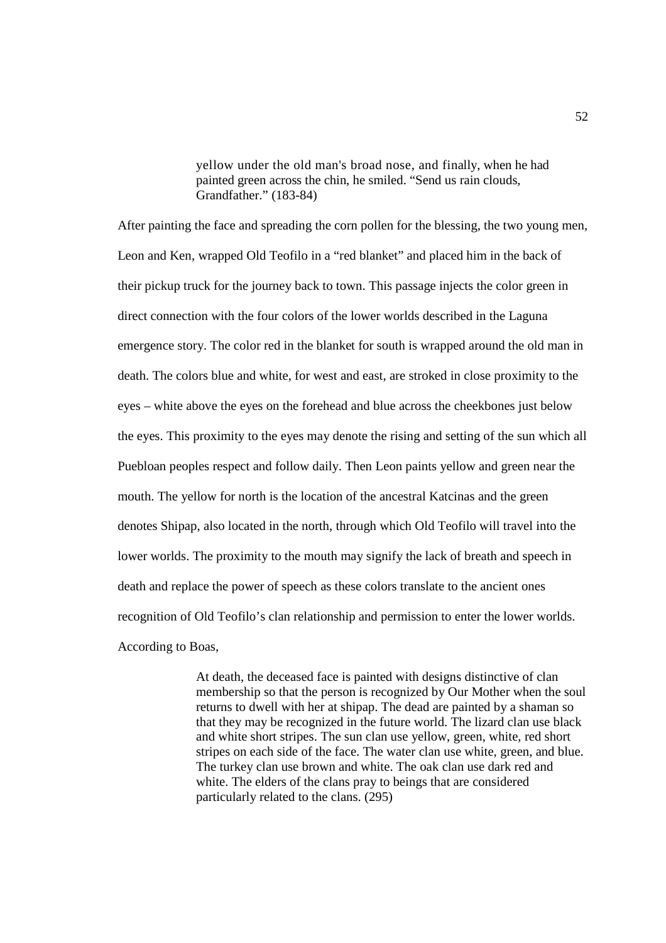yellow under the old man's broad nose, and finally, when he had painted green across the chin, he smiled. "Send us rain clouds, Grandfather." (183-84)

After painting the face and spreading the corn pollen for the blessing, the two young men, Leon and Ken, wrapped Old Teofilo in a "red blanket" and placed him in the back of their pickup truck for the journey back to town. This passage injects the color green in direct connection with the four colors of the lower worlds described in the Laguna emergence story. The color red in the blanket for south is wrapped around the old man in death. The colors blue and white, for west and east, are stroked in close proximity to the eyes – white above the eyes on the forehead and blue across the cheekbones just below the eyes. This proximity to the eyes may denote the rising and setting of the sun which all Puebloan peoples respect and follow daily. Then Leon paints yellow and green near the mouth. The yellow for north is the location of the ancestral Katcinas and the green denotes Shipap, also located in the north, through which Old Teofilo will travel into the lower worlds. The proximity to the mouth may signify the lack of breath and speech in death and replace the power of speech as these colors translate to the ancient ones recognition of Old Teofilo's clan relationship and permission to enter the lower worlds. According to Boas,

> At death, the deceased face is painted with designs distinctive of clan membership so that the person is recognized by Our Mother when the soul returns to dwell with her at shipap. The dead are painted by a shaman so that they may be recognized in the future world. The lizard clan use black and white short stripes. The sun clan use yellow, green, white, red short stripes on each side of the face. The water clan use white, green, and blue. The turkey clan use brown and white. The oak clan use dark red and white. The elders of the clans pray to beings that are considered particularly related to the clans. (295)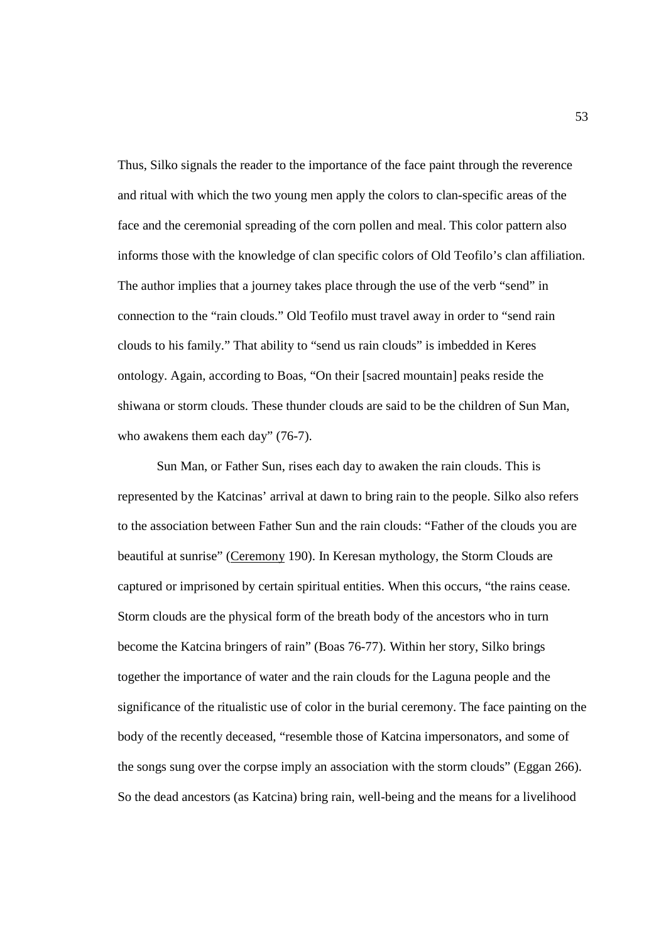Thus, Silko signals the reader to the importance of the face paint through the reverence and ritual with which the two young men apply the colors to clan-specific areas of the face and the ceremonial spreading of the corn pollen and meal. This color pattern also informs those with the knowledge of clan specific colors of Old Teofilo's clan affiliation. The author implies that a journey takes place through the use of the verb "send" in connection to the "rain clouds." Old Teofilo must travel away in order to "send rain clouds to his family." That ability to "send us rain clouds" is imbedded in Keres ontology. Again, according to Boas, "On their [sacred mountain] peaks reside the shiwana or storm clouds. These thunder clouds are said to be the children of Sun Man, who awakens them each day" (76-7).

Sun Man, or Father Sun, rises each day to awaken the rain clouds. This is represented by the Katcinas' arrival at dawn to bring rain to the people. Silko also refers to the association between Father Sun and the rain clouds: "Father of the clouds you are beautiful at sunrise" (Ceremony 190). In Keresan mythology, the Storm Clouds are captured or imprisoned by certain spiritual entities. When this occurs, "the rains cease. Storm clouds are the physical form of the breath body of the ancestors who in turn become the Katcina bringers of rain" (Boas 76-77). Within her story, Silko brings together the importance of water and the rain clouds for the Laguna people and the significance of the ritualistic use of color in the burial ceremony. The face painting on the body of the recently deceased, "resemble those of Katcina impersonators, and some of the songs sung over the corpse imply an association with the storm clouds" (Eggan 266). So the dead ancestors (as Katcina) bring rain, well-being and the means for a livelihood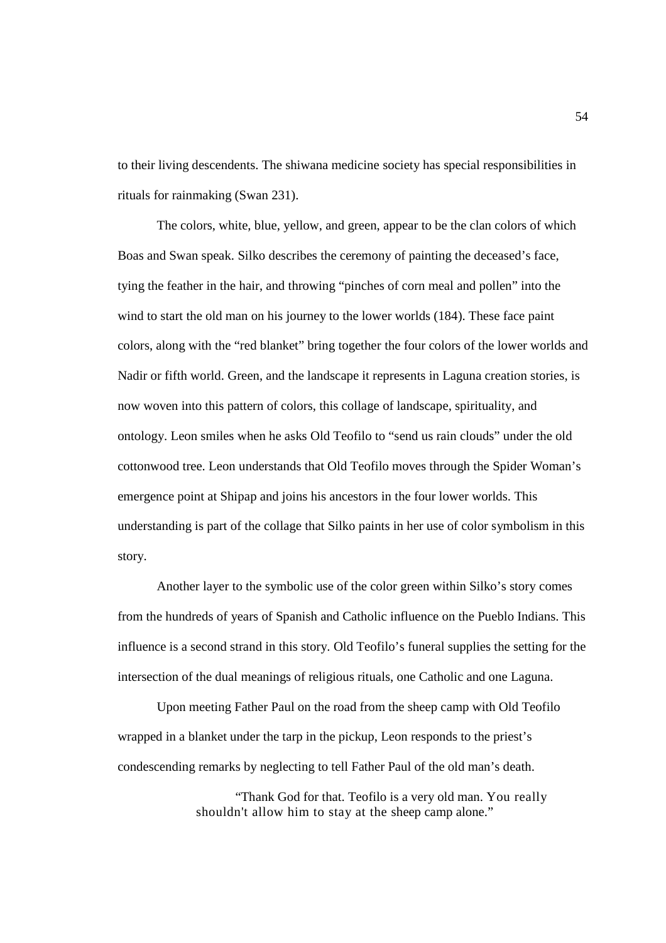to their living descendents. The shiwana medicine society has special responsibilities in rituals for rainmaking (Swan 231).

The colors, white, blue, yellow, and green, appear to be the clan colors of which Boas and Swan speak. Silko describes the ceremony of painting the deceased's face, tying the feather in the hair, and throwing "pinches of corn meal and pollen" into the wind to start the old man on his journey to the lower worlds (184). These face paint colors, along with the "red blanket" bring together the four colors of the lower worlds and Nadir or fifth world. Green, and the landscape it represents in Laguna creation stories, is now woven into this pattern of colors, this collage of landscape, spirituality, and ontology. Leon smiles when he asks Old Teofilo to "send us rain clouds" under the old cottonwood tree. Leon understands that Old Teofilo moves through the Spider Woman's emergence point at Shipap and joins his ancestors in the four lower worlds. This understanding is part of the collage that Silko paints in her use of color symbolism in this story.

 Another layer to the symbolic use of the color green within Silko's story comes from the hundreds of years of Spanish and Catholic influence on the Pueblo Indians. This influence is a second strand in this story. Old Teofilo's funeral supplies the setting for the intersection of the dual meanings of religious rituals, one Catholic and one Laguna.

 Upon meeting Father Paul on the road from the sheep camp with Old Teofilo wrapped in a blanket under the tarp in the pickup, Leon responds to the priest's condescending remarks by neglecting to tell Father Paul of the old man's death.

> "Thank God for that. Teofilo is a very old man. You really shouldn't allow him to stay at the sheep camp alone."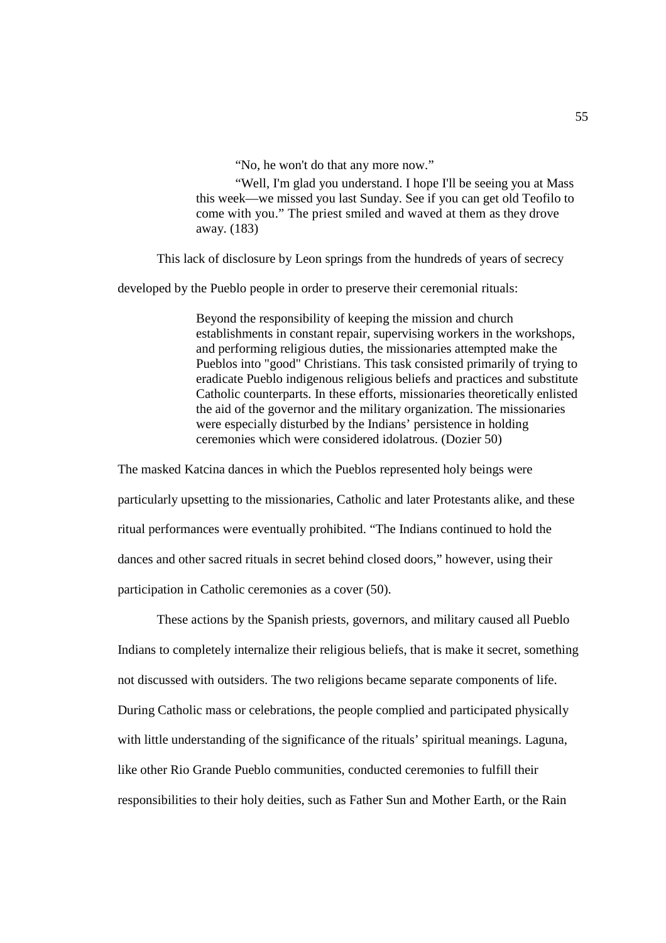"No, he won't do that any more now."

"Well, I'm glad you understand. I hope I'll be seeing you at Mass this week—we missed you last Sunday. See if you can get old Teofilo to come with you." The priest smiled and waved at them as they drove away. (183)

This lack of disclosure by Leon springs from the hundreds of years of secrecy

developed by the Pueblo people in order to preserve their ceremonial rituals:

Beyond the responsibility of keeping the mission and church establishments in constant repair, supervising workers in the workshops, and performing religious duties, the missionaries attempted make the Pueblos into "good" Christians. This task consisted primarily of trying to eradicate Pueblo indigenous religious beliefs and practices and substitute Catholic counterparts. In these efforts, missionaries theoretically enlisted the aid of the governor and the military organization. The missionaries were especially disturbed by the Indians' persistence in holding ceremonies which were considered idolatrous. (Dozier 50)

The masked Katcina dances in which the Pueblos represented holy beings were particularly upsetting to the missionaries, Catholic and later Protestants alike, and these ritual performances were eventually prohibited. "The Indians continued to hold the dances and other sacred rituals in secret behind closed doors," however, using their participation in Catholic ceremonies as a cover (50).

These actions by the Spanish priests, governors, and military caused all Pueblo Indians to completely internalize their religious beliefs, that is make it secret, something not discussed with outsiders. The two religions became separate components of life. During Catholic mass or celebrations, the people complied and participated physically with little understanding of the significance of the rituals' spiritual meanings. Laguna, like other Rio Grande Pueblo communities, conducted ceremonies to fulfill their responsibilities to their holy deities, such as Father Sun and Mother Earth, or the Rain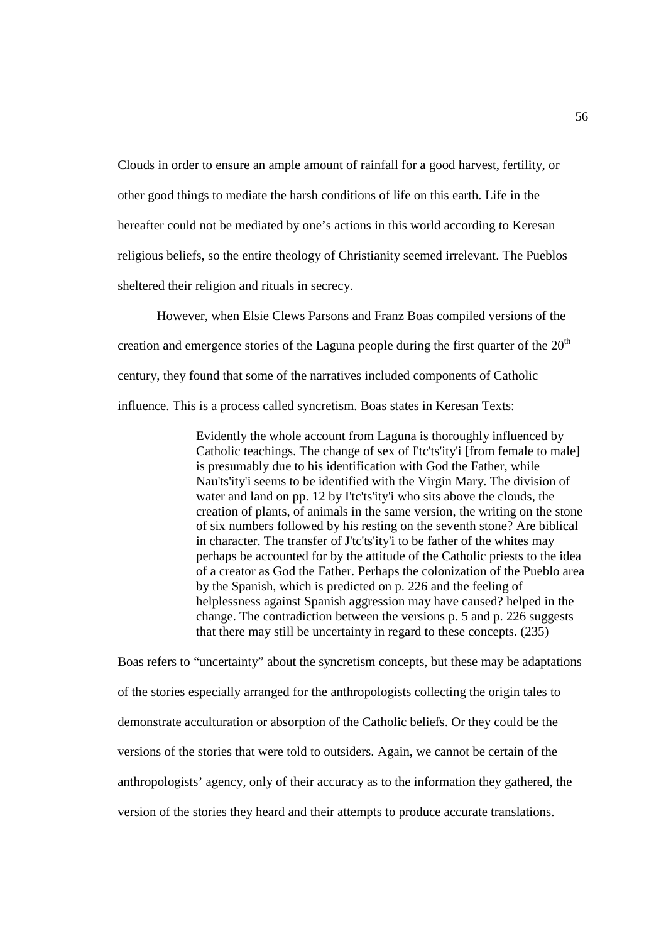Clouds in order to ensure an ample amount of rainfall for a good harvest, fertility, or other good things to mediate the harsh conditions of life on this earth. Life in the hereafter could not be mediated by one's actions in this world according to Keresan religious beliefs, so the entire theology of Christianity seemed irrelevant. The Pueblos sheltered their religion and rituals in secrecy.

 However, when Elsie Clews Parsons and Franz Boas compiled versions of the creation and emergence stories of the Laguna people during the first quarter of the  $20<sup>th</sup>$ century, they found that some of the narratives included components of Catholic influence. This is a process called syncretism. Boas states in Keresan Texts:

> Evidently the whole account from Laguna is thoroughly influenced by Catholic teachings. The change of sex of I'tc'ts'ity'i [from female to male] is presumably due to his identification with God the Father, while Nau'ts'ity'i seems to be identified with the Virgin Mary. The division of water and land on pp. 12 by I'tc'ts'ity'i who sits above the clouds, the creation of plants, of animals in the same version, the writing on the stone of six numbers followed by his resting on the seventh stone? Are biblical in character. The transfer of J'tc'ts'ity'i to be father of the whites may perhaps be accounted for by the attitude of the Catholic priests to the idea of a creator as God the Father. Perhaps the colonization of the Pueblo area by the Spanish, which is predicted on p. 226 and the feeling of helplessness against Spanish aggression may have caused? helped in the change. The contradiction between the versions p. 5 and p. 226 suggests that there may still be uncertainty in regard to these concepts. (235)

Boas refers to "uncertainty" about the syncretism concepts, but these may be adaptations of the stories especially arranged for the anthropologists collecting the origin tales to demonstrate acculturation or absorption of the Catholic beliefs. Or they could be the versions of the stories that were told to outsiders. Again, we cannot be certain of the anthropologists' agency, only of their accuracy as to the information they gathered, the version of the stories they heard and their attempts to produce accurate translations.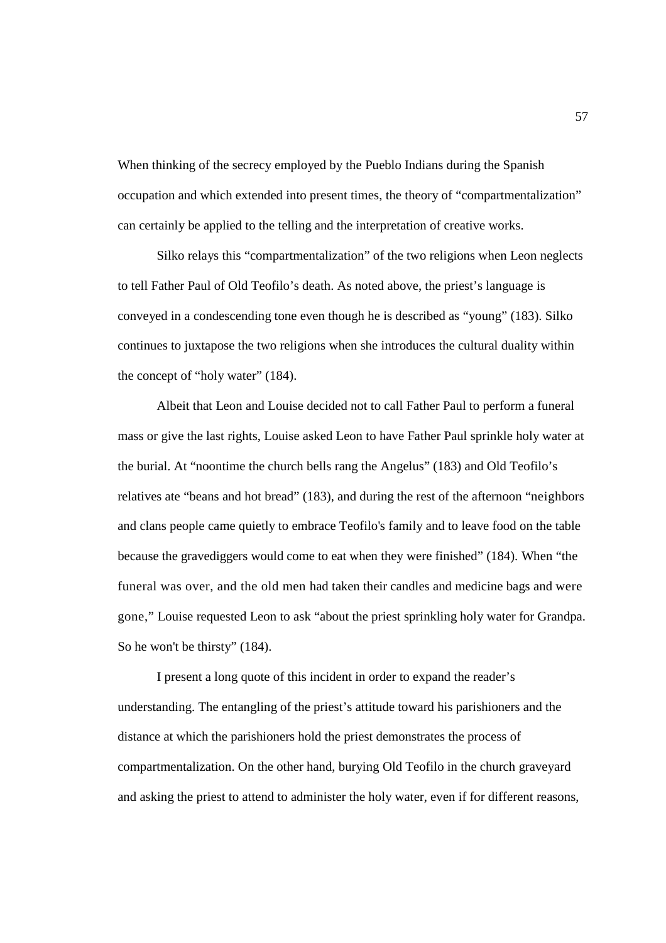When thinking of the secrecy employed by the Pueblo Indians during the Spanish occupation and which extended into present times, the theory of "compartmentalization" can certainly be applied to the telling and the interpretation of creative works.

 Silko relays this "compartmentalization" of the two religions when Leon neglects to tell Father Paul of Old Teofilo's death. As noted above, the priest's language is conveyed in a condescending tone even though he is described as "young" (183). Silko continues to juxtapose the two religions when she introduces the cultural duality within the concept of "holy water" (184).

 Albeit that Leon and Louise decided not to call Father Paul to perform a funeral mass or give the last rights, Louise asked Leon to have Father Paul sprinkle holy water at the burial. At "noontime the church bells rang the Angelus" (183) and Old Teofilo's relatives ate "beans and hot bread" (183), and during the rest of the afternoon "neighbors and clans people came quietly to embrace Teofilo's family and to leave food on the table because the gravediggers would come to eat when they were finished" (184). When "the funeral was over, and the old men had taken their candles and medicine bags and were gone," Louise requested Leon to ask "about the priest sprinkling holy water for Grandpa. So he won't be thirsty" (184).

I present a long quote of this incident in order to expand the reader's understanding. The entangling of the priest's attitude toward his parishioners and the distance at which the parishioners hold the priest demonstrates the process of compartmentalization. On the other hand, burying Old Teofilo in the church graveyard and asking the priest to attend to administer the holy water, even if for different reasons,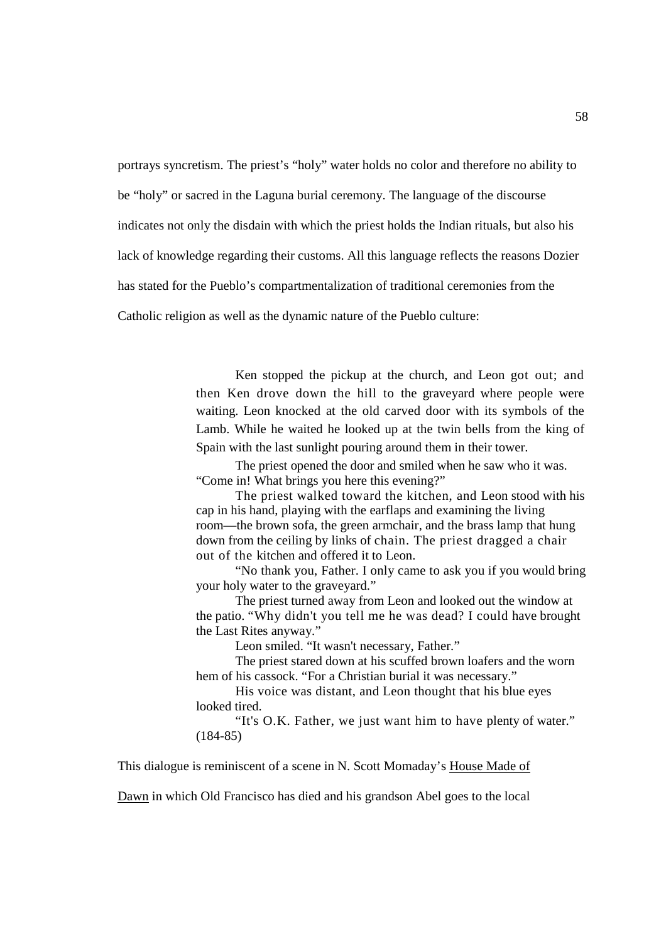portrays syncretism. The priest's "holy" water holds no color and therefore no ability to be "holy" or sacred in the Laguna burial ceremony. The language of the discourse indicates not only the disdain with which the priest holds the Indian rituals, but also his lack of knowledge regarding their customs. All this language reflects the reasons Dozier has stated for the Pueblo's compartmentalization of traditional ceremonies from the Catholic religion as well as the dynamic nature of the Pueblo culture:

> Ken stopped the pickup at the church, and Leon got out; and then Ken drove down the hill to the graveyard where people were waiting. Leon knocked at the old carved door with its symbols of the Lamb. While he waited he looked up at the twin bells from the king of Spain with the last sunlight pouring around them in their tower.

The priest opened the door and smiled when he saw who it was. "Come in! What brings you here this evening?"

The priest walked toward the kitchen, and Leon stood with his cap in his hand, playing with the earflaps and examining the living room—the brown sofa, the green armchair, and the brass lamp that hung down from the ceiling by links of chain. The priest dragged a chair out of the kitchen and offered it to Leon.

"No thank you, Father. I only came to ask you if you would bring your holy water to the graveyard."

The priest turned away from Leon and looked out the window at the patio. "Why didn't you tell me he was dead? I could have brought the Last Rites anyway."

Leon smiled. "It wasn't necessary, Father."

The priest stared down at his scuffed brown loafers and the worn hem of his cassock. "For a Christian burial it was necessary."

His voice was distant, and Leon thought that his blue eyes looked tired.

"It's O.K. Father, we just want him to have plenty of water." (184-85)

This dialogue is reminiscent of a scene in N. Scott Momaday's House Made of

Dawn in which Old Francisco has died and his grandson Abel goes to the local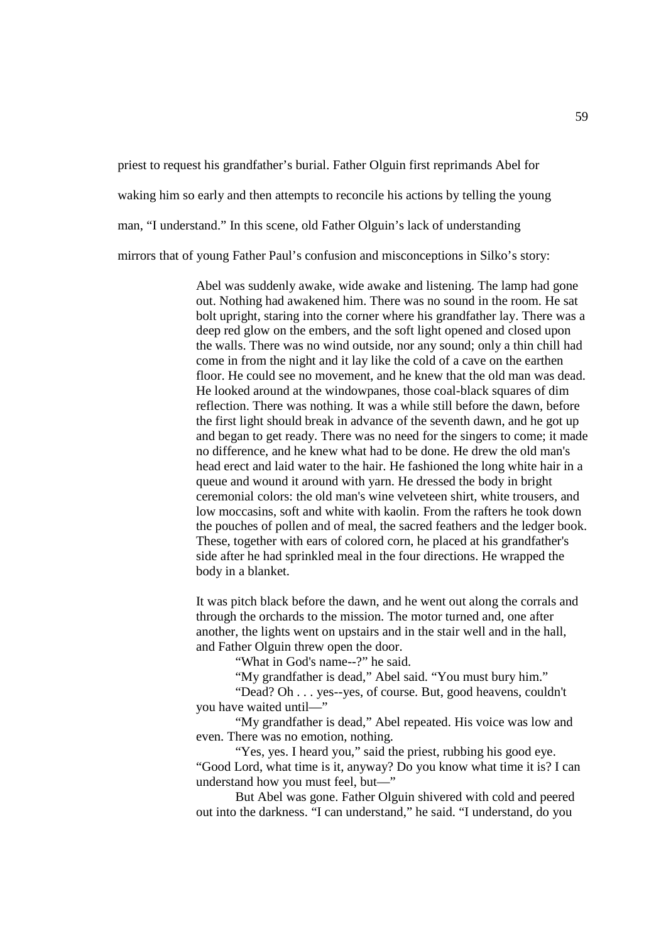priest to request his grandfather's burial. Father Olguin first reprimands Abel for waking him so early and then attempts to reconcile his actions by telling the young man, "I understand." In this scene, old Father Olguin's lack of understanding mirrors that of young Father Paul's confusion and misconceptions in Silko's story:

> Abel was suddenly awake, wide awake and listening. The lamp had gone out. Nothing had awakened him. There was no sound in the room. He sat bolt upright, staring into the corner where his grandfather lay. There was a deep red glow on the embers, and the soft light opened and closed upon the walls. There was no wind outside, nor any sound; only a thin chill had come in from the night and it lay like the cold of a cave on the earthen floor. He could see no movement, and he knew that the old man was dead. He looked around at the windowpanes, those coal-black squares of dim reflection. There was nothing. It was a while still before the dawn, before the first light should break in advance of the seventh dawn, and he got up and began to get ready. There was no need for the singers to come; it made no difference, and he knew what had to be done. He drew the old man's head erect and laid water to the hair. He fashioned the long white hair in a queue and wound it around with yarn. He dressed the body in bright ceremonial colors: the old man's wine velveteen shirt, white trousers, and low moccasins, soft and white with kaolin. From the rafters he took down the pouches of pollen and of meal, the sacred feathers and the ledger book. These, together with ears of colored corn, he placed at his grandfather's side after he had sprinkled meal in the four directions. He wrapped the body in a blanket.

It was pitch black before the dawn, and he went out along the corrals and through the orchards to the mission. The motor turned and, one after another, the lights went on upstairs and in the stair well and in the hall, and Father Olguin threw open the door.

"What in God's name--?" he said.

"My grandfather is dead," Abel said. "You must bury him."

"Dead? Oh . . . yes--yes, of course. But, good heavens, couldn't you have waited until—"

"My grandfather is dead," Abel repeated. His voice was low and even. There was no emotion, nothing.

"Yes, yes. I heard you," said the priest, rubbing his good eye. "Good Lord, what time is it, anyway? Do you know what time it is? I can understand how you must feel, but—"

But Abel was gone. Father Olguin shivered with cold and peered out into the darkness. "I can understand," he said. "I understand, do you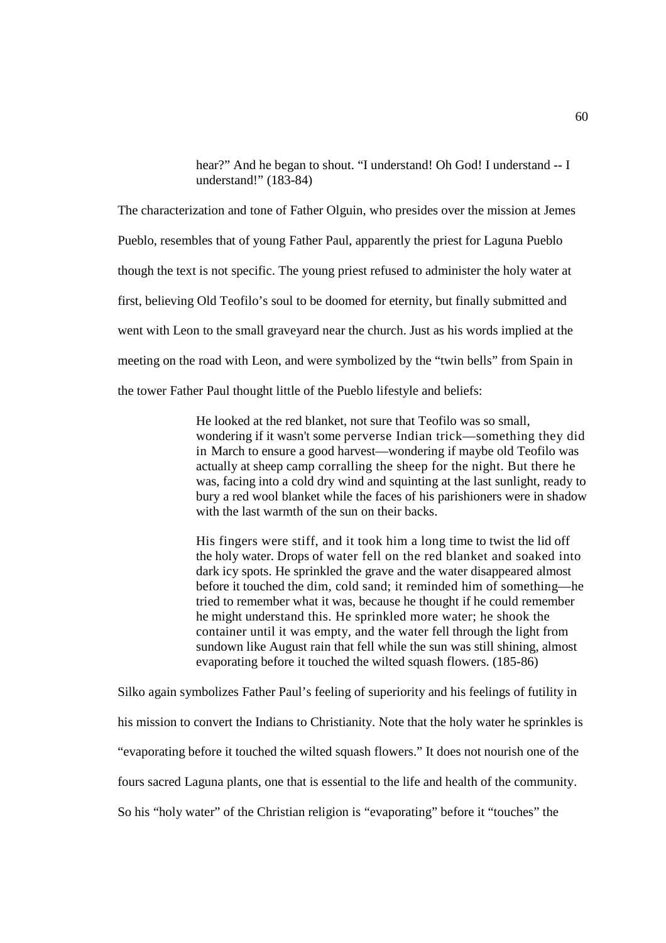hear?" And he began to shout. "I understand! Oh God! I understand -- I understand!" (183-84)

The characterization and tone of Father Olguin, who presides over the mission at Jemes Pueblo, resembles that of young Father Paul, apparently the priest for Laguna Pueblo though the text is not specific. The young priest refused to administer the holy water at first, believing Old Teofilo's soul to be doomed for eternity, but finally submitted and went with Leon to the small graveyard near the church. Just as his words implied at the meeting on the road with Leon, and were symbolized by the "twin bells" from Spain in the tower Father Paul thought little of the Pueblo lifestyle and beliefs:

> He looked at the red blanket, not sure that Teofilo was so small, wondering if it wasn't some perverse Indian trick—something they did in March to ensure a good harvest—wondering if maybe old Teofilo was actually at sheep camp corralling the sheep for the night. But there he was, facing into a cold dry wind and squinting at the last sunlight, ready to bury a red wool blanket while the faces of his parishioners were in shadow with the last warmth of the sun on their backs.

> His fingers were stiff, and it took him a long time to twist the lid off the holy water. Drops of water fell on the red blanket and soaked into dark icy spots. He sprinkled the grave and the water disappeared almost before it touched the dim, cold sand; it reminded him of something—he tried to remember what it was, because he thought if he could remember he might understand this. He sprinkled more water; he shook the container until it was empty, and the water fell through the light from sundown like August rain that fell while the sun was still shining, almost evaporating before it touched the wilted squash flowers. (185-86)

Silko again symbolizes Father Paul's feeling of superiority and his feelings of futility in his mission to convert the Indians to Christianity. Note that the holy water he sprinkles is "evaporating before it touched the wilted squash flowers." It does not nourish one of the fours sacred Laguna plants, one that is essential to the life and health of the community. So his "holy water" of the Christian religion is "evaporating" before it "touches" the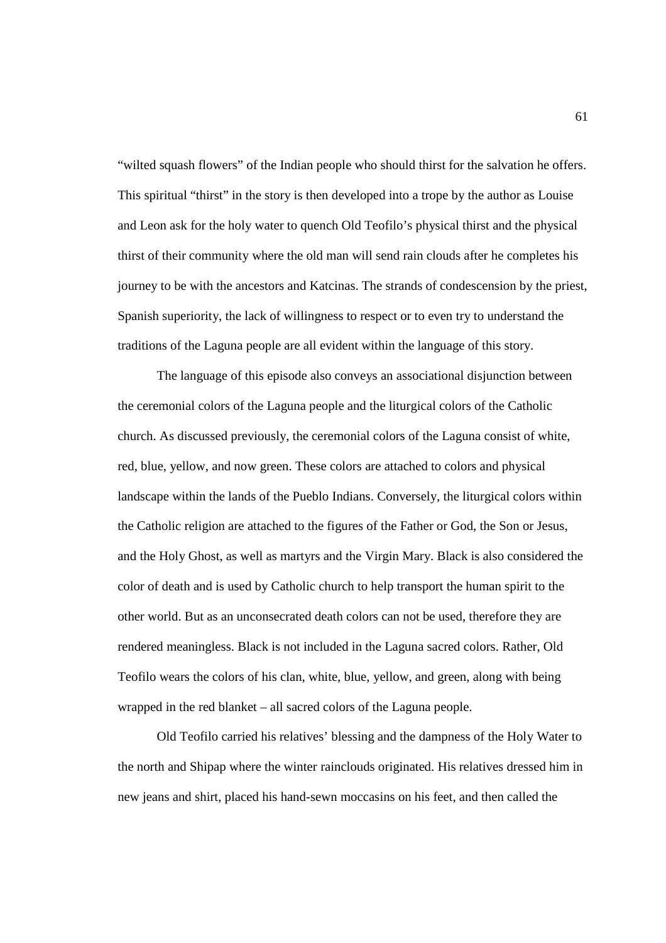"wilted squash flowers" of the Indian people who should thirst for the salvation he offers. This spiritual "thirst" in the story is then developed into a trope by the author as Louise and Leon ask for the holy water to quench Old Teofilo's physical thirst and the physical thirst of their community where the old man will send rain clouds after he completes his journey to be with the ancestors and Katcinas. The strands of condescension by the priest, Spanish superiority, the lack of willingness to respect or to even try to understand the traditions of the Laguna people are all evident within the language of this story.

 The language of this episode also conveys an associational disjunction between the ceremonial colors of the Laguna people and the liturgical colors of the Catholic church. As discussed previously, the ceremonial colors of the Laguna consist of white, red, blue, yellow, and now green. These colors are attached to colors and physical landscape within the lands of the Pueblo Indians. Conversely, the liturgical colors within the Catholic religion are attached to the figures of the Father or God, the Son or Jesus, and the Holy Ghost, as well as martyrs and the Virgin Mary. Black is also considered the color of death and is used by Catholic church to help transport the human spirit to the other world. But as an unconsecrated death colors can not be used, therefore they are rendered meaningless. Black is not included in the Laguna sacred colors. Rather, Old Teofilo wears the colors of his clan, white, blue, yellow, and green, along with being wrapped in the red blanket – all sacred colors of the Laguna people.

Old Teofilo carried his relatives' blessing and the dampness of the Holy Water to the north and Shipap where the winter rainclouds originated. His relatives dressed him in new jeans and shirt, placed his hand-sewn moccasins on his feet, and then called the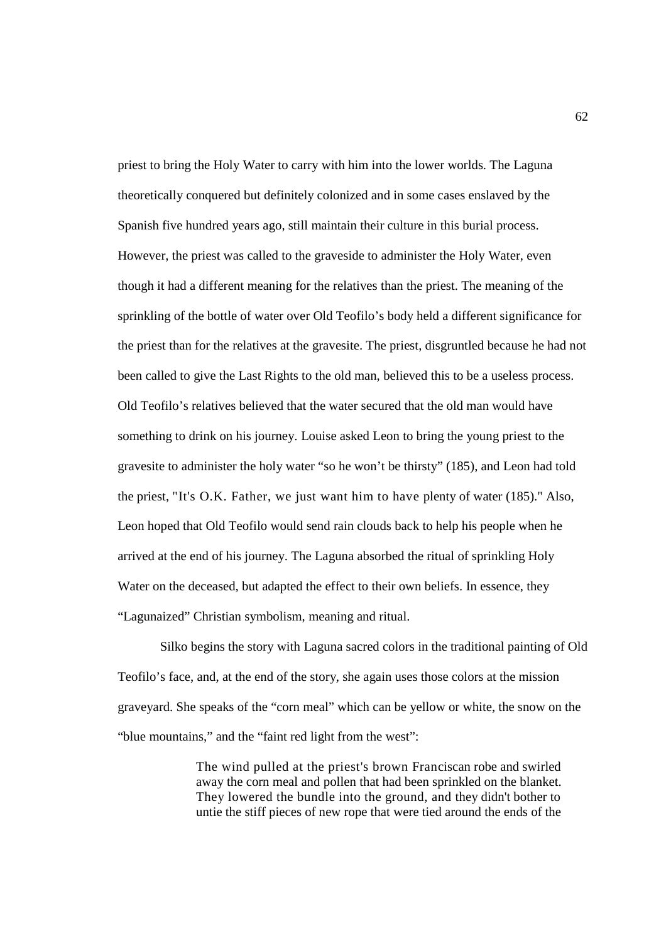priest to bring the Holy Water to carry with him into the lower worlds. The Laguna theoretically conquered but definitely colonized and in some cases enslaved by the Spanish five hundred years ago, still maintain their culture in this burial process. However, the priest was called to the graveside to administer the Holy Water, even though it had a different meaning for the relatives than the priest. The meaning of the sprinkling of the bottle of water over Old Teofilo's body held a different significance for the priest than for the relatives at the gravesite. The priest, disgruntled because he had not been called to give the Last Rights to the old man, believed this to be a useless process. Old Teofilo's relatives believed that the water secured that the old man would have something to drink on his journey. Louise asked Leon to bring the young priest to the gravesite to administer the holy water "so he won't be thirsty" (185), and Leon had told the priest, "It's O.K. Father, we just want him to have plenty of water (185)." Also, Leon hoped that Old Teofilo would send rain clouds back to help his people when he arrived at the end of his journey. The Laguna absorbed the ritual of sprinkling Holy Water on the deceased, but adapted the effect to their own beliefs. In essence, they "Lagunaized" Christian symbolism, meaning and ritual.

 Silko begins the story with Laguna sacred colors in the traditional painting of Old Teofilo's face, and, at the end of the story, she again uses those colors at the mission graveyard. She speaks of the "corn meal" which can be yellow or white, the snow on the "blue mountains," and the "faint red light from the west":

> The wind pulled at the priest's brown Franciscan robe and swirled away the corn meal and pollen that had been sprinkled on the blanket. They lowered the bundle into the ground, and they didn't bother to untie the stiff pieces of new rope that were tied around the ends of the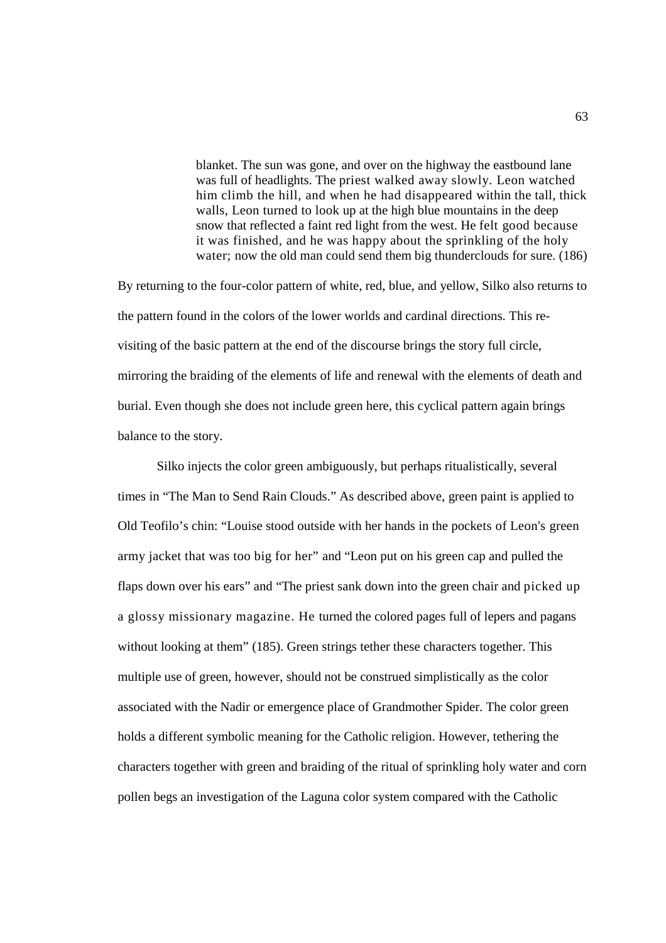blanket. The sun was gone, and over on the highway the eastbound lane was full of headlights. The priest walked away slowly. Leon watched him climb the hill, and when he had disappeared within the tall, thick walls, Leon turned to look up at the high blue mountains in the deep snow that reflected a faint red light from the west. He felt good because it was finished, and he was happy about the sprinkling of the holy water; now the old man could send them big thunderclouds for sure. (186)

By returning to the four-color pattern of white, red, blue, and yellow, Silko also returns to the pattern found in the colors of the lower worlds and cardinal directions. This revisiting of the basic pattern at the end of the discourse brings the story full circle, mirroring the braiding of the elements of life and renewal with the elements of death and burial. Even though she does not include green here, this cyclical pattern again brings balance to the story.

 Silko injects the color green ambiguously, but perhaps ritualistically, several times in "The Man to Send Rain Clouds." As described above, green paint is applied to Old Teofilo's chin: "Louise stood outside with her hands in the pockets of Leon's green army jacket that was too big for her" and "Leon put on his green cap and pulled the flaps down over his ears" and "The priest sank down into the green chair and picked up a glossy missionary magazine. He turned the colored pages full of lepers and pagans without looking at them" (185). Green strings tether these characters together. This multiple use of green, however, should not be construed simplistically as the color associated with the Nadir or emergence place of Grandmother Spider. The color green holds a different symbolic meaning for the Catholic religion. However, tethering the characters together with green and braiding of the ritual of sprinkling holy water and corn pollen begs an investigation of the Laguna color system compared with the Catholic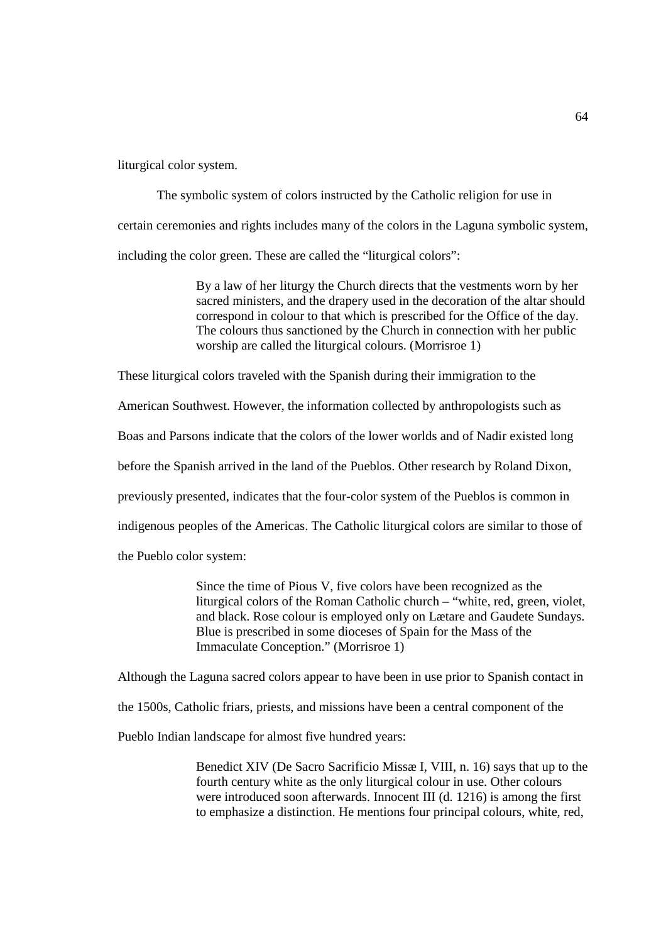liturgical color system.

 The symbolic system of colors instructed by the Catholic religion for use in certain ceremonies and rights includes many of the colors in the Laguna symbolic system, including the color green. These are called the "liturgical colors":

> By a law of her liturgy the Church directs that the vestments worn by her sacred ministers, and the drapery used in the decoration of the altar should correspond in colour to that which is prescribed for the Office of the day. The colours thus sanctioned by the Church in connection with her public worship are called the liturgical colours. (Morrisroe 1)

These liturgical colors traveled with the Spanish during their immigration to the

American Southwest. However, the information collected by anthropologists such as

Boas and Parsons indicate that the colors of the lower worlds and of Nadir existed long

before the Spanish arrived in the land of the Pueblos. Other research by Roland Dixon,

previously presented, indicates that the four-color system of the Pueblos is common in

indigenous peoples of the Americas. The Catholic liturgical colors are similar to those of

the Pueblo color system:

Since the time of Pious V, five colors have been recognized as the liturgical colors of the Roman Catholic church – "white, red, green, violet, and black. Rose colour is employed only on Lætare and Gaudete Sundays. Blue is prescribed in some dioceses of Spain for the Mass of the Immaculate Conception." (Morrisroe 1)

Although the Laguna sacred colors appear to have been in use prior to Spanish contact in

the 1500s, Catholic friars, priests, and missions have been a central component of the

Pueblo Indian landscape for almost five hundred years:

Benedict XIV (De Sacro Sacrificio Missæ I, VIII, n. 16) says that up to the fourth century white as the only liturgical colour in use. Other colours were introduced soon afterwards. Innocent III (d. 1216) is among the first to emphasize a distinction. He mentions four principal colours, white, red,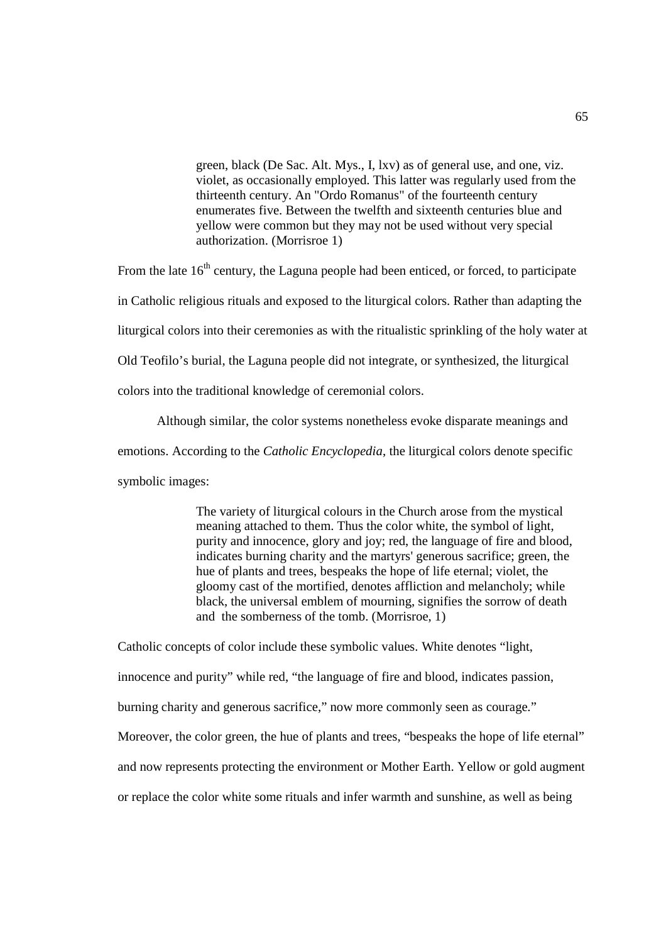green, black (De Sac. Alt. Mys., I, lxv) as of general use, and one, viz. violet, as occasionally employed. This latter was regularly used from the thirteenth century. An "Ordo Romanus" of the fourteenth century enumerates five. Between the twelfth and sixteenth centuries blue and yellow were common but they may not be used without very special authorization. (Morrisroe 1)

From the late  $16<sup>th</sup>$  century, the Laguna people had been enticed, or forced, to participate in Catholic religious rituals and exposed to the liturgical colors. Rather than adapting the liturgical colors into their ceremonies as with the ritualistic sprinkling of the holy water at Old Teofilo's burial, the Laguna people did not integrate, or synthesized, the liturgical colors into the traditional knowledge of ceremonial colors.

Although similar, the color systems nonetheless evoke disparate meanings and emotions. According to the *Catholic Encyclopedia*, the liturgical colors denote specific symbolic images:

> The variety of liturgical colours in the Church arose from the mystical meaning attached to them. Thus the color white, the symbol of light, purity and innocence, glory and joy; red, the language of fire and blood, indicates burning charity and the martyrs' generous sacrifice; green, the hue of plants and trees, bespeaks the hope of life eternal; violet, the gloomy cast of the mortified, denotes affliction and melancholy; while black, the universal emblem of mourning, signifies the sorrow of death and the somberness of the tomb. (Morrisroe, 1)

Catholic concepts of color include these symbolic values. White denotes "light,

innocence and purity" while red, "the language of fire and blood, indicates passion,

burning charity and generous sacrifice," now more commonly seen as courage."

Moreover, the color green, the hue of plants and trees, "bespeaks the hope of life eternal"

and now represents protecting the environment or Mother Earth. Yellow or gold augment

or replace the color white some rituals and infer warmth and sunshine, as well as being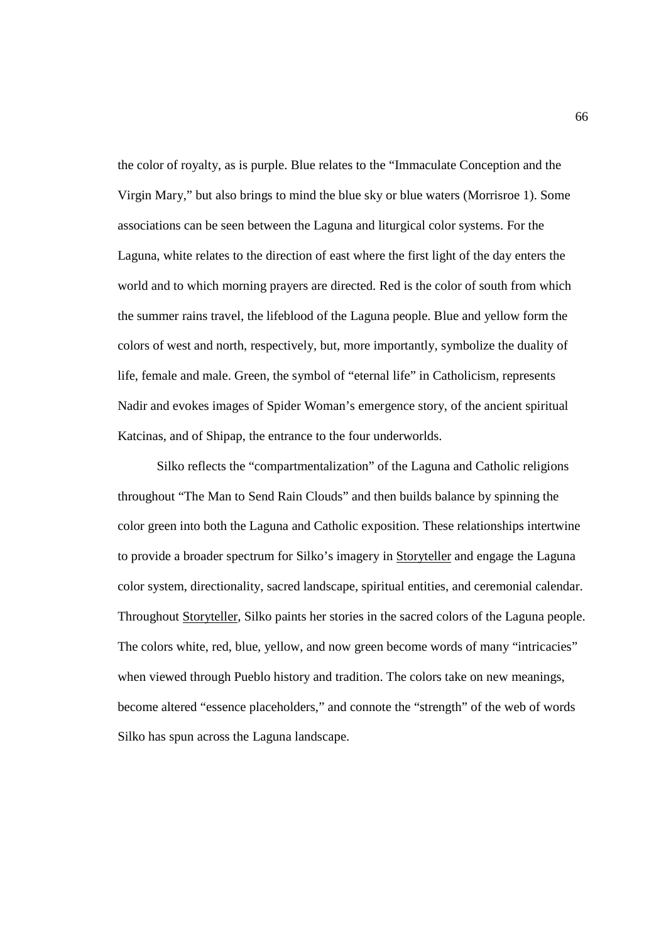the color of royalty, as is purple. Blue relates to the "Immaculate Conception and the Virgin Mary," but also brings to mind the blue sky or blue waters (Morrisroe 1). Some associations can be seen between the Laguna and liturgical color systems. For the Laguna, white relates to the direction of east where the first light of the day enters the world and to which morning prayers are directed. Red is the color of south from which the summer rains travel, the lifeblood of the Laguna people. Blue and yellow form the colors of west and north, respectively, but, more importantly, symbolize the duality of life, female and male. Green, the symbol of "eternal life" in Catholicism, represents Nadir and evokes images of Spider Woman's emergence story, of the ancient spiritual Katcinas, and of Shipap, the entrance to the four underworlds.

Silko reflects the "compartmentalization" of the Laguna and Catholic religions throughout "The Man to Send Rain Clouds" and then builds balance by spinning the color green into both the Laguna and Catholic exposition. These relationships intertwine to provide a broader spectrum for Silko's imagery in Storyteller and engage the Laguna color system, directionality, sacred landscape, spiritual entities, and ceremonial calendar. Throughout Storyteller, Silko paints her stories in the sacred colors of the Laguna people. The colors white, red, blue, yellow, and now green become words of many "intricacies" when viewed through Pueblo history and tradition. The colors take on new meanings, become altered "essence placeholders," and connote the "strength" of the web of words Silko has spun across the Laguna landscape.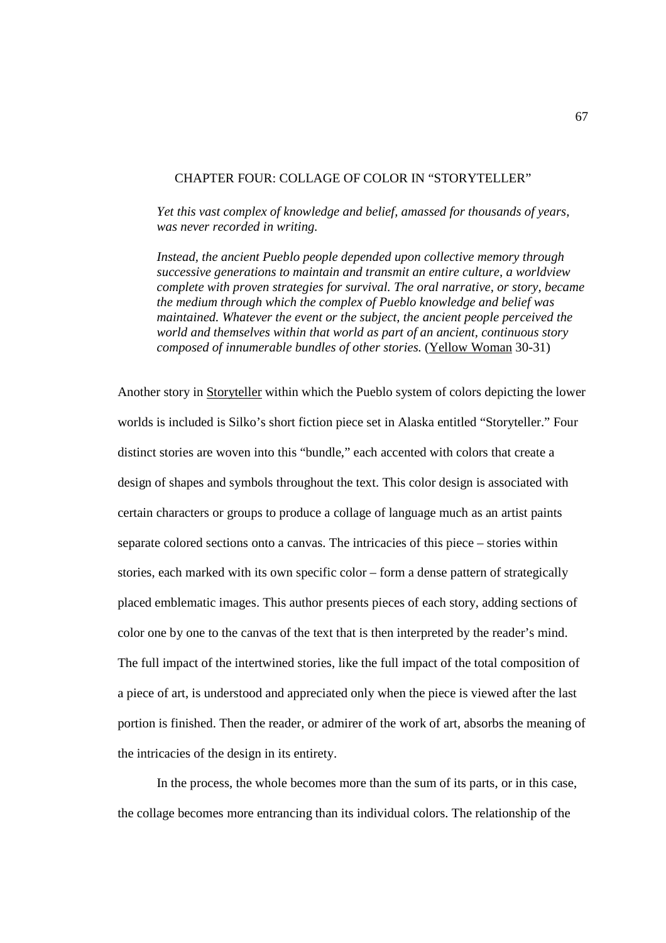## CHAPTER FOUR: COLLAGE OF COLOR IN "STORYTELLER"

*Yet this vast complex of knowledge and belief, amassed for thousands of years, was never recorded in writing.* 

*Instead, the ancient Pueblo people depended upon collective memory through successive generations to maintain and transmit an entire culture, a worldview complete with proven strategies for survival. The oral narrative, or story, became the medium through which the complex of Pueblo knowledge and belief was maintained. Whatever the event or the subject, the ancient people perceived the world and themselves within that world as part of an ancient, continuous story composed of innumerable bundles of other stories.* (Yellow Woman 30-31)

Another story in Storyteller within which the Pueblo system of colors depicting the lower worlds is included is Silko's short fiction piece set in Alaska entitled "Storyteller." Four distinct stories are woven into this "bundle," each accented with colors that create a design of shapes and symbols throughout the text. This color design is associated with certain characters or groups to produce a collage of language much as an artist paints separate colored sections onto a canvas. The intricacies of this piece – stories within stories, each marked with its own specific color – form a dense pattern of strategically placed emblematic images. This author presents pieces of each story, adding sections of color one by one to the canvas of the text that is then interpreted by the reader's mind. The full impact of the intertwined stories, like the full impact of the total composition of a piece of art, is understood and appreciated only when the piece is viewed after the last portion is finished. Then the reader, or admirer of the work of art, absorbs the meaning of the intricacies of the design in its entirety.

 In the process, the whole becomes more than the sum of its parts, or in this case, the collage becomes more entrancing than its individual colors. The relationship of the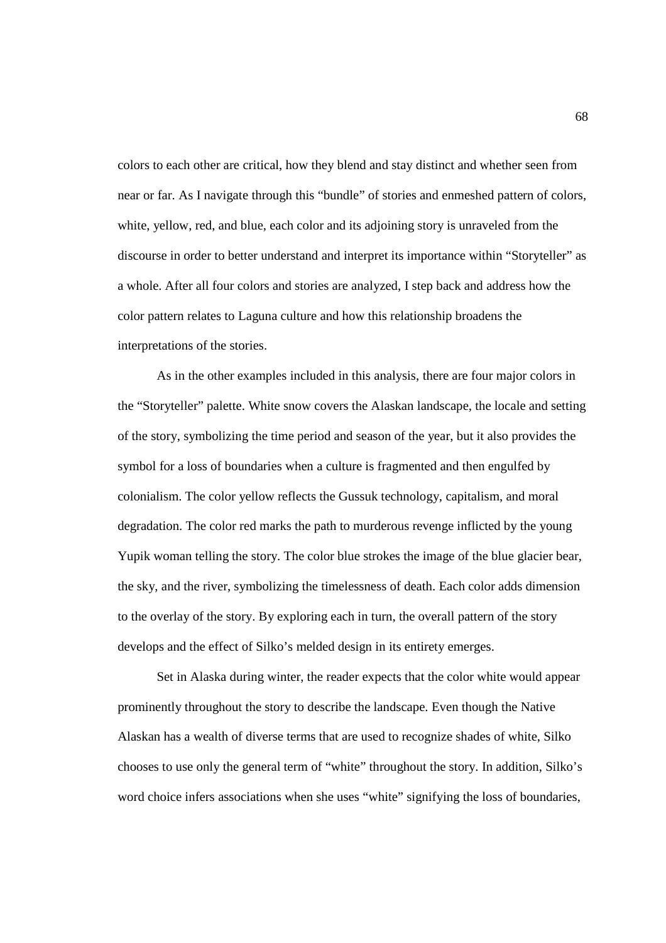colors to each other are critical, how they blend and stay distinct and whether seen from near or far. As I navigate through this "bundle" of stories and enmeshed pattern of colors, white, yellow, red, and blue, each color and its adjoining story is unraveled from the discourse in order to better understand and interpret its importance within "Storyteller" as a whole. After all four colors and stories are analyzed, I step back and address how the color pattern relates to Laguna culture and how this relationship broadens the interpretations of the stories.

 As in the other examples included in this analysis, there are four major colors in the "Storyteller" palette. White snow covers the Alaskan landscape, the locale and setting of the story, symbolizing the time period and season of the year, but it also provides the symbol for a loss of boundaries when a culture is fragmented and then engulfed by colonialism. The color yellow reflects the Gussuk technology, capitalism, and moral degradation. The color red marks the path to murderous revenge inflicted by the young Yupik woman telling the story. The color blue strokes the image of the blue glacier bear, the sky, and the river, symbolizing the timelessness of death. Each color adds dimension to the overlay of the story. By exploring each in turn, the overall pattern of the story develops and the effect of Silko's melded design in its entirety emerges.

Set in Alaska during winter, the reader expects that the color white would appear prominently throughout the story to describe the landscape. Even though the Native Alaskan has a wealth of diverse terms that are used to recognize shades of white, Silko chooses to use only the general term of "white" throughout the story. In addition, Silko's word choice infers associations when she uses "white" signifying the loss of boundaries,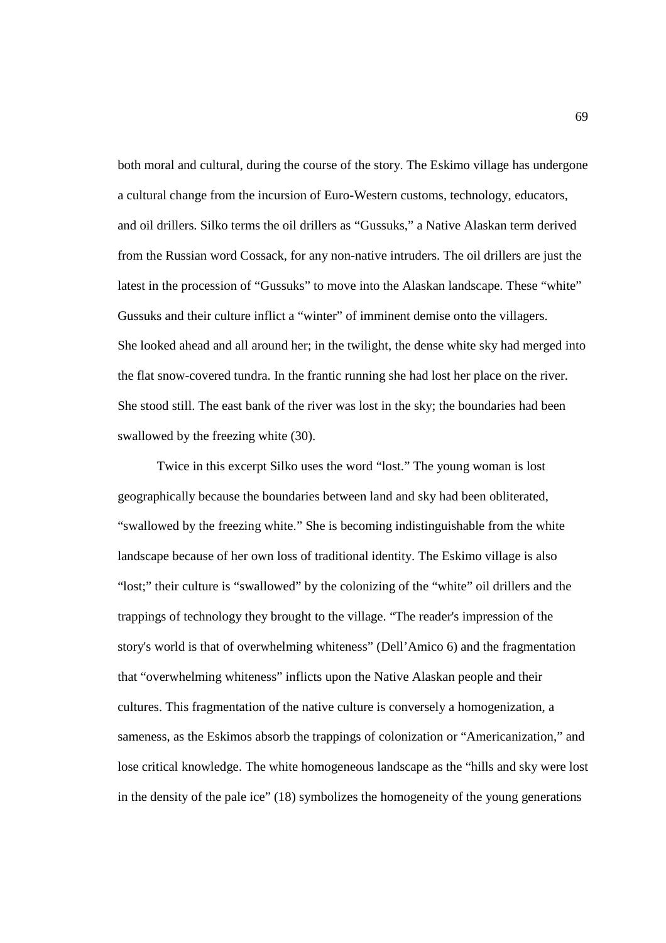both moral and cultural, during the course of the story. The Eskimo village has undergone a cultural change from the incursion of Euro-Western customs, technology, educators, and oil drillers. Silko terms the oil drillers as "Gussuks," a Native Alaskan term derived from the Russian word Cossack, for any non-native intruders. The oil drillers are just the latest in the procession of "Gussuks" to move into the Alaskan landscape. These "white" Gussuks and their culture inflict a "winter" of imminent demise onto the villagers. She looked ahead and all around her; in the twilight, the dense white sky had merged into the flat snow-covered tundra. In the frantic running she had lost her place on the river. She stood still. The east bank of the river was lost in the sky; the boundaries had been swallowed by the freezing white (30).

Twice in this excerpt Silko uses the word "lost." The young woman is lost geographically because the boundaries between land and sky had been obliterated, "swallowed by the freezing white." She is becoming indistinguishable from the white landscape because of her own loss of traditional identity. The Eskimo village is also "lost;" their culture is "swallowed" by the colonizing of the "white" oil drillers and the trappings of technology they brought to the village. "The reader's impression of the story's world is that of overwhelming whiteness" (Dell'Amico 6) and the fragmentation that "overwhelming whiteness" inflicts upon the Native Alaskan people and their cultures. This fragmentation of the native culture is conversely a homogenization, a sameness, as the Eskimos absorb the trappings of colonization or "Americanization," and lose critical knowledge. The white homogeneous landscape as the "hills and sky were lost in the density of the pale ice" (18) symbolizes the homogeneity of the young generations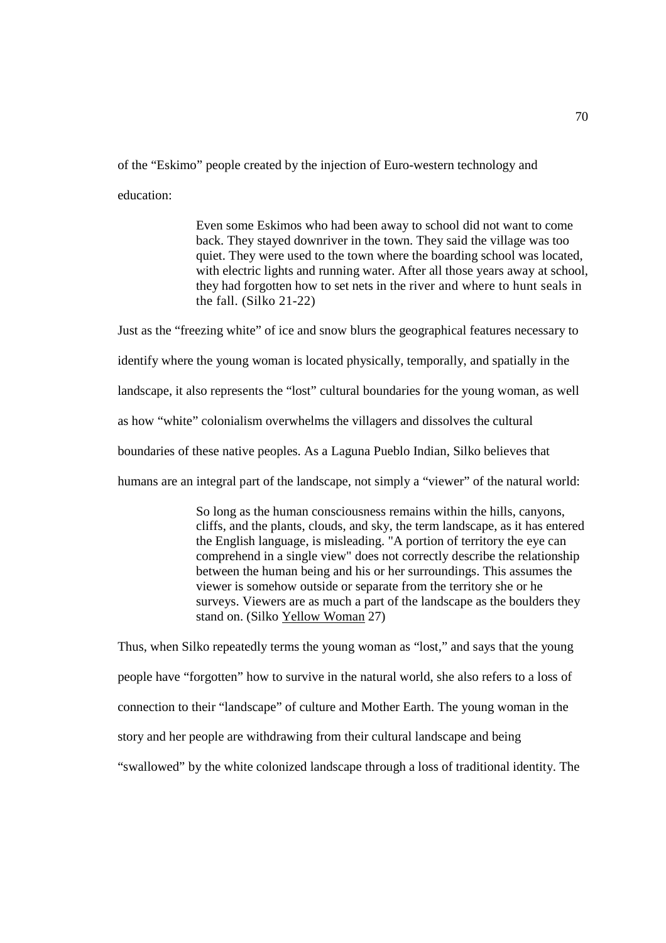of the "Eskimo" people created by the injection of Euro-western technology and education:

> Even some Eskimos who had been away to school did not want to come back. They stayed downriver in the town. They said the village was too quiet. They were used to the town where the boarding school was located, with electric lights and running water. After all those years away at school, they had forgotten how to set nets in the river and where to hunt seals in the fall. (Silko 21-22)

Just as the "freezing white" of ice and snow blurs the geographical features necessary to identify where the young woman is located physically, temporally, and spatially in the

landscape, it also represents the "lost" cultural boundaries for the young woman, as well

as how "white" colonialism overwhelms the villagers and dissolves the cultural

boundaries of these native peoples. As a Laguna Pueblo Indian, Silko believes that

humans are an integral part of the landscape, not simply a "viewer" of the natural world:

So long as the human consciousness remains within the hills, canyons, cliffs, and the plants, clouds, and sky, the term landscape, as it has entered the English language, is misleading. "A portion of territory the eye can comprehend in a single view" does not correctly describe the relationship between the human being and his or her surroundings. This assumes the viewer is somehow outside or separate from the territory she or he surveys. Viewers are as much a part of the landscape as the boulders they stand on. (Silko Yellow Woman 27)

Thus, when Silko repeatedly terms the young woman as "lost," and says that the young people have "forgotten" how to survive in the natural world, she also refers to a loss of connection to their "landscape" of culture and Mother Earth. The young woman in the story and her people are withdrawing from their cultural landscape and being "swallowed" by the white colonized landscape through a loss of traditional identity. The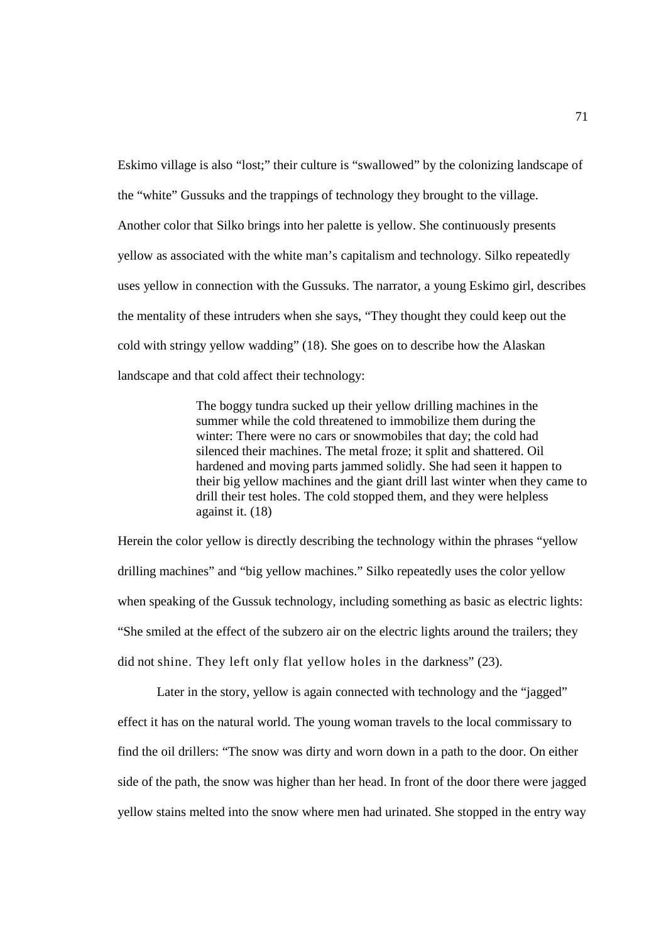Eskimo village is also "lost;" their culture is "swallowed" by the colonizing landscape of the "white" Gussuks and the trappings of technology they brought to the village. Another color that Silko brings into her palette is yellow. She continuously presents yellow as associated with the white man's capitalism and technology. Silko repeatedly uses yellow in connection with the Gussuks. The narrator, a young Eskimo girl, describes the mentality of these intruders when she says, "They thought they could keep out the cold with stringy yellow wadding" (18). She goes on to describe how the Alaskan landscape and that cold affect their technology:

> The boggy tundra sucked up their yellow drilling machines in the summer while the cold threatened to immobilize them during the winter: There were no cars or snowmobiles that day; the cold had silenced their machines. The metal froze; it split and shattered. Oil hardened and moving parts jammed solidly. She had seen it happen to their big yellow machines and the giant drill last winter when they came to drill their test holes. The cold stopped them, and they were helpless against it. (18)

Herein the color yellow is directly describing the technology within the phrases "yellow drilling machines" and "big yellow machines." Silko repeatedly uses the color yellow when speaking of the Gussuk technology, including something as basic as electric lights: "She smiled at the effect of the subzero air on the electric lights around the trailers; they did not shine. They left only flat yellow holes in the darkness" (23).

Later in the story, yellow is again connected with technology and the "jagged" effect it has on the natural world. The young woman travels to the local commissary to find the oil drillers: "The snow was dirty and worn down in a path to the door. On either side of the path, the snow was higher than her head. In front of the door there were jagged yellow stains melted into the snow where men had urinated. She stopped in the entry way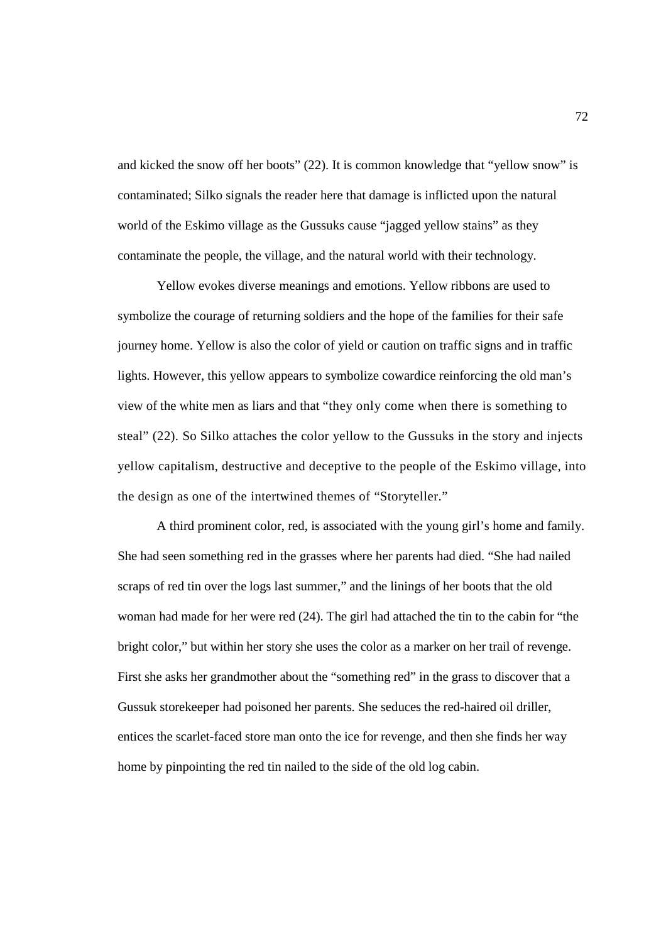and kicked the snow off her boots" (22). It is common knowledge that "yellow snow" is contaminated; Silko signals the reader here that damage is inflicted upon the natural world of the Eskimo village as the Gussuks cause "jagged yellow stains" as they contaminate the people, the village, and the natural world with their technology.

 Yellow evokes diverse meanings and emotions. Yellow ribbons are used to symbolize the courage of returning soldiers and the hope of the families for their safe journey home. Yellow is also the color of yield or caution on traffic signs and in traffic lights. However, this yellow appears to symbolize cowardice reinforcing the old man's view of the white men as liars and that "they only come when there is something to steal" (22). So Silko attaches the color yellow to the Gussuks in the story and injects yellow capitalism, destructive and deceptive to the people of the Eskimo village, into the design as one of the intertwined themes of "Storyteller."

 A third prominent color, red, is associated with the young girl's home and family. She had seen something red in the grasses where her parents had died. "She had nailed scraps of red tin over the logs last summer," and the linings of her boots that the old woman had made for her were red (24). The girl had attached the tin to the cabin for "the bright color," but within her story she uses the color as a marker on her trail of revenge. First she asks her grandmother about the "something red" in the grass to discover that a Gussuk storekeeper had poisoned her parents. She seduces the red-haired oil driller, entices the scarlet-faced store man onto the ice for revenge, and then she finds her way home by pinpointing the red tin nailed to the side of the old log cabin.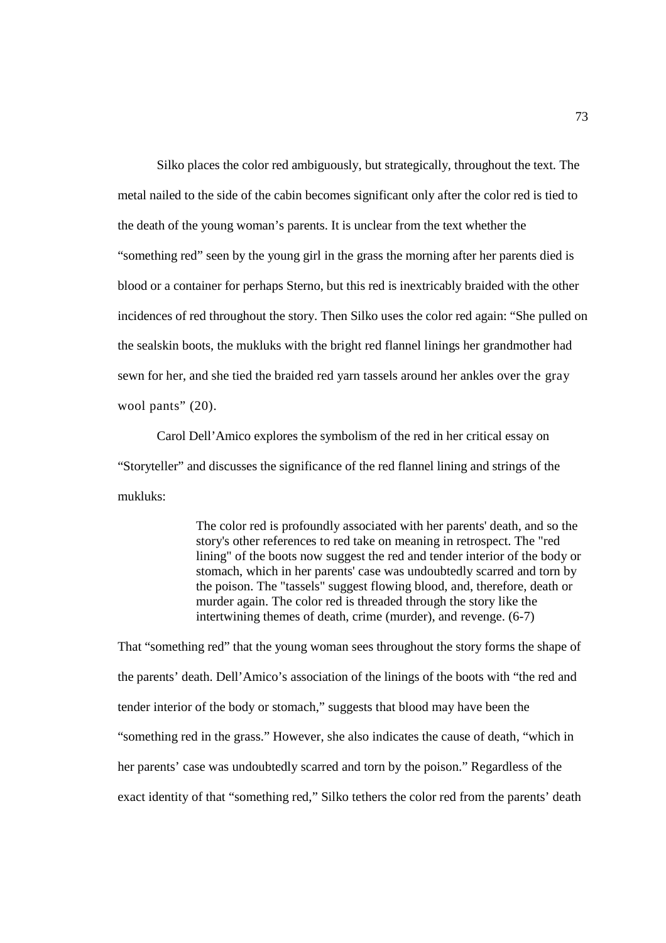Silko places the color red ambiguously, but strategically, throughout the text. The metal nailed to the side of the cabin becomes significant only after the color red is tied to the death of the young woman's parents. It is unclear from the text whether the "something red" seen by the young girl in the grass the morning after her parents died is blood or a container for perhaps Sterno, but this red is inextricably braided with the other incidences of red throughout the story. Then Silko uses the color red again: "She pulled on the sealskin boots, the mukluks with the bright red flannel linings her grandmother had sewn for her, and she tied the braided red yarn tassels around her ankles over the gray wool pants" (20).

 Carol Dell'Amico explores the symbolism of the red in her critical essay on "Storyteller" and discusses the significance of the red flannel lining and strings of the mukluks:

> The color red is profoundly associated with her parents' death, and so the story's other references to red take on meaning in retrospect. The "red lining" of the boots now suggest the red and tender interior of the body or stomach, which in her parents' case was undoubtedly scarred and torn by the poison. The "tassels" suggest flowing blood, and, therefore, death or murder again. The color red is threaded through the story like the intertwining themes of death, crime (murder), and revenge. (6-7)

That "something red" that the young woman sees throughout the story forms the shape of the parents' death. Dell'Amico's association of the linings of the boots with "the red and tender interior of the body or stomach," suggests that blood may have been the "something red in the grass." However, she also indicates the cause of death, "which in her parents' case was undoubtedly scarred and torn by the poison." Regardless of the exact identity of that "something red," Silko tethers the color red from the parents' death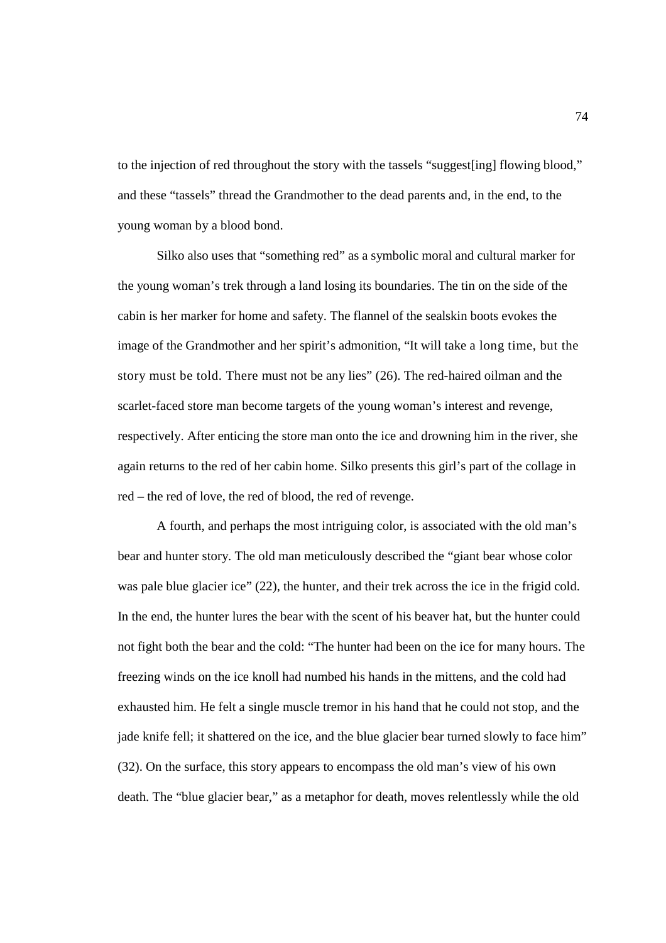to the injection of red throughout the story with the tassels "suggest[ing] flowing blood," and these "tassels" thread the Grandmother to the dead parents and, in the end, to the young woman by a blood bond.

 Silko also uses that "something red" as a symbolic moral and cultural marker for the young woman's trek through a land losing its boundaries. The tin on the side of the cabin is her marker for home and safety. The flannel of the sealskin boots evokes the image of the Grandmother and her spirit's admonition, "It will take a long time, but the story must be told. There must not be any lies" (26). The red-haired oilman and the scarlet-faced store man become targets of the young woman's interest and revenge, respectively. After enticing the store man onto the ice and drowning him in the river, she again returns to the red of her cabin home. Silko presents this girl's part of the collage in red – the red of love, the red of blood, the red of revenge.

 A fourth, and perhaps the most intriguing color, is associated with the old man's bear and hunter story. The old man meticulously described the "giant bear whose color was pale blue glacier ice" (22), the hunter, and their trek across the ice in the frigid cold. In the end, the hunter lures the bear with the scent of his beaver hat, but the hunter could not fight both the bear and the cold: "The hunter had been on the ice for many hours. The freezing winds on the ice knoll had numbed his hands in the mittens, and the cold had exhausted him. He felt a single muscle tremor in his hand that he could not stop, and the jade knife fell; it shattered on the ice, and the blue glacier bear turned slowly to face him" (32). On the surface, this story appears to encompass the old man's view of his own death. The "blue glacier bear," as a metaphor for death, moves relentlessly while the old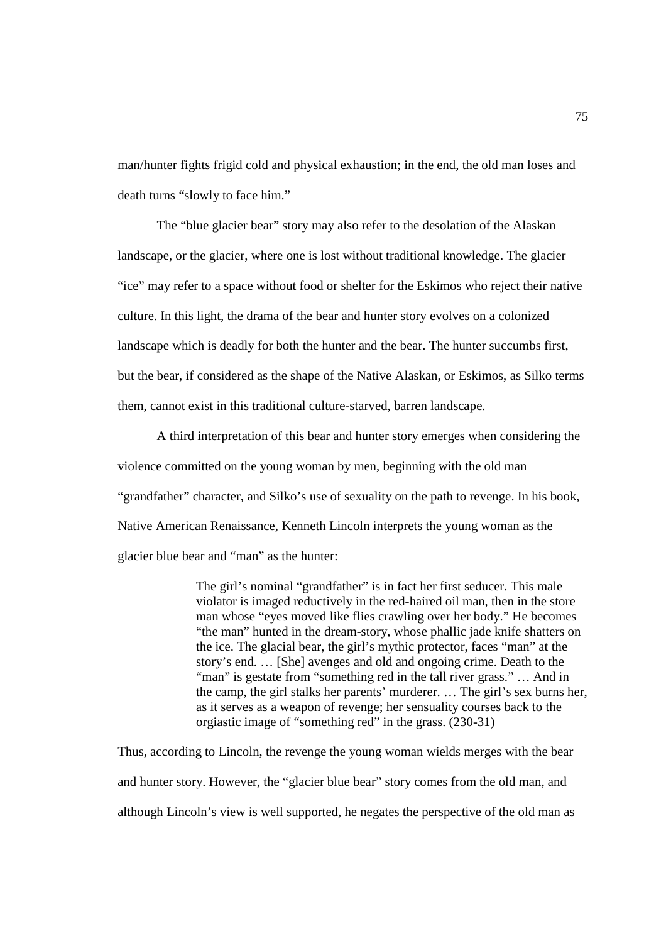man/hunter fights frigid cold and physical exhaustion; in the end, the old man loses and death turns "slowly to face him."

 The "blue glacier bear" story may also refer to the desolation of the Alaskan landscape, or the glacier, where one is lost without traditional knowledge. The glacier "ice" may refer to a space without food or shelter for the Eskimos who reject their native culture. In this light, the drama of the bear and hunter story evolves on a colonized landscape which is deadly for both the hunter and the bear. The hunter succumbs first, but the bear, if considered as the shape of the Native Alaskan, or Eskimos, as Silko terms them, cannot exist in this traditional culture-starved, barren landscape.

 A third interpretation of this bear and hunter story emerges when considering the violence committed on the young woman by men, beginning with the old man "grandfather" character, and Silko's use of sexuality on the path to revenge. In his book, Native American Renaissance, Kenneth Lincoln interprets the young woman as the glacier blue bear and "man" as the hunter:

> The girl's nominal "grandfather" is in fact her first seducer. This male violator is imaged reductively in the red-haired oil man, then in the store man whose "eyes moved like flies crawling over her body." He becomes "the man" hunted in the dream-story, whose phallic jade knife shatters on the ice. The glacial bear, the girl's mythic protector, faces "man" at the story's end. … [She] avenges and old and ongoing crime. Death to the "man" is gestate from "something red in the tall river grass." ... And in the camp, the girl stalks her parents' murderer. … The girl's sex burns her, as it serves as a weapon of revenge; her sensuality courses back to the orgiastic image of "something red" in the grass. (230-31)

Thus, according to Lincoln, the revenge the young woman wields merges with the bear and hunter story. However, the "glacier blue bear" story comes from the old man, and although Lincoln's view is well supported, he negates the perspective of the old man as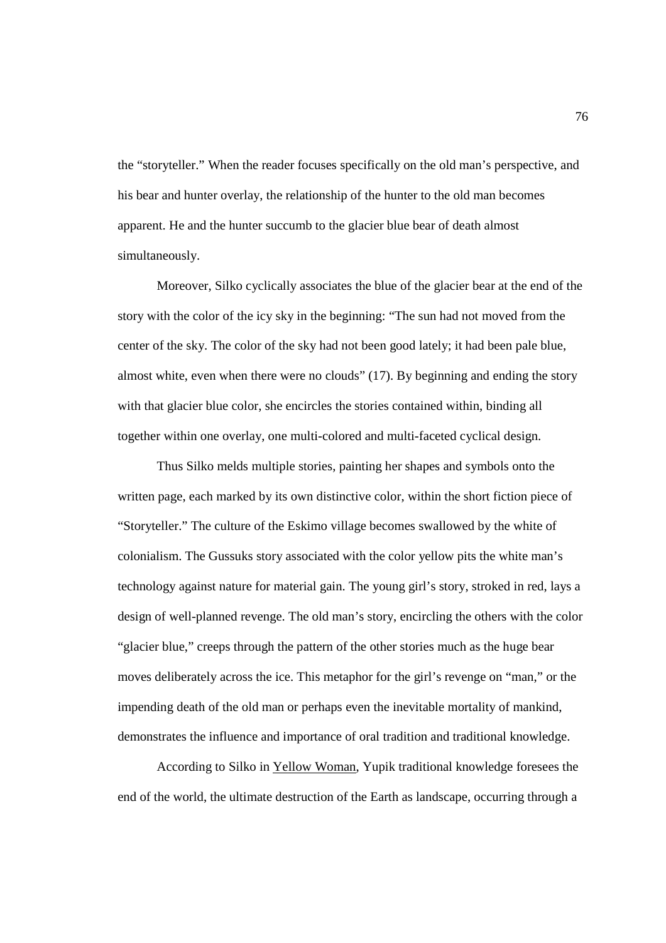the "storyteller." When the reader focuses specifically on the old man's perspective, and his bear and hunter overlay, the relationship of the hunter to the old man becomes apparent. He and the hunter succumb to the glacier blue bear of death almost simultaneously.

Moreover, Silko cyclically associates the blue of the glacier bear at the end of the story with the color of the icy sky in the beginning: "The sun had not moved from the center of the sky. The color of the sky had not been good lately; it had been pale blue, almost white, even when there were no clouds" (17). By beginning and ending the story with that glacier blue color, she encircles the stories contained within, binding all together within one overlay, one multi-colored and multi-faceted cyclical design.

Thus Silko melds multiple stories, painting her shapes and symbols onto the written page, each marked by its own distinctive color, within the short fiction piece of "Storyteller." The culture of the Eskimo village becomes swallowed by the white of colonialism. The Gussuks story associated with the color yellow pits the white man's technology against nature for material gain. The young girl's story, stroked in red, lays a design of well-planned revenge. The old man's story, encircling the others with the color "glacier blue," creeps through the pattern of the other stories much as the huge bear moves deliberately across the ice. This metaphor for the girl's revenge on "man," or the impending death of the old man or perhaps even the inevitable mortality of mankind, demonstrates the influence and importance of oral tradition and traditional knowledge.

According to Silko in Yellow Woman, Yupik traditional knowledge foresees the end of the world, the ultimate destruction of the Earth as landscape, occurring through a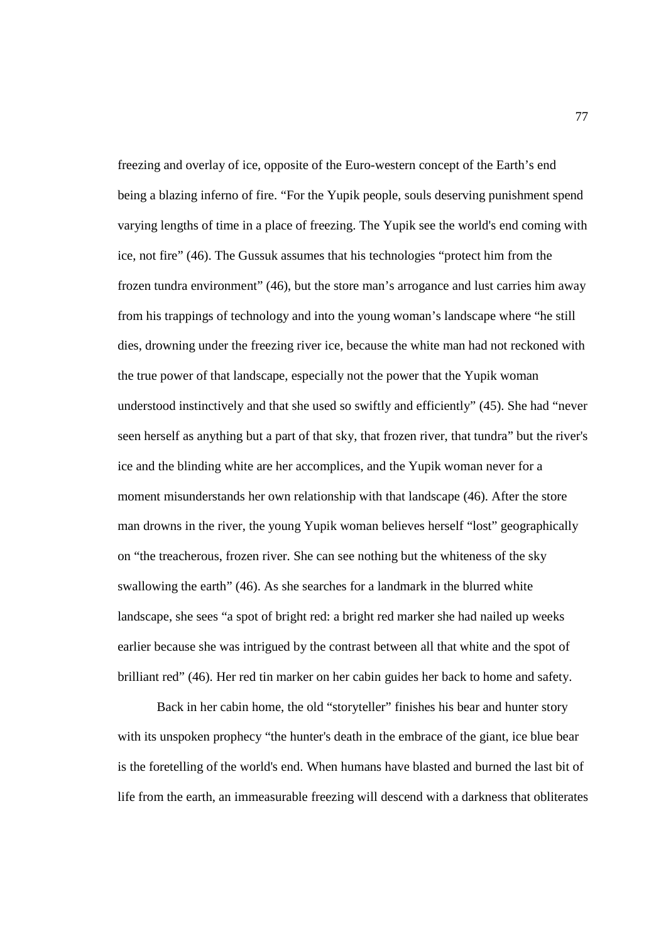freezing and overlay of ice, opposite of the Euro-western concept of the Earth's end being a blazing inferno of fire. "For the Yupik people, souls deserving punishment spend varying lengths of time in a place of freezing. The Yupik see the world's end coming with ice, not fire" (46). The Gussuk assumes that his technologies "protect him from the frozen tundra environment" (46), but the store man's arrogance and lust carries him away from his trappings of technology and into the young woman's landscape where "he still dies, drowning under the freezing river ice, because the white man had not reckoned with the true power of that landscape, especially not the power that the Yupik woman understood instinctively and that she used so swiftly and efficiently" (45). She had "never seen herself as anything but a part of that sky, that frozen river, that tundra" but the river's ice and the blinding white are her accomplices, and the Yupik woman never for a moment misunderstands her own relationship with that landscape (46). After the store man drowns in the river, the young Yupik woman believes herself "lost" geographically on "the treacherous, frozen river. She can see nothing but the whiteness of the sky swallowing the earth" (46). As she searches for a landmark in the blurred white landscape, she sees "a spot of bright red: a bright red marker she had nailed up weeks earlier because she was intrigued by the contrast between all that white and the spot of brilliant red" (46). Her red tin marker on her cabin guides her back to home and safety.

 Back in her cabin home, the old "storyteller" finishes his bear and hunter story with its unspoken prophecy "the hunter's death in the embrace of the giant, ice blue bear is the foretelling of the world's end. When humans have blasted and burned the last bit of life from the earth, an immeasurable freezing will descend with a darkness that obliterates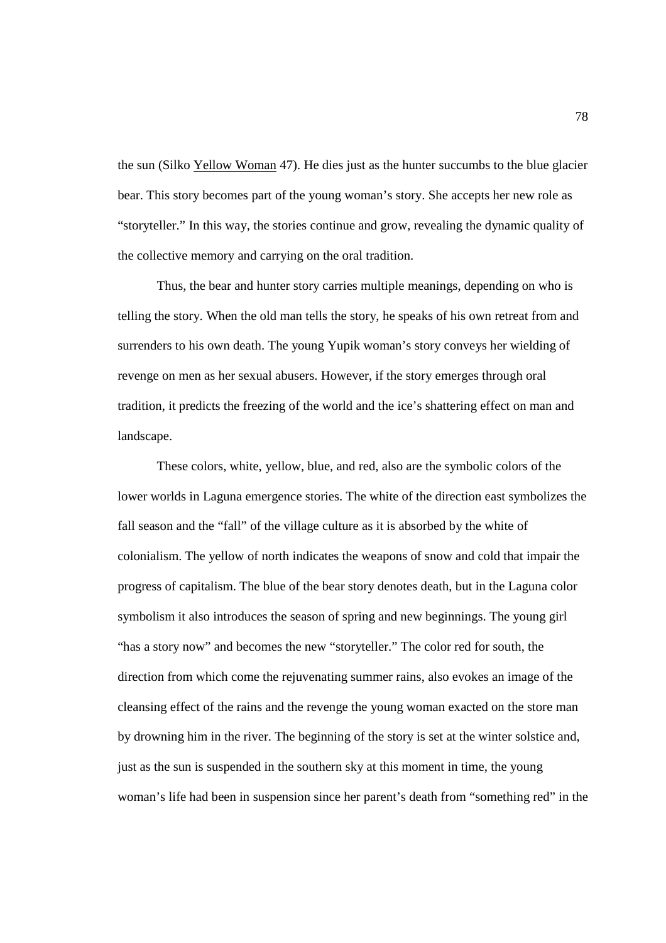the sun (Silko Yellow Woman 47). He dies just as the hunter succumbs to the blue glacier bear. This story becomes part of the young woman's story. She accepts her new role as "storyteller." In this way, the stories continue and grow, revealing the dynamic quality of the collective memory and carrying on the oral tradition.

 Thus, the bear and hunter story carries multiple meanings, depending on who is telling the story. When the old man tells the story, he speaks of his own retreat from and surrenders to his own death. The young Yupik woman's story conveys her wielding of revenge on men as her sexual abusers. However, if the story emerges through oral tradition, it predicts the freezing of the world and the ice's shattering effect on man and landscape.

These colors, white, yellow, blue, and red, also are the symbolic colors of the lower worlds in Laguna emergence stories. The white of the direction east symbolizes the fall season and the "fall" of the village culture as it is absorbed by the white of colonialism. The yellow of north indicates the weapons of snow and cold that impair the progress of capitalism. The blue of the bear story denotes death, but in the Laguna color symbolism it also introduces the season of spring and new beginnings. The young girl "has a story now" and becomes the new "storyteller." The color red for south, the direction from which come the rejuvenating summer rains, also evokes an image of the cleansing effect of the rains and the revenge the young woman exacted on the store man by drowning him in the river. The beginning of the story is set at the winter solstice and, just as the sun is suspended in the southern sky at this moment in time, the young woman's life had been in suspension since her parent's death from "something red" in the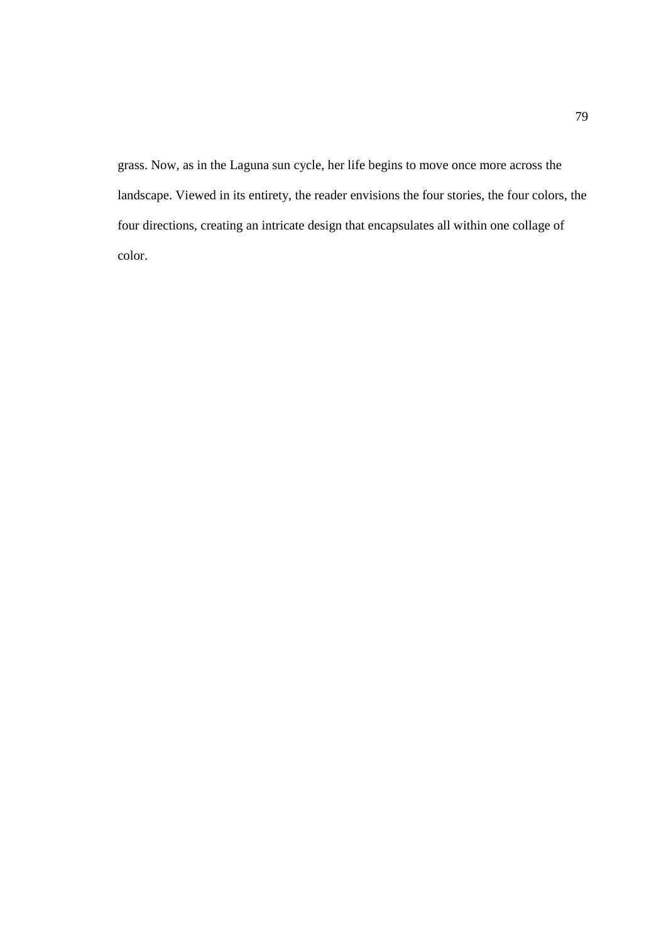grass. Now, as in the Laguna sun cycle, her life begins to move once more across the landscape. Viewed in its entirety, the reader envisions the four stories, the four colors, the four directions, creating an intricate design that encapsulates all within one collage of color.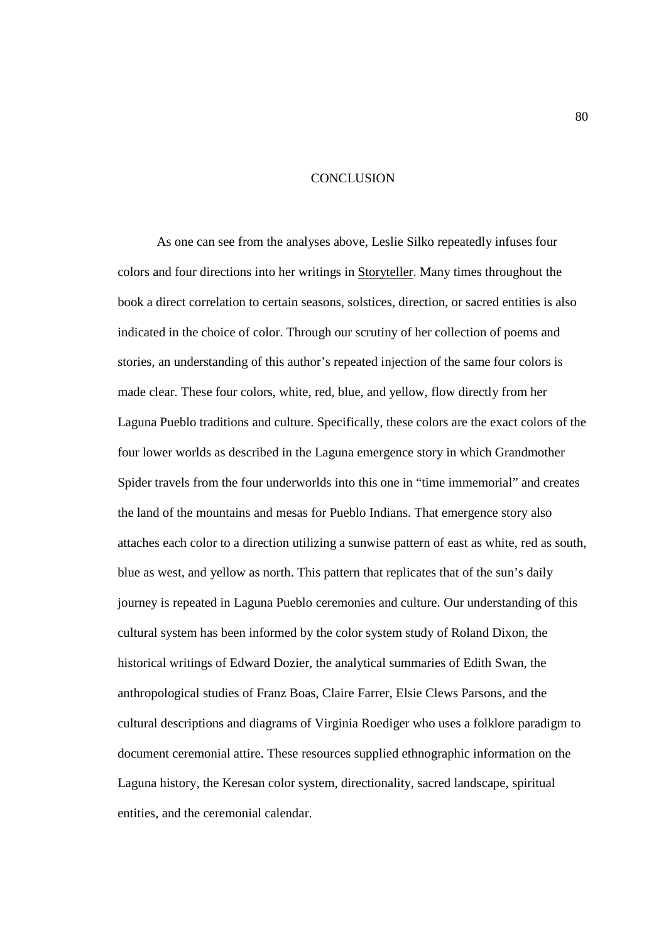## **CONCLUSION**

As one can see from the analyses above, Leslie Silko repeatedly infuses four colors and four directions into her writings in Storyteller. Many times throughout the book a direct correlation to certain seasons, solstices, direction, or sacred entities is also indicated in the choice of color. Through our scrutiny of her collection of poems and stories, an understanding of this author's repeated injection of the same four colors is made clear. These four colors, white, red, blue, and yellow, flow directly from her Laguna Pueblo traditions and culture. Specifically, these colors are the exact colors of the four lower worlds as described in the Laguna emergence story in which Grandmother Spider travels from the four underworlds into this one in "time immemorial" and creates the land of the mountains and mesas for Pueblo Indians. That emergence story also attaches each color to a direction utilizing a sunwise pattern of east as white, red as south, blue as west, and yellow as north. This pattern that replicates that of the sun's daily journey is repeated in Laguna Pueblo ceremonies and culture. Our understanding of this cultural system has been informed by the color system study of Roland Dixon, the historical writings of Edward Dozier, the analytical summaries of Edith Swan, the anthropological studies of Franz Boas, Claire Farrer, Elsie Clews Parsons, and the cultural descriptions and diagrams of Virginia Roediger who uses a folklore paradigm to document ceremonial attire. These resources supplied ethnographic information on the Laguna history, the Keresan color system, directionality, sacred landscape, spiritual entities, and the ceremonial calendar.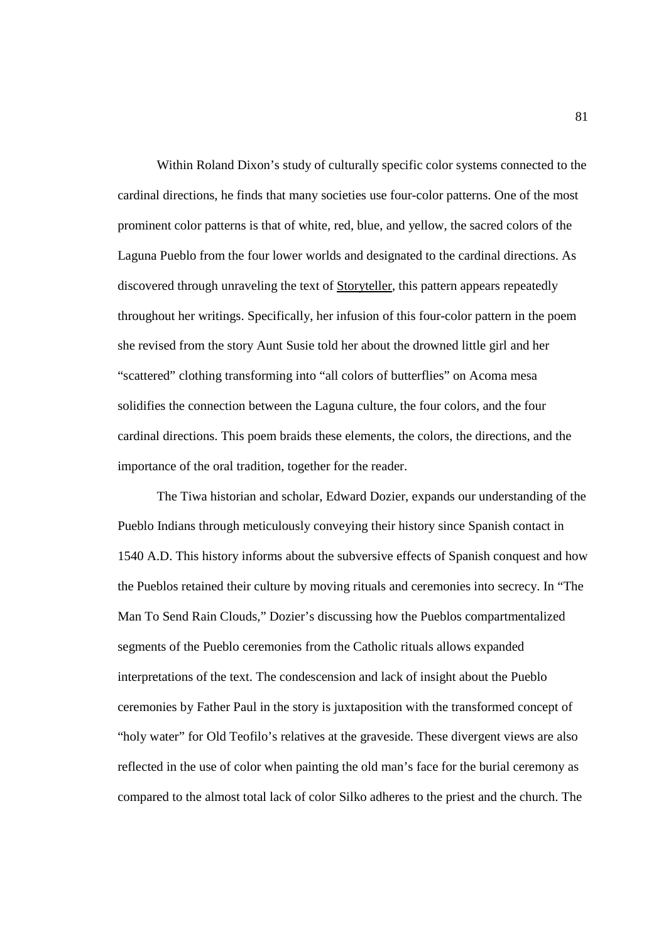Within Roland Dixon's study of culturally specific color systems connected to the cardinal directions, he finds that many societies use four-color patterns. One of the most prominent color patterns is that of white, red, blue, and yellow, the sacred colors of the Laguna Pueblo from the four lower worlds and designated to the cardinal directions. As discovered through unraveling the text of Storyteller, this pattern appears repeatedly throughout her writings. Specifically, her infusion of this four-color pattern in the poem she revised from the story Aunt Susie told her about the drowned little girl and her "scattered" clothing transforming into "all colors of butterflies" on Acoma mesa solidifies the connection between the Laguna culture, the four colors, and the four cardinal directions. This poem braids these elements, the colors, the directions, and the importance of the oral tradition, together for the reader.

 The Tiwa historian and scholar, Edward Dozier, expands our understanding of the Pueblo Indians through meticulously conveying their history since Spanish contact in 1540 A.D. This history informs about the subversive effects of Spanish conquest and how the Pueblos retained their culture by moving rituals and ceremonies into secrecy. In "The Man To Send Rain Clouds," Dozier's discussing how the Pueblos compartmentalized segments of the Pueblo ceremonies from the Catholic rituals allows expanded interpretations of the text. The condescension and lack of insight about the Pueblo ceremonies by Father Paul in the story is juxtaposition with the transformed concept of "holy water" for Old Teofilo's relatives at the graveside. These divergent views are also reflected in the use of color when painting the old man's face for the burial ceremony as compared to the almost total lack of color Silko adheres to the priest and the church. The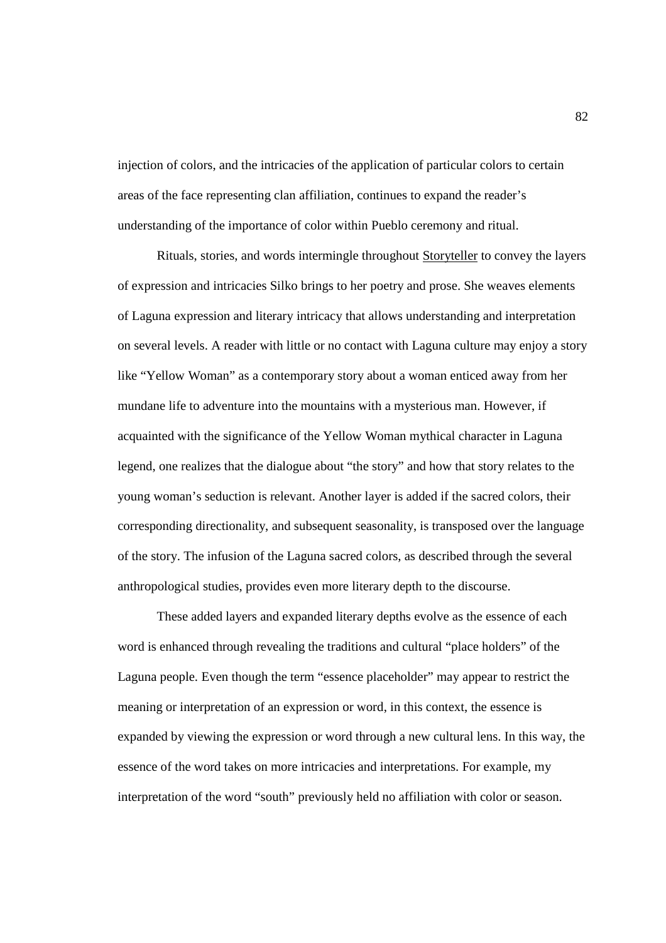injection of colors, and the intricacies of the application of particular colors to certain areas of the face representing clan affiliation, continues to expand the reader's understanding of the importance of color within Pueblo ceremony and ritual.

 Rituals, stories, and words intermingle throughout Storyteller to convey the layers of expression and intricacies Silko brings to her poetry and prose. She weaves elements of Laguna expression and literary intricacy that allows understanding and interpretation on several levels. A reader with little or no contact with Laguna culture may enjoy a story like "Yellow Woman" as a contemporary story about a woman enticed away from her mundane life to adventure into the mountains with a mysterious man. However, if acquainted with the significance of the Yellow Woman mythical character in Laguna legend, one realizes that the dialogue about "the story" and how that story relates to the young woman's seduction is relevant. Another layer is added if the sacred colors, their corresponding directionality, and subsequent seasonality, is transposed over the language of the story. The infusion of the Laguna sacred colors, as described through the several anthropological studies, provides even more literary depth to the discourse.

 These added layers and expanded literary depths evolve as the essence of each word is enhanced through revealing the traditions and cultural "place holders" of the Laguna people. Even though the term "essence placeholder" may appear to restrict the meaning or interpretation of an expression or word, in this context, the essence is expanded by viewing the expression or word through a new cultural lens. In this way, the essence of the word takes on more intricacies and interpretations. For example, my interpretation of the word "south" previously held no affiliation with color or season.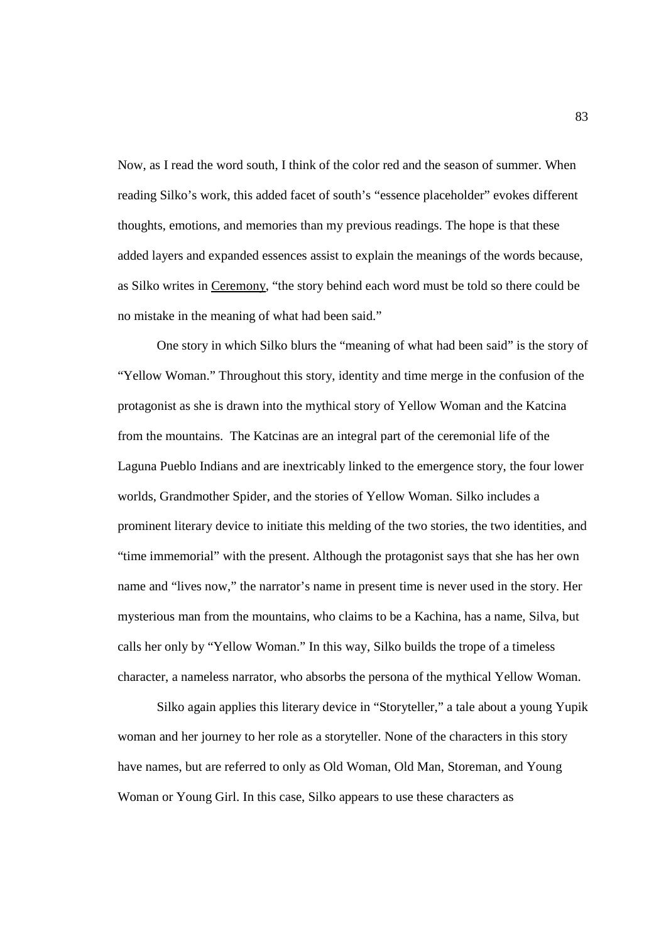Now, as I read the word south, I think of the color red and the season of summer. When reading Silko's work, this added facet of south's "essence placeholder" evokes different thoughts, emotions, and memories than my previous readings. The hope is that these added layers and expanded essences assist to explain the meanings of the words because, as Silko writes in Ceremony, "the story behind each word must be told so there could be no mistake in the meaning of what had been said."

 One story in which Silko blurs the "meaning of what had been said" is the story of "Yellow Woman." Throughout this story, identity and time merge in the confusion of the protagonist as she is drawn into the mythical story of Yellow Woman and the Katcina from the mountains. The Katcinas are an integral part of the ceremonial life of the Laguna Pueblo Indians and are inextricably linked to the emergence story, the four lower worlds, Grandmother Spider, and the stories of Yellow Woman. Silko includes a prominent literary device to initiate this melding of the two stories, the two identities, and "time immemorial" with the present. Although the protagonist says that she has her own name and "lives now," the narrator's name in present time is never used in the story. Her mysterious man from the mountains, who claims to be a Kachina, has a name, Silva, but calls her only by "Yellow Woman." In this way, Silko builds the trope of a timeless character, a nameless narrator, who absorbs the persona of the mythical Yellow Woman.

 Silko again applies this literary device in "Storyteller," a tale about a young Yupik woman and her journey to her role as a storyteller. None of the characters in this story have names, but are referred to only as Old Woman, Old Man, Storeman, and Young Woman or Young Girl. In this case, Silko appears to use these characters as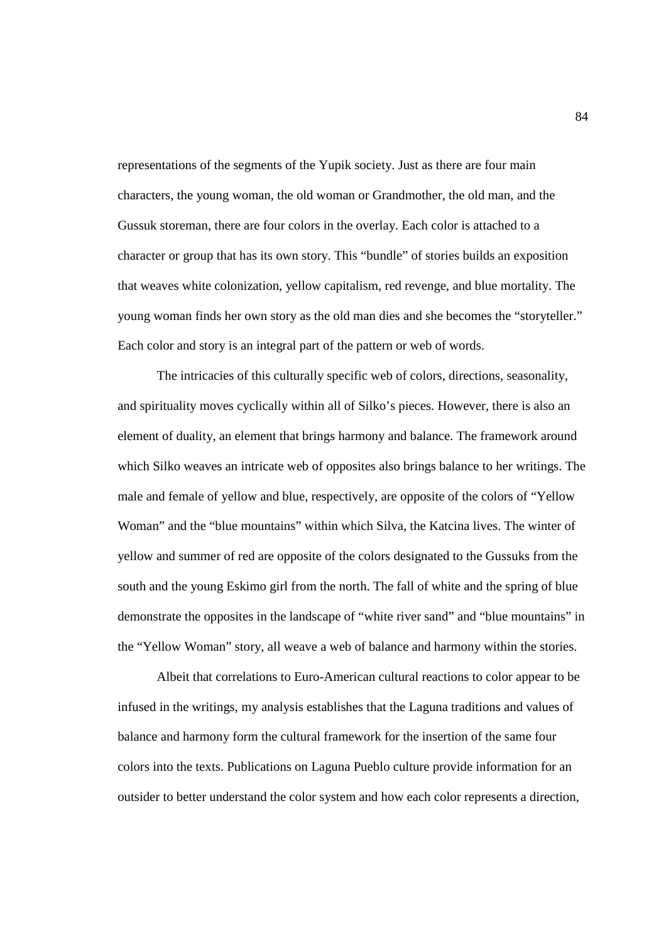representations of the segments of the Yupik society. Just as there are four main characters, the young woman, the old woman or Grandmother, the old man, and the Gussuk storeman, there are four colors in the overlay. Each color is attached to a character or group that has its own story. This "bundle" of stories builds an exposition that weaves white colonization, yellow capitalism, red revenge, and blue mortality. The young woman finds her own story as the old man dies and she becomes the "storyteller." Each color and story is an integral part of the pattern or web of words.

 The intricacies of this culturally specific web of colors, directions, seasonality, and spirituality moves cyclically within all of Silko's pieces. However, there is also an element of duality, an element that brings harmony and balance. The framework around which Silko weaves an intricate web of opposites also brings balance to her writings. The male and female of yellow and blue, respectively, are opposite of the colors of "Yellow Woman" and the "blue mountains" within which Silva, the Katcina lives. The winter of yellow and summer of red are opposite of the colors designated to the Gussuks from the south and the young Eskimo girl from the north. The fall of white and the spring of blue demonstrate the opposites in the landscape of "white river sand" and "blue mountains" in the "Yellow Woman" story, all weave a web of balance and harmony within the stories.

 Albeit that correlations to Euro-American cultural reactions to color appear to be infused in the writings, my analysis establishes that the Laguna traditions and values of balance and harmony form the cultural framework for the insertion of the same four colors into the texts. Publications on Laguna Pueblo culture provide information for an outsider to better understand the color system and how each color represents a direction,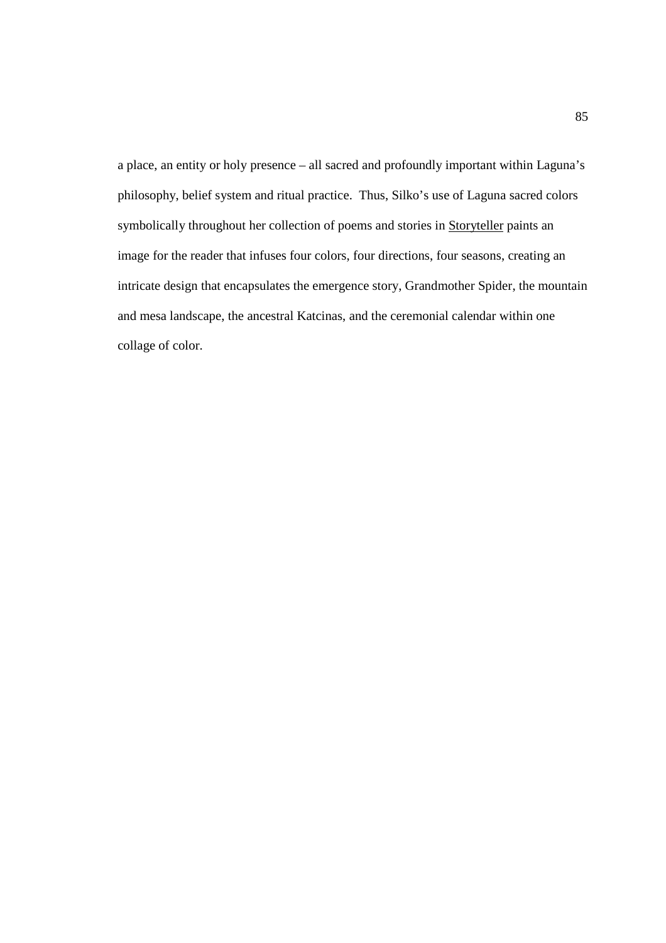a place, an entity or holy presence – all sacred and profoundly important within Laguna's philosophy, belief system and ritual practice. Thus, Silko's use of Laguna sacred colors symbolically throughout her collection of poems and stories in Storyteller paints an image for the reader that infuses four colors, four directions, four seasons, creating an intricate design that encapsulates the emergence story, Grandmother Spider, the mountain and mesa landscape, the ancestral Katcinas, and the ceremonial calendar within one collage of color.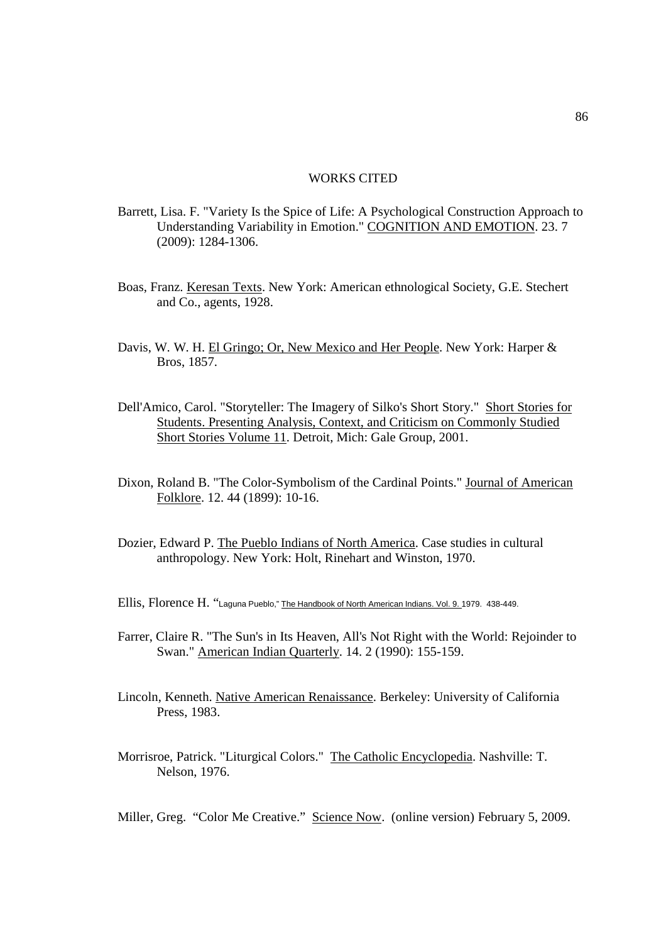## WORKS CITED

- Barrett, Lisa. F. "Variety Is the Spice of Life: A Psychological Construction Approach to Understanding Variability in Emotion." COGNITION AND EMOTION. 23. 7 (2009): 1284-1306.
- Boas, Franz. Keresan Texts. New York: American ethnological Society, G.E. Stechert and Co., agents, 1928.
- Davis, W. W. H. El Gringo; Or, New Mexico and Her People. New York: Harper & Bros, 1857.
- Dell'Amico, Carol. "Storyteller: The Imagery of Silko's Short Story." Short Stories for Students. Presenting Analysis, Context, and Criticism on Commonly Studied Short Stories Volume 11. Detroit, Mich: Gale Group, 2001.
- Dixon, Roland B. "The Color-Symbolism of the Cardinal Points." Journal of American Folklore. 12. 44 (1899): 10-16.
- Dozier, Edward P. The Pueblo Indians of North America. Case studies in cultural anthropology. New York: Holt, Rinehart and Winston, 1970.
- Ellis, Florence H. "Laguna Pueblo," The Handbook of North American Indians. Vol. 9. 1979. 438-449.
- Farrer, Claire R. "The Sun's in Its Heaven, All's Not Right with the World: Rejoinder to Swan." American Indian Quarterly. 14. 2 (1990): 155-159.
- Lincoln, Kenneth. Native American Renaissance. Berkeley: University of California Press, 1983.
- Morrisroe, Patrick. "Liturgical Colors." The Catholic Encyclopedia. Nashville: T. Nelson, 1976.

Miller, Greg. "Color Me Creative." Science Now. (online version) February 5, 2009.